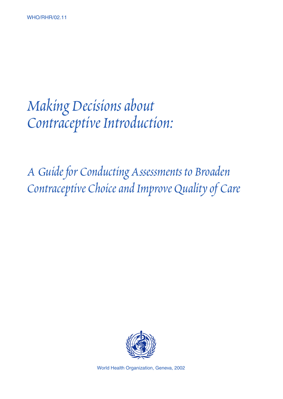# Making Decisions about Contraceptive Introduction:

A Guide for Conducting Assessments to Broaden Contraceptive Choice and Improve Quality of Care



World Health Organization, Geneva, 2002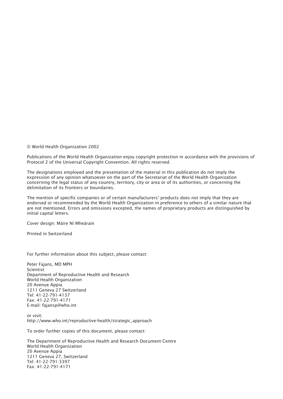© World Health Organization 2002

Publications of the World Health Organization enjoy copyright protection in accordance with the provisions of Protocol 2 of the Universal Copyright Convention. All rights reserved.

The designations employed and the presentation of the material in this publication do not imply the expression of any opinion whatsoever on the part of the Secretariat of the World Health Organization concerning the legal status of any country, territory, city or area or of its authorities, or concerning the delimitation of its frontiers or boundaries.

The mention of specific companies or of certain manufacturers' products does not imply that they are endorsed or recommended by the World Health Organization in preference to others of a similar nature that are not mentioned. Errors and omissions excepted, the names of proprietary products are distinguished by initial capital letters.

Cover design: Máire Ní Mheárain

Printed in Switzerland

For further information about this subject, please contact:

Peter Fajans, MD MPH Scientist Department of Reproductive Health and Research World Health Organization 20 Avenue Appia 1211 Geneva 27 Switzerland Tel: 41-22-791-4137 Fax: 41-22-791-4171 E-mail: fajansp@who.int

or visit: http://www.who.int/reproductive-health/strategic\_approach

To order further copies of this document, please contact:

The Department of Reproductive Health and Research Document Centre World Health Organization 20 Avenue Appia 1211 Geneva 27, Switzerland Tel: 41-22-791-3397 Fax: 41-22-791-4171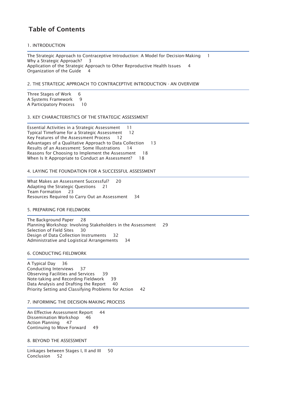# Table of Contents

1. INTRODUCTION

L

The Strategic Approach to Contraceptive Introduction: A Model for Decision-Making 1 Why a Strategic Approach? 3 Application of the Strategic Approach to Other Reproductive Health Issues 4 Organization of the Guide 4

## 2. THE STRATEGIC APPROACH TO CONTRACEPTIVE INTRODUCTION - AN OVERVIEW

Three Stages of Work 6 A Systems Framework 9 A Participatory Process 10

## 3. KEY CHARACTERISTICS OF THE STRATEGIC ASSESSMENT

Essential Activities in a Strategic Assessment 11 Typical Timeframe for a Strategic Assessment 12 Key Features of the Assessment Process 12 Advantages of a Qualitative Approach to Data Collection 13 Results of an Assessment: Some Illustrations 14 Reasons for Choosing to Implement the Assessment 18 When Is It Appropriate to Conduct an Assessment? 18

### 4. LAYING THE FOUNDATION FOR A SUCCESSFUL ASSESSMENT

L What Makes an Assessment Successful? 20 Adapting the Strategic Questions 21 Team Formation 23 Resources Required to Carry Out an Assessment 34

## 5. PREPARING FOR FIELDWORK

L

The Background Paper 28 Planning Workshop: Involving Stakeholders in the Assessment 29 Selection of Field Sites 30 Design of Data Collection Instruments 32 Administrative and Logistical Arrangements 34

6. CONDUCTING FIELDWORK

-A Typical Day 36 Conducting Interviews 37 Observing Facilities and Services 39 Note-taking and Recording Fieldwork 39 Data Analysis and Drafting the Report 40 Priority Setting and Classifying Problems for Action 42

### 7. INFORMING THE DECISION-MAKING PROCESS

L An Effective Assessment Report 44 Dissemination Workshop 46 Action Planning 47 Continuing to Move Forward 49

8. BEYOND THE ASSESSMENT

Linkages between Stages I, II and III 50 Conclusion 52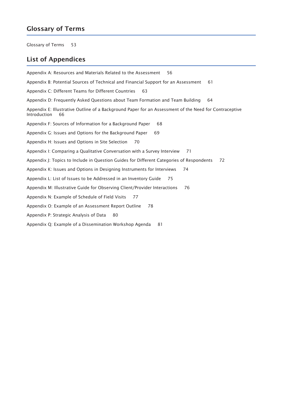# Glossary of Terms

Glossary of Terms 53

# List of Appendices

Appendix A: Resources and Materials Related to the Assessment 56 Appendix B: Potential Sources of Technical and Financial Support for an Assessment 61 Appendix C: Different Teams for Different Countries 63 Appendix D: Frequently Asked Questions about Team Formation and Team Building 64 Appendix E: Illustrative Outline of a Background Paper for an Assessment of the Need for Contraceptive Introduction 66 Appendix F: Sources of Information for a Background Paper 68 Appendix G: Issues and Options for the Background Paper 69 Appendix H: Issues and Options in Site Selection 70 Appendix I: Comparing a Qualitative Conversation with a Survey Interview 71 Appendix J: Topics to Include in Question Guides for Different Categories of Respondents 72 Appendix K: Issues and Options in Designing Instruments for Interviews 74 Appendix L: List of Issues to be Addressed in an Inventory Guide 75 Appendix M: Illustrative Guide for Observing Client/Provider Interactions 76 Appendix N: Example of Schedule of Field Visits 77 Appendix O: Example of an Assessment Report Outline 78 Appendix P: Strategic Analysis of Data 80 Appendix Q: Example of a Dissemination Workshop Agenda 81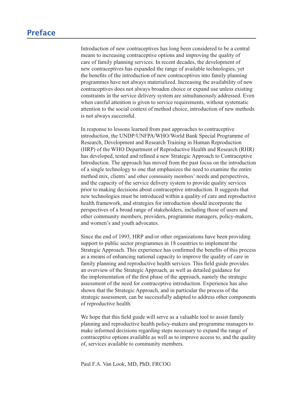# Preface

Introduction of new contraceptives has long been considered to be a central measure of new contraceptives has long been considered to be a central means to increasing contraceptive options and improving the quality of contracting contraceptive options and improving the quality of care of family planning services. In recent decades, the development of care of family planning services. In fecent decades, the development of new contraceptives has expanded the range of available technologies, yet the benefits of the introduction of new contraceptives into family planning attention to the introduction of new contrace prives into tanny planning<br>programmes have not always materialized. Increasing the availability of new programmes have not always materialized. Increasing the availability of new<br>contraceptives does not always broaden choice or expand use unless existing constraints in the service delivery system are simultaneously addressed. Even In response to the learning system are simulated asy addressed. Evaluated from participation parameters without systematic is not always successful. when cureful attention is given to service requirements, while a systematic and Research Training in Human Research Training in Human Representation of the Training in Human Representation of the Training in Human Representation of the Training and Alexander Second Second Second Second Second Seco  $\mathcal{L}_{\text{H}}$  of the WHO department of  $\mathcal{L}_{\text{H}}$ 

new contract the range of available technologies, yet available technologies, yet available technologies, yet<br>The range of available technologies, yet available technologies, yet available technologies, yet available tec

In response to lessons learned from past approaches to contraceptive In response to ressons realize from past approaches to contrace prive<br>introduction, the UNDP/UNFPA/WHO/World Bank Special Programme of misculation, the CNDT/CNTTLY WHO/World Builty Special Fregramme of Research, Development and Research Training in Human Reproduction method mix, percologing material method mixtures in Francia respectively.<br>(HRP) of the WHO Department of Reproductive Health and Research (RHR) and the capacity of the capacity of the service delivery system to contraceptive has developed, tested and refined a new Strategic Approach to Contraceptive prior to contraceptive introduction. The approach has moved from the past focus on the introduction new technology to one that emphasizes the need to examine the entire of a single definency to one that emphasizes the need to examine the entireprendent method mix, clients' and other community members' needs and perspectives, perspectives, and the capacity of the service delivery system to provide quality services prior to making decisions about contraceptive introduction. It suggests that have a making accessors about contact prive into duction. A suggests that have technologies must be introduced within a quality of care and reproductive health framework, and strategies for introduction should incorporate the nearm handwork, and stategies for infoduction should incorporate the perspectives of a broad range of stakeholders, including those of users and perspectives of a orbad range of stakeholders, including those of users and other community members, providers, programme managers, policy-makers, Strategic Community increases, providers, programme managers, policy-makers, and women's and youth advocates. and women's and young navocales.

Since the end of 1993, HRP and/or other organizations have been providing support to public sector programmes in 18 countries to implement the support to public sector programmes in To countries to implement the Strategic Approach. This experience has confirmed the benefits of this process assume to the need for the need for contract the sensitive intervents of the process a means of enhancing national capacity to improve the quality of care in show the quality of earth that the Strategie Approvement approvement of the provider of the providers of the providers of the providers of the providers of the providers of the providers of the providers of the providers o strategic assessment and be strategic approach, as well as detailed guidance for the implementation of the first phase of the approach, namely the strategic assessment of the need for contraceptive introduction. Experience has also Subsessment of the field for contrace prive introduction. Experience has also<br>shown that the Strategic Approach, and in particular the process of the planning and represent and representing and representation of the strategic assessment, can be successfully adapted to address other components of reproductive health. strategic assessment, can be successionly adapted to address other components contractive nearm.

We hope that this field guide will serve as a valuable tool to assist family planning and reproductive health policy-makers and programme managers to make informed decisions regarding steps necessary to expand the range of Paul F.A. Phoenix Contraceptive options available as well as to improve access to, and the quality of, services available to community members.

Paul F.A. Van Look, MD, PhD, FRCOG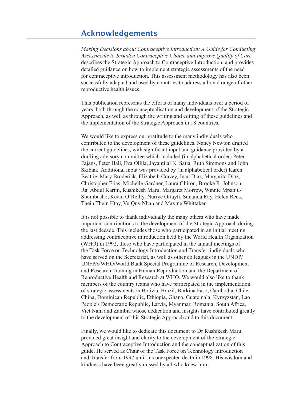# describes the Strategie Acknowledgements and provides the Strategie International Strategies International Str detailed guidance on how to implement strategic assessment strategic assessments of the need the need to the n

*Making Decisions about Contraceptive Introduction: A Guide for Conducting Assessments to Broaden Contraceptive Choice and Improve Quality of Care*  representation of the material experimental experimental improve guarany by care<br>describes the Strategic Approach to Contraceptive Introduction, and provides detailed guidance on how to implement strategic assessments of the need for contraceptive introduction. This assessment methodology has also been The publication represents the effort contraceptive introduction. This assessment methodology has also been structure de la broaden Contract pure introduction. A Suite for Conducting successfully adapted and used by countries to address a broad range of other teproductive nearly 1880es. successiony adapted and used by countries to address a broad range or other

This publication represents the efforts of many individuals over a period of This publication represents the enterty of many individuals over a period of years, both through the conceptualisation and development of the Strategic contributed to the development of the strategic Approach, as well as through the writing and editing of these guidelines and the implementation of the Strategic Approach in 18 countries. dreaft advisory committee which is a suppressed of the committee.

We would like to express our gratitude to the many individuals who skibia was provided to the development of these guidelines. Nancy Newton drafted Beattiful to the development of these galacimes. Framely rewitted that the current guidelines, with significant input and guidance provided by a drafting advisory committee which included (in alphabetical order) Peter Rajans, Peter Hall, Eva Ollila, Jayantilal K. Satia, Ruth Simmons and John Register Party Levi Ortay, Superintan R. Satta, Retail Summons and Solutions.<br>Skibiak. Additional input was provided by (in alphabetical order) Karen Britan Theorem Hipper was provided by (in applabetical order) Karen<br>Beattie, Mary Broderick, Elizabeth Cravey, Juan Diaz, Margarita Diaz, Christopher Elias, Michelle Gardner, Laura Ghiron, Brooke R. Johnson, Indian Karlin, Rashikesh Mara, Margaret Morrow, Whilip Inparita-<br>Shumbusho, Kevin O'Reilly, Nuriye Ortayli, Sunanda Ray, Helen Rees,  $t_{\text{min}}$  decay below  $t_{\text{min}}$ , the last decay in an initial method. The participate white Raj Abdul Karim, Rushikesh Maru, Margaret Morrow, Winnie Mpanjuaddressing contraction introduction here introduced the World Health Organization international experimental o

It is not possible to thank individually the many others who have made the Task Force possible to thank then vidually the many offices who have made<br>important contributions to the development of the Strategic Approach during have seen the Secretary of the Secretary of the Secretary of the Secretary of the United Secretary of the UNDP/ and Figure and Technical Bank Specification<br>addressing contraceptive introduction held by the World Health Organization and Research Training Contract private introduction field by the World Frederic Organization (WHO) in 1992, those who have participated in the annual meetings of Reproduction and Transfer, individuals who have a participated in the annual meetings of the Task Force on Technology Introduction and Transfer, individuals who members of the countries in the countries who have served on the Secretariat, as well as other colleagues in the UNDP/ nave served on the secretarial, as wen as other concagues in the CNDT.<br>UNFPA/WHO/World Bank Special Programme of Research, Development China, Willy Willy World Bank Special Fregramme of Research, Beverepment<br>and Research Training in Human Reproduction and the Department of Reproductive Health and Research at WHO. We would also like to thank the development of the development of the development of strategic assessments in Bolivia, Brazil, Burkina Faso, Cambodia, Chile, China, Dominican Republic, Ethiopia, Ghana, Guatemala, Kyrgyzstan, Lao Reproductive Health and Research at WHO. We would also like to thank<br>members of the country teams who have participated in the implementatio<br>of strategic assessments in Bolivia, Brazil, Burkina Faso, Cambodia, Chile<br>China, Final, Bommean Reptone, Ethiopia, Ghana, Gaatemala, Ryrgyzsain, Ethiopia reproductive ricanti and resourch at  $\overline{v}$  the would disc have contained provided greater technology clared greater insights have contributed greatly Viet Nam and Zambia whose dedication and insights have contributed greatly Approach to the development of this Strategic Approach and to this document. w the acceleption of this strategic repproach and to this document.

Finally, we would like to dedicate this document to Dr Rushikesh Maru. provided great insight and clarity to the development of the Strategic Approach to Contraceptive Introduction and the conceptualization of this guide. He served as Chair of the Task Force on Technology Introduction and Transfer from 1997 until his unexpected death in 1998. His wisdom and kindness have been greatly missed by all who knew him.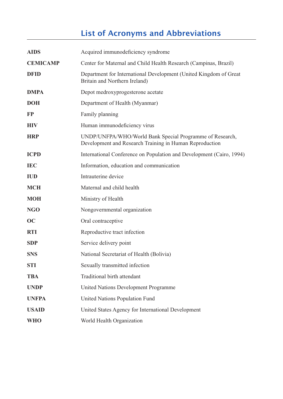# List of Acronyms and Abbreviations

|                 | <b>List of Acronyms and Abbreviations</b>                                                                           |  |
|-----------------|---------------------------------------------------------------------------------------------------------------------|--|
| <b>AIDS</b>     | Acquired immunodeficiency syndrome                                                                                  |  |
| <b>CEMICAMP</b> | Center for Maternal and Child Health Research (Campinas, Brazil)                                                    |  |
| <b>DFID</b>     | Department for International Development (United Kingdom of Great<br>Britain and Northern Ireland)                  |  |
| <b>DMPA</b>     | Depot medroxyprogesterone acetate                                                                                   |  |
| <b>DOH</b>      | Department of Health (Myanmar)                                                                                      |  |
| <b>FP</b>       | Family planning                                                                                                     |  |
| <b>HIV</b>      | Human immunodeficiency virus                                                                                        |  |
| <b>HRP</b>      | UNDP/UNFPA/WHO/World Bank Special Programme of Research,<br>Development and Research Training in Human Reproduction |  |
| <b>ICPD</b>     | International Conference on Population and Development (Cairo, 1994)                                                |  |
| <b>IEC</b>      | Information, education and communication                                                                            |  |
| <b>IUD</b>      | Intrauterine device                                                                                                 |  |
| <b>MCH</b>      | Maternal and child health                                                                                           |  |
| <b>MOH</b>      | Ministry of Health                                                                                                  |  |
| <b>NGO</b>      | Nongovernmental organization                                                                                        |  |
| OC              | Oral contraceptive                                                                                                  |  |
| <b>RTI</b>      | Reproductive tract infection                                                                                        |  |
| <b>SDP</b>      | Service delivery point                                                                                              |  |
| <b>SNS</b>      | National Secretariat of Health (Bolivia)                                                                            |  |
| <b>STI</b>      | Sexually transmitted infection                                                                                      |  |
| <b>TBA</b>      | Traditional birth attendant                                                                                         |  |
| <b>UNDP</b>     | United Nations Development Programme                                                                                |  |
| <b>UNFPA</b>    | United Nations Population Fund                                                                                      |  |
| <b>USAID</b>    | United States Agency for International Development                                                                  |  |
| <b>WHO</b>      | World Health Organization                                                                                           |  |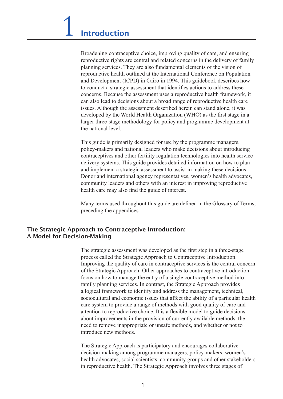Broadening contraceptive choice, improving quality of care, and ensuring to conduct a strategie as strategies are central and related concerns in the delivery of family planning services. They are also fundamental elements of the vision of planning services. They are also randamental elements of the vision of reproductive health outlined at the International Conference on Population and Development (ICPD) in Cairo in 1994. This guidebook describes how  $\frac{d}{dt}$  beveropment  $(\text{C12})$  in early in 1994. This gatebook describes now to conduct a strategic assessment that identifies actions to address these larger three-states is a stategie assessment that identifies actions to database increase concerns. Because the assessment uses a reproductive health framework, it can also lead to decisions about a broad range of reproductive health care issues. Although the assessment described herein can stand alone, it was International This guide is provided for the primarily developed by the World Health Organization (WHO) as the first stage in a  $\alpha$  and  $\beta$  are makers and non-trivial leaders who may be determined about interventual larger three-stage methodology for policy and programme development at contract contract other fertility regulation technology regulation technology regulation technology into the health service into the median of the median service into the median service into the median service in the media delivery systems. The guide provides detailed information on how to planning information on  $\mathcal{L}(\mathcal{A})$ 

This guide is primarily designed for use by the programme managers, policy-makers and national leaders who make decisions about introducing poncy makers and national readers who make deelsions about introducing<br>contraceptives and other fertility regulation technologies into health service delivery systems. This guide provides detailed information on how to plan and implement a strategic assessment to assist in making these decisions. Many imprement a strategic assessment to assist in making these decisions.<br>Donor and international agency representatives, women's health advocates, proposition and international agency representatives, women's nearly according to community leaders and others with an interest in improving reproductive health care may also find the guide of interest.

Many terms used throughout this guide are defined in the Glossary of Terms, preceding the appendices.

#### The Strategic Approach to Contraceptive Introduction: process called the Strategic Approach to Contraceptive Introduction. A Model for Decision-Making Vach to contraceptive introduction.<br>on Making of the Strategic Approaches to contract approaches to contract the Strategic Approaches to contract the Strategic Approaches to contract the Strategic Approaches to contract the Strategic Approaches to contract the Strateg

The strategic assessment was developed as the first step in a three-stage family all the Strategic Approach to Contraceptive Introduction. Improving the quality of care in contraceptive services is the central concern sociological and equality of earth in contract three services is the central contentrion<br>of the Strategic Approach. Other approaches to contraceptive introduction focus on how to manage the entry of a single contraceptive method into Fraction to represent the choice change contract prive method into<br>family planning services. In contrast, the Strategic Approach provides a logical framework to identify and address the management, technical, need to remove the definity and dedness the management, teen the asset of a particular health care system to provide a range of methods with good quality of care and attention to reproductive choice. It is a flexible model to guide decisions attention to reproductive enoties. It is a hexiole model to galace decisions about improvements in the provision of currently available methods, the decide improvements in the provision or earnemy available methods, the need to remove inappropriate or unsafe methods, and whether or not to heralth advocates mapping and the models, and whenever of not to in represents the Strategie Approach involves the Strategic Approach in version of  $\mathcal{L}$ 

The Strategic Approach is participatory and encourages collaborative decision-making among programme managers, policy-makers, women's health advocates, social scientists, community groups and other stakeholders in reproductive health. The Strategic Approach involves three stages of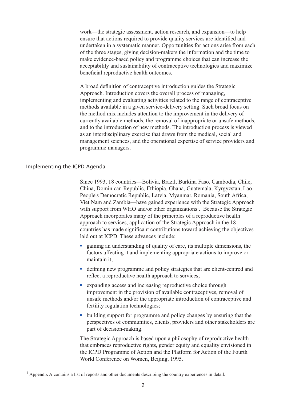work—the strategic assessment, action research, and expansion—to help acceptability and substantiability and substantial contractions are identified and maximize that actions required to provide quality services are identified and beneficial represents required to provide quality services are retaining and undertaken in a systematic manner. Opportunities for actions arise from each of the three stages, giving decision-makers the information and the time to a broad definition and the definition and the definition and the definition and the strategic make evidence-based policy and programme choices that can increase the acceptability and sustainability of contraceptive technologies and maximize increptionity and sustainability of contraceptive technologies and maximize beneficial reproductive health outcomes. produced in a given service-delivery setting in a given setting. Such broad for such broad for such broad for such broad for such broad for such broad for such as  $\frac{1}{2}$ 

A broad definition of contraceptive introduction guides the Strategic currently available methods, the removal of individual of games are strategied.<br>Approach. Introduction covers the overall process of managing, reproduction to the intervention process of managing,<br>implementing and evaluating activities related to the range of contraceptive miprometing and evaluating activities related to the range of contract privilege. methods available in a given service derivery setting. Such croad focus on<br>the method mix includes attention to the improvement in the delivery of experience that medicines addition to the improvement in the derivery of currently available methods, the removal of inappropriate or unsafe methods, and to the introduction of new methods. The introduction process is viewed as an interdisciplinary exercise that draws from the medical, social and management sciences, and the operational expertise of service providers and programme managers. programme managers.

## Implementing the ICPD Agenda Viet Nam and Zambia—have gained experience with the Strategic Approach

Faso, Cambodia, Chile, People's Democratic Republic Republic, Cambodia, Chile<br>2013 - Since 1993, 18 countries - Bolivia, Brazil, Burkina Faso, Cambodia, Chile<br>2020 - China, Dominican Republic, Ethiopia, Ghana, Guatemala, Kyrgyzstan, La application to service Strategic Application of the Strategic Application of the Strategic Approximate Approximation of the 18 People's Democratic Republic, Latvia, Myanmar, Romania, South Africa, countries between republic, Earlyn, Myanmar, Romanna, Sountrinea,<br>Viet Nam and Zambia—have gained experience with the Strategic Approach with support from WHO and/or other organizations<sup>1</sup>. Because the Strategic Approach incorporates many of the principles of a reproductive health factors after a factor and implemential in the strategic Approach in the 18 untries has made significant contributions toward achieving the objectives Superoach incorporates many of the principles of a reproductive health<br>approach to services, application of the Strategic Approach in the 18<br>countries has made significant contributions toward achieving the objective<br>alid

- factors affecting it and implementing appropriate actions to improve or • gaining an understanding of quality of care, its multiple dimensions, the factors affecting it and implementing appropriate actions to improve or maintain it;<br>• defining new programme and policy strategies that are clien gaining an understanding of quality of care, its m  $\min$  in the provision of available contract contract contract contract contract contract contract contract contract contract contract contract contract contract contract contract contract contract contract contract contra
- reflect a reproductive health approach to services Fractors arrecting it and implementing appropriate actions to in<br>
maintain it;<br>
defining new programme and policy strategies that are client-<br>
reflect a reproductive health approach to services;<br>
expanding access and incre defining new programme and policy strategies that are client-centred and
- improvement in the provision of available contraceptives, removal of Tertuity regulation technologies; • expanding access and increasing reproductive choice through<br>improvement in the provision of available contraceptives, removal of<br>unsafe methods and/or the appropriate introduction of contraceptive and<br>fertility regulatio unsafe methods and/or tl
- perspectives of communities, clients, providers and other stakeholders are part of decision-making. that embraces in the upper temperature represents in the policy changes by ensuring that the

The Strategic Approach is based upon a philosophy of reproductive health that embraces reproductive rights, gender equity and equality envisioned in nat embraces reproductive rights, gender equity and equality envisioned in<br>the ICPD Programme of Action and the Platform for Action of the Fourth World Conference on Women, Beijing, 1995.

 $<sup>1</sup>$  Appendix A contains a list of reports and other documents describing the country experiences in detail.</sup>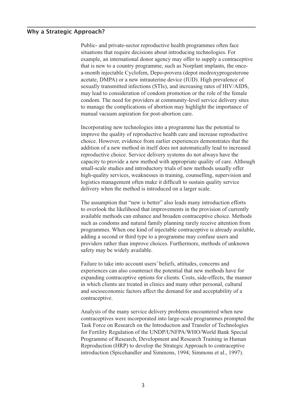#### Why a Strategic Approach?  $\frac{1}{2}$  $t^2$  is new to a country programme, such as  $N$  countries  $\frac{1}{N}$  in plant in plant in plant  $\frac{1}{N}$

Public- and private-sector reproductive health programmes often face action and private sector reproductive hearth programmes often face<br>situations that require decisions about introducing technologies. For stations that require decisions about infoducing technologies. For example, an international donor agency may offer to supply a contraceptive a-month injectable Cyclofem, Depo-provera (depot medroxyprogesterone a month injecture cyclotem, Dept proved (depth medioxyprogesterione<br>acetate, DMPA) or a new intrauterine device (IUD). High prevalence of mateure, DMTA) of a new influence device (10D). Their prevalence of the sexually transmitted infections (STIs), and increasing rates of HIV/AIDS, that is new to a country programme, such as Norplant implants, the oncemay lead to consideration of condom promotion or the role of the female Incorporation of the potential to the potential to the potential to the potential condom. The need for providers at community-level service delivery sites to manage the complications of abortion may highlight the importance of community in evidence from earlier experience of manual vacuum aspiration for post-abortion care. manuar vacuum aspiration for post abortion care.

Incorporating new technologies into a programme has the potential to method with a new method with a new method with a new potential to improve the quality of reproductive health care and increase reproductive supprove the quality of reproductive health eare and introduct reproductive choice. However, evidence from earlier experiences demonstrates that the addition of a new method in itself does not automatically lead to increased reproductive choice. Service delivery systems do not always have the reproductive enoted. Service derivery systems do not always have the capacity to provide a new method with appropriate quality of care. Although small-scale studies and introductory trials of new methods usually offer The assumption that the also also leads the methods also leads to lead the high-quality services, weaknesses in training, counselling, supervision and to ourselve that in the likelihood that include the likelihood that include the provision and provision and provision and provision and provision and provision and provision and provision and provision of currently service delivery when the method is introduced on a larger scale. such very when the method is introduced on a hager searc.

The assumption that "new is better" also leads many introduction efforts to overlook the likelihood that improvements in the provision of currently provision of carrently available methods can enhance and broaden contraceptive choice. Methods such as condoms and natural family planning rarely receive attention from programmes. When one kind of injectable contraceptive is already available, programmes. When one kind of injecture contraceptive is affected at adding a second or third type to a programme may confuse users and experience of the type to a programme may comase asers and providers rather than improve choices. Furthermore, methods of unknown surely may be where y available. providers fainer than improve enotees. Furthermore, includes of unknown

Failure to take into account users' beliefs, attitudes, concerns and experiences can also counteract the potential that new methods have for expanding contraceptive options for clients. Costs, side-effects, the manner Expanding contaceptive options for chems. Costs, side cricels, the man<br>in which clients are treated in clinics and many other personal, cultural contract which chemis are treated in chines and many other personal, candidate and socioeconomic factors affect the demand for and acceptability of a contraceptive. and socioletonomic factors affect the defining for and acceptability of a for Fertility Regulation of the UNDP/UNFPA/WHO/World Bank Special

Analysis of the many service delivery problems encountered when new examples of the many service denvery problems encountered when hew<br>contraceptives were incorporated into large-scale programmes prompted the Introduction (Spice and Simmon and Simmons et al., 1994; Simmons et al., 1997). Task Force on Research on the Introduction and Transfer of Technologies for Fertility Regulation of the UNDP/UNFPA/WHO/World Bank Special Programme of Research, Development and Research Training in Human Reproduction (HRP) to develop the Strategic Approach to contraceptive introduction (Spicehandler and Simmons, 1994; Simmons et al., 1997).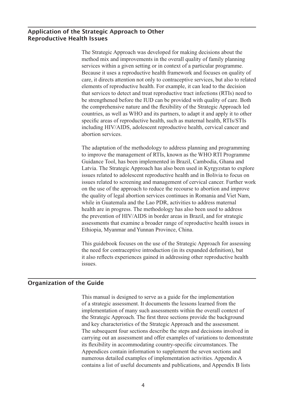#### Application of the Strategic Approach to Other method mix and improvements in the overall quality of family planning Reproductive Health Issues services with a given setting or in context of a particular programme. The particular programme of a particular programme. The setting of a particular programme of a particular programme. The setting of a particular progra Because it uses a reproductive health framework and focuses on quality of

The Strategic Approach was developed for making decisions about the elements of reproductive health and improvements in the overall quality of family planning that services within a given setting or in context of a particular programme. because it uses a reproductive health framework and focuses on quality of the comparison is a reproductive nearly nature work and tocases on quality of care, it directs attention not only to contraceptive services, but also to related elements of reproductive health. For example, it can lead to the decision specific areas of reproductive health, i or example, it can read to the decision that services to detect and treat reproductive tract infections (RTIs) need to including HIVIS to detect and treat reproductive tract intections (KTTs) freed to<br>be strengthened before the IUD can be provided with quality of care. Both the comprehensive nature and the flexibility of the Strategic Approach led countries, as well as WHO and its partners, to adapt it and apply it to other specific areas of reproductive health, such as maternal health, RTIs/STIs to improve the management of the management of RTIS, and a material reduction of RTIS, SPIS Guidance Tool, has been implemented in Brazil, Cambodia, Gaussian  $\mu$ <sub>2</sub>. The Strategic Approach has also been used in Kyrgyzstan to explore the strategic  $\mu$ 

The adaptation of the methodology to address planning and programming is the adaptation of the included to go address planning and programming to improve the management of RTIs, known as the WHO RTI Programme of inprove the management of refis, known as the who fear ringfiammed Guidance Tool, has been implemented in Brazil, Cambodia, Ghana and the guidance Tool, has been impremented in Brazil, Cambodia, Guila and Viet Latvia. The Strategic Approach has also been used in Kyrgyzstan to explore Eartha: The Bradegie Approach has also been used in Kyrgyzstan to express health and in Donyin to focus on<br>issues related to screening and management of cervical cancer. Further work the prevention of the prevention of the previous called the strategic of the approach to reduce the recourse to abortion and improve assessments that example the equality of legal abortion services continues in Romania and Viet Nam, while in Guatemala and the Lao PDR, activities to address maternal health are in progress. The methodology has also been used to address The unit are in progress. The memodology has also been used to didness<br>the prevention of HIV/AIDS in border areas in Brazil, and for strategic the prevention of  $H\rightarrow Y/2H\rightarrow B$  in border areas in Brazil, and for strategie it also reflects that examine a broader range or reproductive health issues in Ethiopia, Myanmar and Yunnan Province, China. issues.

This guidebook focuses on the use of the Strategic Approach for assessing the need for contraceptive introduction (in its expanded definition), but it also reflects experiences gained in addressing other reproductive health This manual is designed to serve as a guide for the implementation

#### Organization of the Guide  $\overline{\phantom{a}}$  function of many such assessments with the overall context of  $\overline{\phantom{a}}$  $t_{\text{start}}$

This manual is designed to serve as a guide for the implementation This manuar is designed to serve as a galace for the implementation of a strategic assessment. It documents the lessons learned from the carrying and outcomes the carrying of a strategic assessment. The documents the ressons real from the increasing inplementation of many such assessments within the overall context of imprementation of many such assessments whill the overall context of the Strategic Approach. The first three sections provide the background and key characteristics of the Strategic Approach and the assessment. numerous detailed examples of the strategie explored in the assessment.<br>The subsequent four sections describe the steps and decisions involved in contains a line subsequent four sections assertive the steps and decisions involved in carrying out an assessment and offer examples of variations to demonstrate its flexibility in accommodating country-specific circumstances. The Appendices contain information to supplement the seven sections and numerous detailed examples of implementation activities. Appendix A contains a list of useful documents and publications, and Appendix B lists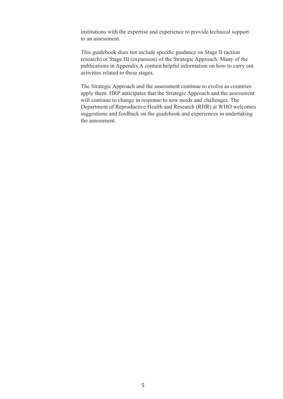institutions with the expertise and experience to provide technical support to an abbobindur. modituding with the experience and experience to provide teenmear support

This guidebook does not include specific guidance on Stage II (action This guidebook does not mende speeme guidance on stage II (action<br>research) or Stage III (expansion) of the Strategic Approach. Many of the publications in Appendix A contain helpful information on how to carry out profications in reporter to contain helpful information on now to calculate in response to these stages. department of Reproductive Health and Research (RHR) at WHO welcomes welcomes that we have the WHO welcomes the WHO welcomes the WHO welcomes the WHO welcomes the WHO welcomes the WHO welcomes the WHO welcomes the WHO welc

The Strategic Approach and the assessment continue to evolve as countries apply them. HRP anticipates that the Strategic Approach and the assessment will continue to change in response to new needs and challenges. The Department of Reproductive Health and Research (RHR) at WHO welcomes suggestions and feedback on the guidebook and experiences in undertaking the assessment.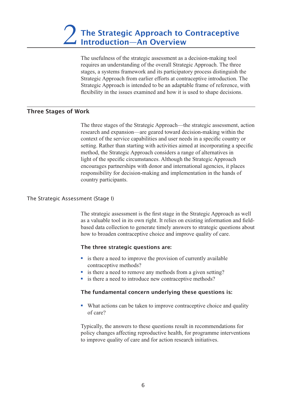The usefulness of the strategic assessment as a decision-making tool fluid in the intervention of the intervention and the intervention of the overall Strategic Approach. The three stages, a systems framework and its participatory process distinguish the Strategic Approach from earlier efforts at contraceptive introduction. The Strategic Approach is intended to be an adaptable frame of reference, with  $T$  the states of the SSUES examined and now it is used to snape decisions.

#### Three Stages of Work context of the service capabilities and user needs in a specific country or a specific country or  $\alpha$ setting. Rather than starting with a starting with a specific  $\alpha$  specific at incorporating at incorporation and  $\alpha$

The three stages of the Strategic Approach—the strategic assessment, action like the surface sugges of the strategic Approach the strategic assessment, as encourant and expansion and generation and international making within the context of the service capabilities and user needs in a specific country or responses to the service capabilities and user heeds in a specific country of setting. Rather than starting with activities aimed at incorporating a specific method, the Strategic Approach considers a range of alternatives in light of the specific circumstances. Although the Strategic Approach encourages partnerships with donor and international agencies, it places responsibility for decision-making and implementation in the hands of country participants.  $\frac{1}{\pi}$  for the fact strategies.

# The Strategic Assessment (Stage I) and all the collection to generate the strategic data collections about the strategic  $\alpha$ how to broaden contraceptive choice and improve quality of care.

The strategic assessment is the first stage in the Strategic Approach as well as a valuable tool in its own right. It relies on existing information and fieldbased data collection to generate timely answers to strategic questions about **Solution by the increase there are all improve that is there is there is there strategic questions are:**<br> **The three strategic questions are:**<br> **i** is there a need to improve the provision of currently available w to broaden contracept

# The three strategic questions are:

- contraceptive methods? • is there a need to improve the provision of currently available<br>contraceptive methods?<br>• is there a need to remove any methods from a given setting? • is there a need to improve the provision of currently ava<br>
• is there a need to improve the provision of currently ava<br>
• is there a need to remove any methods from a given sett<br>
• is there a need to introduce new contra
- 
- 

# The fundamental concern underlying these questions is: ■ is there a need to introduce new contraceptive methods?<br>
■ is there a need to introduce new contraceptive methods?<br>
■ What actions can be taken to improve contraceptive choice and quality

of care? where actions can be taken to improve contraceptive enough

Typically, the answers to these questions result in recommendations for policy changes affecting reproductive health, for programme interventions to improve quality of care and for action research initiatives.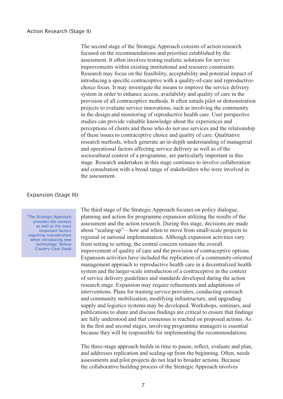The second stage of the Strategic Approach consists of action research introduced a sugge of the strategie repproduct consists of action research focused on the recommendations and priorities established by the chocased on the recommendations and priorities established by the assessment. It often involves testing realistic solutions for service system in order the total gradients and conditions for service improvements within existing institutional and resource constraints. miprovements whilm existing institutional and resource constraints.<br>Research may focus on the feasibility, acceptability and potential impact of moducing a specific contace prive with a quality of care and reproductive choice focus. It may investigate the means to improve the service delivery system in order to enhance access, availability and quality of care in the provision of all contraceptive methods. It often entails pilot or demonstration introducing a specific contraceptive with a quality-of-care and reproductiveprovision of an contraceptive methods. It often emails provide demonstrative projects to evaluate service innovations, such as involving the community in the design and monitoring of reproductive health care. User perspective and the design and momentum of reproductive health care. Such perfections and studies can provide valuable knowledge about the experiences and statics can provide variable knowledge about the experiences and the relationship perceptions of clients and those who do not use services and the relationship state issues to contraceptive choice and quality of care. Qualitative and consultation with a broad range of state. Summary of the consumer research methods, which generate an in-depth understanding of managerial and operational factors affecting service delivery as well as of the sociocultural context of a programme, are particularly important in this stage. Research undertaken in this stage continues to involve collaboration and consultation with a broad range of stakeholders who were involved in the assessment.  $T_{\text{max}}$  stages of the Strategic Approximation  $\frac{1}{2}$ 

## Expansion (Stage III)

"The Strategic Approach provides the context as well as the most important factors requiring consideration when introducing new technology."*Bolivia Country Case Study*

The third stage of the Strategic Approach focuses on policy dialogue. from the time stage of the strategie represent rocuses on policy dialogue,<br>planning and action for programme expansion utilizing the results of the produced and action for programme expansion attaining the results of the assessment and the action research. During this stage, decisions are made assessment and the action research. During this stage, decisions are made<br>about "scaling-up"—how and when to move from small-scale projects to mature is seening up a now and when to move from small searce projects to<br>regional or national implementation. Although expansion activities vary system and the larger-system of a contract intervale intervals of a context of a context of a context of a context of the context. of setting to setting, the central concern remains the overally improvement of quality of care and the provision of contraceptive options. research state and the provision of contract prices.<br>Expansion activities have included the replication of a community-oriented Expansion activities have included the represention of a community offented management approach to reproductive health care in a decentralized health and community mobilization, mobilization, model in the contract model in the context system and the larger-scale introduction of a contraceptive in the context system and the harger search incollection of a contract prive in the context of service delivery guidelines and standards developed during the action publicative derivery galaxies and standards developed daring the action<br>research stage. Expansion may require refinements and adaptations of are fully understanding that consequence and the consequence of interventions. Plans for training service providers, conducting outreach in the first and second states, included states, included states and second community mobilization, modifying infrastructure, and upgrading because the approximation, including imaginations, and applicantly supply and logistics systems may be developed. Workshops, seminars, and publications to share and discuss findings are critical to ensure that findings publications to share and diseass maings are critical to chisare that midings are fully understood and that consensus is reached on proposed actions. As and addresses and and separation and scaling-up from the beginning-up from the first and second stages, involving programme managers is essential as the matrix and second stages, involving programme managers is essentially because they will be responsible for implementing the recommendations. the collaborative building process of the Strategic Approximate process of the Strategic Approximate  $\frac{1}{2}$ 

The three-stage approach builds in time to pause, reflect, evaluate and plan, and addresses replication and scaling-up from the beginning. Often, needs assessments and pilot projects do not lead to broader actions. Because the collaborative building process of the Strategic Approach involves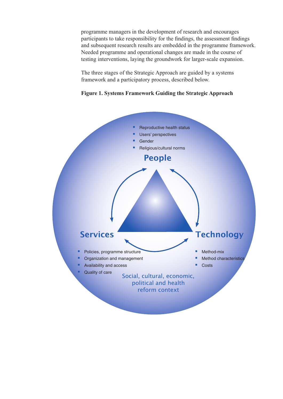programme managers in the development of research and encourages participants to take responsibility for the findings, the assessment findings participants to take responsionly for the intempts, the assessment intempts<br>and subsequent research results are embedded in the programme framework. and subsequent research results are embedded in the programme frame<br>Needed programme and operational changes are made in the course of testing interventions, laying the groundwork for larger-scale expansion.

The three stages of the Strategic Approach are guided by a systems framework and a participatory process, described below.



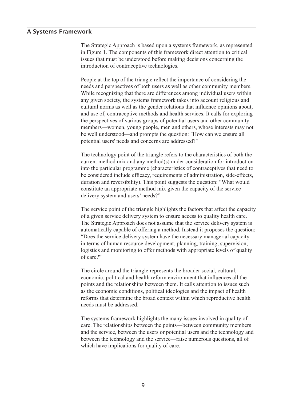#### A Systems Framework issues that must be understood before making decisions concerning the  $\sum_{i=1}^{n}$

The Strategic Approach is based upon a systems framework, as represented Inc strategie repposed is based upon a systems framework, as represented in Figure 1. The components of this framework direct attention to critical need and perspective of the numerous and a complete assume that must be understood before making decisions concerning the any given society society the systems framework the system of the system of the system of the system of the system of the system of the system of the system of the system of the system of the system of the system of the sy which the must be understood overer making decisions concerning the

People at the top of the triangle reflect the importance of considering the reflect the importance of considering the needs and perspectives of both users as well as other community members. the perspectives of both assess as well as other community included.<br>While recognizing that there are differences among individual users within members and other are differences along marying users while<br>any given society, the systems framework takes into account religious and be well as well as the gender relations that influence opinions about, the perspectives of various groups of potential users and other community The perspectives of various groups of potential assessment of the community<br>members—women, young people, men and others, whose interests may not current method method. The mix and any method method mix interests may not be well understood—and prompts the question: "How can we ensure all and use of, contraceptive methods and health service<br>the perspectives of various groups of potential users<br>members—women, young people, men and others,<br>be well understood—and prompts the question: "He for weither the product and prompts the question. The we can we ensure an optential users' needs and concerns are addressed?" potential above fictual and concerns are addressed.

The technology point of the triangle refers to the characteristics of both the current method mix and any method(s) under consideration for introduction into the particular programme (characteristics of contraceptives that need to be considered include efficacy, requirements of administration, side-effects, the service point of the service point of the triangle state of the triangle duration and reversibility). This point suggests the question: "What would constitute an appropriate method mix given the capacity of the service actively system and asers neces:  $T_{\text{S}}$  and  $T_{\text{S}}$  and  $T_{\text{S}}$  and  $T_{\text{S}}$  and  $T_{\text{S}}$  and  $T_{\text{S}}$  and  $T_{\text{S}}$  and  $T_{\text{S}}$  and  $T_{\text{S}}$  and  $T_{\text{S}}$  and  $T_{\text{S}}$  and  $T_{\text{S}}$  and  $T_{\text{S}}$  and  $T_{\text{S}}$  and  $T_{\text{S}}$  and  $T_{\text{S}}$  a

The service point of the triangle highlights the factors that affect the capacity ing service point of the thangie inginights the factors that affect the capacity of a given service delivery system to ensure access to quality health care. In a given service derivery system to ensure access to quality nearly each.<br>The Strategic Approach does not assume that the service delivery system is automatically capable of offering a method. Instead it proposes the question: "Does the service delivery system have the necessary managerial capacity The circle arrivery system have the hecessary management equally<br>in terms of human resource development, planning, training, supervision, explorer that it is concentrated and the methods with appropriate levels of quality logistics and monitoring to offer methods with appropriate levels of quality positions and themselves between themselves when appropriate revers of quarter.  $\alpha$  and  $\alpha$  is equal ideologies and the impact of health input of  $\alpha$  in  $\alpha$ 

The circle around the triangle represents the broader social, cultural, need and the analysis between the bodder social, candidary economic, political and health reform environment that influences all the points and the relationships between them. It calls attention to issues such points and the relationships setween them. It cans attention to issues such as the economic conditions, political ideologies and the impact of health reforms that determine the broad context within which reproductive health reforms that determine the oroge context whilm which reproductive nearly  $\mathbf{b}$  and the service.

The systems framework highlights the many issues involved in quality of care. The relationships between the points—between community members and the service, between the users or potential users and the technology and between the technology and the service—raise numerous questions, all of which have implications for quality of care.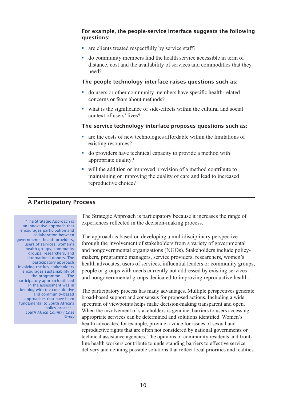# For example, the people-service interface suggests the following questions: **For example, the people-service interface s**<br>**questions:**<br>**a** are clients treated respectfully by service staff? **For example, the people-service interface suggests the follow questions:**<br>• are clients treated respectfully by service staff?<br>• do community members find the health service accessible in term of i example, the people-service interface suggests the following<br>estimate

- 
- distance, cost and the availability of services and commodities that<br>need?<br>The people-technology interface raises questions such as:<br>do users or other community members have specific health-related  $cos\theta$ ?

# The people-technology interface raises questions such as:  $\overline{\phantom{a}}$

- concerns or fears about methods? ■ do users or other community members have specific health-related<br>concerns or fears about methods?<br>■ what is the significance of side-effects within the cultural and social
- what is the significance of side-effects within the cultural and social<br>context of users' lives?<br>The service-technology interface proposes questions such as<br>are the costs of new technologies affordable within the limitat context of users' lives?

#### The service-technology interface proposes questions such as: c service technol

- $\alpha$  is improved to  $\alpha$  increased to increase and lead to increase and lead to increase and lead to increase and lead to increase and lead to increase and lead to increase and lead to increase and lead to increase and le <p>The service-technology interface proposes questions su</p>\n<p>■ are the costs of new technologies affordable within the limitation existing resources?</p>\n<p>■ do providers have technical capacity to provide a method with</p> • are the costs of new technologies affordable within the limitations of<br>existing resources?<br>• do providers have technical capacity to provide a method with<br>appropriate quality?<br>• will the addition or improved provision of
- appropriate quality?  $\bullet$  do providers have technical capacity to provide a method with
- maintaining or improving the quality of care and lead to increased  $T_{\text{eff}}$  reproductive choice:

#### A Participatory Process  $T_{\rm eff}$  is based on developing a multidisciplinary perspective a multidisciplinary perspective a multidisciplinary perspective and  $T_{\rm eff}$

 "The Strategic Approach is an innovative approach that encourages participation and collaboration between governments, health providers, users of services, women's health groups, community groups, researchers, and international donors. The participatory approach involving the key stakeholders encourages sustainability of the programme. . . The participatory approach utilized in the assessment was in keeping with the consultative and community-based approaches that have been fundamental to South Africa's policy process."  *South Africa Country Case Study*  The Strategic Approach is participatory because it increases the range of and strategic reproduct is participatory occurse it increases the range of experiences reflected in the decision-making process. experiences renected in the decision making process.

The approach is based on developing a multidisciplinary perspective performance of groups with needs currently not address that the involvement of stakeholders from a variety of governmental makers, programme managers, service providers, researchers, women's health advocates, users of services, influential leaders or community groups, people or groups with needs currently not addressed by existing services and nongovernmental organizations (NGOs). Stakeholders include policyand nongovernmental groups dedicated to improving reproductive health when the involvement of stake decidence to improving reproductive neutring

The participatory process has many advantages. Multiple perspectives generate here participately process has many advantages, while perspectives generally broad-based support and consensus for proposed actions. Including a wide reproduced by the consensus for proposed denotes. Including a which spectrum of viewpoints helps make decision-making transparent and open. the opportunity responsively make decision making ransparent and open.<br>When the involvement of stakeholders is genuine, barriers to users accessing appropriate services can be determined and solutions identified. Women's delivery and defining the solutions that reflect local priorities health advocates, for example, provide a voice for issues of sexual and reproductive rights that are often not considered by national governments or technical assistance agencies. The opinions of community residents and frontline health workers contribute to understanding barriers to effective service delivery and defining possible solutions that reflect local priorities and realities.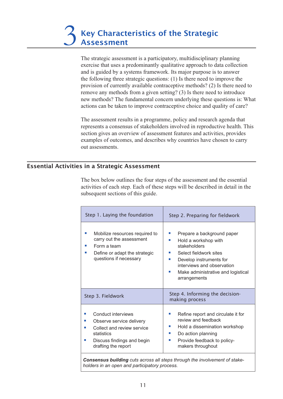The strategic assessment is a participatory, multidisciplinary planning remove any methods from a given setting from a given setting of the strategie assessment is a participatory, matrice proach to data collection new method in the fundamental concerns the fundamental concerned in and is guided by a system framework. Its major purpose is to answer and is galaced by a systems namework. The major purpose is to answer<br>the following three strategic questions: (1) Is there need to improve the provision of currently available contraceptive methods? (2) Is there need to The assessment results in a problem and results in a problem results in a property and results in the research agent results in the results in the results in the results in the results in the results in the results in the remove any memous from a given setting: (5) is there need to introduce<br>new methods? The fundamental concern underlying these questions is: What section gives a provide a section gives a provide the assessment features and actions can be taken to improve contraceptive choice and quality of care? actions can be alwer to improve contraceptive enoree and quality of eare.

The assessment results in a programme, policy and research agenda that represents a consensus of stakeholders involved in reproductive health. This section gives an overview of assessment features and activities, provides examples of outcomes, and describes why countries have chosen to carry out assessments.

# Essential Activities in a Strategic Assessment subsequent sections of this guide.

The box below outlines the four steps of the assessment and the essential activities of each step. Each of these steps will be described in detail in the subsequent sections of this guide.

| Step 1. Laying the foundation                                                                                                                                  | Step 2. Preparing for fieldwork                                                                                                                                                                                                             |
|----------------------------------------------------------------------------------------------------------------------------------------------------------------|---------------------------------------------------------------------------------------------------------------------------------------------------------------------------------------------------------------------------------------------|
| Mobilize resources required to<br>carry out the assessment<br>Form a team<br>Define or adapt the strategic<br>ш<br>questions if necessary                      | Prepare a background paper<br>Hold a workshop with<br>ш<br>stakeholders<br>Select fieldwork sites<br><b>COL</b><br>Develop instruments for<br><b>In</b><br>interviews and observation<br>Make administrative and logistical<br>arrangements |
| Step 3. Fieldwork                                                                                                                                              | Step 4. Informing the decision-<br>making process                                                                                                                                                                                           |
| Conduct interviews<br>Observe service delivery<br>ш<br>Collect and review service<br>ш<br>statistics<br>Discuss findings and begin<br>ш<br>drafting the report | Refine report and circulate it for<br>review and feedback<br>Hold a dissemination workshop<br>ш<br>Do action planning<br>ш<br>Provide feedback to policy-<br>ш<br>makers throughout                                                         |

*Consensus building cuts across all steps through the involvement of stakeholders in an open and participatory process.*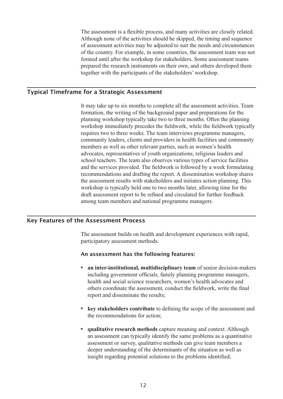The assessment is a flexible process, and many activities are closely related. Although none of the activities should be skipped, the timing and sequence If the participant of the activities should be skipped, the thing and sequence of assessment activities may be adjusted to suit the needs and circumstances of the country. For example, in some countries, the assessment team was not formed until after the workshop for stakeholders. Some assessment teams prepared the research instruments on their own, and others developed them together with the participants of the stakeholders workshop.

# Typical Timeframe for a Strategic Assessment planning workshop typically take two to three months. Often the planning workshop is precedent to field work the fieldwork typically the fieldwork typically the fieldwork typically typically typically typically typically typically typically typically typically typically typically typically typi

It may take up to six months to complete all the assessment activities. Team community leader that the process in the assessment derivates. Formation, the writing of the background paper and preparations for the planning workshop typically take two to three months. Often the planning workshop typically take two to three months. Often the planning planning workshop typicarly take two to three months. Often the planning<br>workshop immediately precedes the fieldwork, while the fieldwork typically school teachers. The team interviews programme managers, community leaders, clients and providers in health facilities and community readers, clients and providers in health facilities and community referred the relevant providers in health definites and community<br>members as well as other relevant parties, such as women's health the assessment results with state and increase and increase and increase and increase and increase and increase and increase and increase and increase and increase and increase and increase and increase and increase and in advocates, representances of your organizations, religious readers and school teachers. The team also observes various types of service facilities and the services provided. The fieldwork is followed by a week formulating and the services provided. The heldwork is followed by a week formulating<br>recommendations and drafting the report. A dissemination workshop shares the assessment results with stakeholders and initiates action planning. This workshop is typically held one to two months later, allowing time for the draft assessment report to be refined and circulated for further feedback among team members and national programme managers.

# Key Features of the Assessment Process

The assessment builds on health and development experiences with rapid, including assessment includes. **FINE ASSESSMENT OUTIES OF INCRITE AND ADDETED ATTACK PARTICIPATORS WITH TAPID,**<br>participatory assessment has the following features:<br>**an inter-institutional, multidisciplinary team** of senior decision-makers

# An assessment has the following features: assessment has the following features.

- including government officials, family planning programme managers, health and social science researchers, women's health advocates and others coordinate the assessment, conduct the fieldwork, write the final er inter institutional multidical report and disseminate the results; **Example 19 Set also assess the set also see also see also see also see also see also see also see also see also see also see also see also see also see also separate the assessment, conduct the fieldwork, write the final**
- the recommendations for action: ■ **key stakeholders contribute** to defining the scope of the assessment and the recommendations for action;<br>■ **qualitative research methods** capture meaning and context. Although  $\frac{1}{2}$ assessment or survey were medicined in the survey of the assessment de the definition of the situation as well as well as well as well as well as well as well as well as well as well as well as well as well as well as well as well as well as well as well as well as well as well as well as
- **unditative research methods** capture meaning and context. Although an assessment can typically identify the same problems as a quantitative assessment or survey, qualitative methods can give team members a deeper understanding of the determinants of the situation as well as insight regarding potential solutions to the problems identified;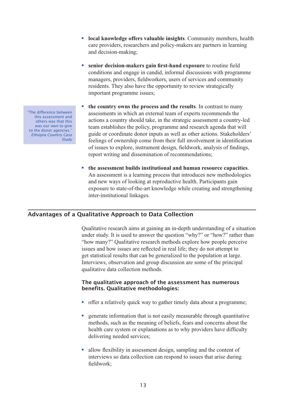- **local knowledge offers valuable insights**. Community members, health conditions and policy-makers are partners in learning care providers, researchers and policy-makers are partners in learning residents. The opportunity to review strategically the opportunity to review strategically the opportunity to review strategically the opportunity of the strategical methods of the strategical methods of the strategical me ■ **local knowledge offers valuable insights**. Community members, l care providers, researchers and policy-makers are partners in learniand decision-making;<br>
■ senior decision-makers gain first-hand exposure to routine fie eart providers, researchers and poncy-makers are partners in rearming
- conditions and engage in candid, informal discussions with programme managers, providers, networkers, assess or services and community<br>residents. They also have the opportunity to review strategically senior decision-makers gain first-hand exposure to routine field term establishes the programme assues, **EXECUTE COUNTERNATE CONTROLLER STATES THEORY**<br> **the country also have the opportunity to review strategically**<br> **the country owns the process and the results**. In contrast to many residents. They also have the opportunity to review strategically
- for country owns the process and the results. In contrast to many<br>assessments in which an external team of experts recommends the assessments in which an external team of experts recommends the<br>actions a country should take, in the strategic assessment a country-led reproductions a country should take, in the strategic assessment a country recommended that will the country owns the process and the results. In contrast to many guide or coordinate donor inputs as well as other actions. Stakeholders' feelings of ownership come from their full involvement in identification Analysis of ownership come from their fun involvement in identification<br>of issues to explore, instrument design, fieldwork, analysis of findings, and new complete, instrument design, network, analysis of find<br>report writing and dissemination of recommendations; **Example 3 the assessment builds institutional and human resource capacities**.<br> **the assessment builds institutional and human resource capacities.** report while and assemination of recommendations,
- An assessment is a learning process that introduces new methodologies and new ways of looking at reproductive health. Participants gain exposure to state-of-the-art knowledge while creating and strengthening the essessment builds inst mer-institutional inkages.

# Advantages of a Qualitative Approach to Data Collection "how many?" Qualitative research methods explore how people perceive is under a product to baid concentri

Qualitative research aims at gaining an in-depth understanding of a situation Intervention and gaining an interview and group of a structure under study. It is used to answer the question "why?" or "how?" rather than "how many?" Qualitative research methods explore how people perceive issues and how issues are reflected in real life; they do not attempt to get statistical results that can be generalized to the population at large. Interviews, observation and group discussion are some of the principal qualitative data collection methods.

# The qualitative approach of the assessment has numerous benefits. Qualitative methodologies: qualitative data conection methods.<br> **The qualitative approach of the assessment has numerous**<br> **SECUTE:**<br> **SECUTE:**<br> **SECUTE:**<br> **SECUTE:**<br> **SECUTE:**<br> **SECUTE:**<br> **SECUTE:**<br> **SECUTE:**<br> **SECUTE:**<br> **SECUTE:**<br> **SECUTE:**<br> **SECU**

- offer a relatively quick wey to gether timely date about a noncomment ditter a relatively quick way
- generate information that is not easily measurable through quantitative interviews, such as the meaning of benefits, rears and concerns about the health care system or explanations as to why providers have difficulty delivering needed services generate information that is not easily measurable amodgle quantital<br>methods, such as the meaning of beliefs, fears and concerns about<br>health care system or explanations as to why providers have difficu<br>delivering needed
- interviews so data collection can respond to issues that arise during fieldwork;

"The difference between this assessment and others was that this was our own to give to the donor agencies." *Ethiopia Country Case Study*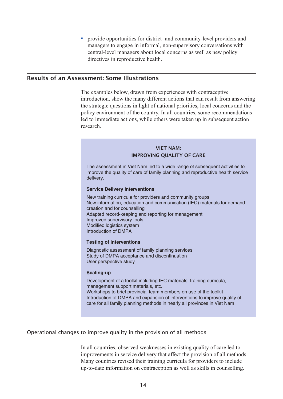• provide opportunities for district- and community-level providers and managers to engage in informal, non-supervisory conversations with central-level managers about local concerns as well as new policy directives in reproductive nearm.

# Results of an Assessment: Some Illustrations the strategic questions in light of national priorities, local concerns and the politicians of the countries, some recommendations, some recommendations, some recommendations, some recommendations

The examples below, drawn from experiences with contraceptive introduction, show the many different actions that can result from answering the strategic questions in light of national priorities, local concerns and the policy environment of the country. In all countries, some recommendations led to immediate actions, while others were taken up in subsequent action research.

### VIET NAM: IMPROVING QUALITY OF CARE improve the quality of  $\mathcal{M}$  improve the quality of family planning and reproductive health service health service health service health service health service health service health service health service health servic

The assessment in Viet Nam led to a wide range of subsequent activities to

The assessment in Viet Nam led to a wide range of subsequent activities to Interactions and the reality of care of family planning and reproductive health service delivery. new independence of our original planning and reproductive nearly convict<br>dollarger  $conv,$   $f$ .

### **Service Delivery Interventions**  $\frac{1}{2}$  improved supervisory to  $\frac{1}{2}$

New training curricula for providers and community group: New information, education and communication (IEC) materials for demand creation and for counselling Adapted record-keeping and reporting for management Improved supervisory tools miproved supervisory tools<br>Modified logistics system **Introduction of DMPA** and discontinuation of DMPA  $U$ 

## **Testing of Interventions**

Diagnostic assessment of family planning services Diagnosito assessment of larmly planning services<br>Study of DMPA acceptance and discontinuation blaay of BMI 71 acceptance and also<br>User perspective study Workshops to brief provincial team members on use of the toolkit team members of the toolkit team members of the tool

#### **Scaling-up** Introduction of DMPA and expansion of interventions to improve quality of

care for all family planning methods in nearly all provinces in the second in  $\mathcal{L}$  provinces in  $\mathcal{L}$ management support materials, etc. Workshops to brief provincial team members on use of the toolkit Introduction of DMPA and expansion of interventions to improve quality of care for all family planning methods in nearly all provinces in Viet Nam

In all countries, observed weak nested weak nested weak  $\alpha$ 

# Operational changes to improve quality in the provision of all methods up-to-date information on contraception as well as skills in counselling.

In all countries, observed weaknesses in existing quality of care led to improvements in service delivery that affect the provision of all methods. Many countries revised their training curricula for providers to include up-to-date information on contraception as well as skills in counselling.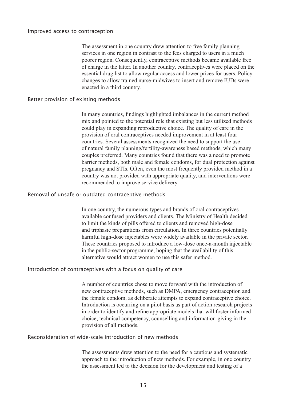# Improved access to contraception. Consequently, contract methods became available free methods became available f of charge in the latter. In another country, contraceptives were placed on the

The assessment in one country drew attention to free family planning. changes to all one region in contrast to the fees charged to users in a much poorer region. Consequently, contraceptive methods became available free of charge in the latter. In another country, contraceptives were placed on the essential drug list to allow regular access and lower prices for users. Policy  $\frac{1}{2}$  many countries highlighted images to another method in the current method in the current method is constant. enacted in a third country.  $max$  and  $sum$  country.

# Better provision of existing methods and could play in the quality of care in the quality of care in the quality of care in the quality of care in the quality of care in the quality of care in the quality of care in the qu provision of oral contraceptives needed improvement in at least four

In many countries, findings highlighted imbalances in the current method m many countries, including inginging meantances in the current methods mix and pointed to the potential role that existing but less utilized methods could play in expanding reproductive choice. The quality of care in the barrier methods, both methods, both male and female condom-<br>provision of oral contraceptives needed improvement in at least four provision of our contraceptives needed improvement in at least four<br>countries. Several assessments recognized the need to support the use countries. Several assessments recognized the need to support the use<br>of natural family planning/fertility-awareness based methods, which many couples preferred. Many countries found that there was a need to promote barrier methods, both male and female condoms, for dual protection against pregnancy and STIs. Often, even the most frequently provided method in a In the was not provided with appropriate quality, and meet ventions were recommended to improve service denvery.

# Removal of unsafe or outdated contraceptive methods and triphasic preparations from circulation. In three countries potentially

In one country, the numerous types and brands of oral contraceptives In the country, the name out types and clients of our contrace prices<br>available confused providers and clients. The Ministry of Health decided in the providers and chemistry of the available<br>to limit the kinds of pills offered to clients and removed high-dose and triphasic preparations from circulation. In three countries potentially harmful high-dose injectables were widely available in the private sector. These countries proposed to introduce a low-dose once-a-month injectable in the public-sector programme, hoping that the availability of this In the plone-sector programme, hoping that the availability of this alternative would attract women to use this safer method. anemative would attract women to use this such method.

# Introduction of contraceptives with a focus on quality of care In the control is occurring on a pilot basis as part of action research projects as part of action research projects

A number of countries chose to move forward with the introduction of new contraceptive methods, such as DMPA, emergency contraception and the female condom, as deliberate attempts to expand contraceptive choice. Introduction is occurring on a pilot basis as part of action research projects in order to identify and refine appropriate models that will foster informed there, it and the drew attention to the need for a cautious and systematical for a cautious and super provision of all methods. provision of an includus.

# Reconsideration of wide-scale introduction of new methods

The assessments drew attention to the need for a cautious and systematic approach to the introduction of new methods. For example, in one country the assessment led to the decision for the development and testing of a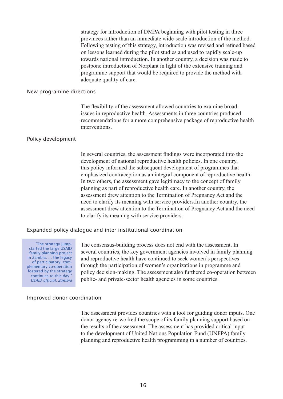strategy for introduction of DMPA beginning with pilot testing in three provinces rather than an immediate wide-scale introduction of the method. provinces rather than an immediate which search into diction of the method.<br>Following testing of this strategy, introduction was revised and refined based on lessons learned during the pilot studies and used to rapidly scale-up towards national introduction. In another country, a decision was made to postpone introduction of Norplant in light of the extensive training and programme support that would be required to provide the method with addydaid ydanty of card. Assessments in the countries produced produced produced produced produced produced pro

#### New programme directions recommendations for a more comprehensive package of reproductive package of reproductive package of reproductive health  $\alpha$

The flexibility of the assessment allowed countries to examine broad issues in reproductive health. Assessments in three countries produced Information countries, the assessment finding finding factor of the productive field development of national representative health policies. In our contributions.

## Policy development

In several countries, the assessment findings were incorporated into the m several countries, the assessment intensity were meepperated more development of national reproductive health policies. In one country, assessment of national reproductive nearly policies. In one country, this policy informed the subsequent development of programmes that need to contract the subsequent development of programmes that emphasized contraception as an integral component of reproductive health. In two others, the assessment gave legitimacy to the concept of family the concept of the concept of the measurement of reproductive health care. In another country, the assessment drew attention to the Termination of Pregnancy Act and the need to clarify its meaning with service providers. In another country, the assessment drew attention to the Termination of Pregnancy Act and the need to clarify its meaning with service providers. several countries, the key government agencies involved in family planning

# Expanded policy dialogue and inter-institutional coordination  $\mathbf{t}$  through the participation of women's organization of  $\mathbf{t}$

"The strategy jumpstarted the large USAID family planning project in Zambia. … the legacy of participatory, complementary co-operation fostered by the strategy continues to this day. *USAID official, Zambia*

The consensus-building process does not end with the assessment. In price consensus buriding process does not end while dissessment. In several countries, the key government agencies involved in family planning and reproductive health have continued to seek women's perspectives through the participation of women's organizations in programme and policy decision-making. The assessment also furthered co-operation between public- and private-sector ficatulagencies in some countries.

#### Improved donor coordination  $t_{\text{ination}}$

The assessment provides countries with a tool for guiding donor inputs. One donor agency re-worked the scope of its family planning support based on the results of the assessment. The assessment has provided critical input to the development of United Nations Population Fund (UNFPA) family planning and reproductive health programming in a number of countries.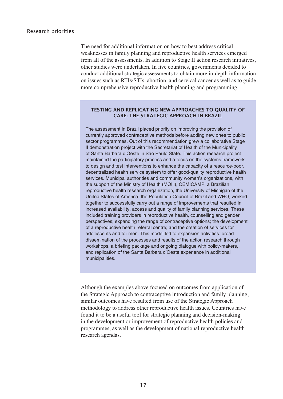The need for additional information on how to best address critical not help is a RTIS in the metal cancer and the metal cancer as RTIS weaknesses in family planning and reproductive health services emerged more comprehensive reproductive health services emerged<br>from all of the assessments. In addition to Stage II action research initiatives, other studies were undertaken. In five countries, governments decided to conduct additional strategic assessments to obtain more in-depth information on issues such as RTIs/STIs, abortion, and cervical cancer as well as to guide more comprehensive reproductive health planning and programming.

# TESTING AND REPLICATING NEW APPROACHES TO QUALITY OF **CARE: THE STRATEGIC APPROACH IN BRAZIL**

The assessment in Brazil placed priority on improving the priority on improving the proving the provision of  $\mu$ 

municipalities. The assessment in Brazil placed priority on improving the provision of maintained the participator process and a formulation of the process of public currently approved contraceptive methods before adding new ones to public to design and test interventions to determine the capacity of a resource-sector programmes. Out of this recommendation grew a collaborative-Stage decentralized health service states in the offer and the secretarial of the deceptative budge-<br>If demonstration project with the Secretariat of Health of the Municipality semendation project mature excretation of the and communicipally<br>of Santa Barbara d'Oeste in São Paulo State. This action research project the summarization of the Support of the Support of the Support of Health (MOH), contains the Minister of Ministers of Ministers of Ministers of Ministers of Ministers of Ministers of Ministers of Ministers of Ministers of representation and participately process and a research are systems hardered.<br>to design and test interventions to enhance the capacity of a resource-poor, United States of America, the Political of America, the States of a research poor,<br>decentralized health service system to offer good-quality reproductive health together to successfully carried by the range of inputs that resulted in provider that results that results that results that results that results that results that results that results in the services. With for those managed additioned and community nomen's eigenizations, mani-<br>the support of the Ministry of Health (MOH), CEMICAMP, a Brazilian include training providers in reductions in reproductive health research organization, the University of Michigan of the persustance reductives such stiganal and represently of misrigan states of America, the Population Council of Brazil and WHO, worked of a representative of various and the creation of series of services for services for services for services for services for services for services for services for services for services for services for services for servi adolescents and for mention mention in the total and for mention and to experience in increased availability, access and quality of family planning services. These discussed are manuscript of the productive health, counselling and gender molessed walking provisors in represence rediking configurating directions.<br>perspectives: expanding the range of contraceptive options; the development perspectives, expanding the range of contraceptive spirence, the development of a reproductive health referral centre; and the creation of services for adolescents and for men. This model led to expansion activities: broad dissemination of the processes and results of the action research through workshops, a briefing package and ongoing dialogue with policy-makers, and replication of the Santa Barbara d'Oeste experience in additional

Although the examples above focused on outcomes from application of Indicugn the examples above focused on oddomes from approach or the Strategic Approach to contraceptive introduction and family planning, production and rainity prairing<br>similar outcomes have resulted from use of the Strategic Approach minary decomes have resulted from use of the strategie? Approach found it to be a useful tool for strategic planning and decision-making in the development or improvement of reproductive health policies and programmes, as well as the development of national reproductive health research agendas.

similar outcomes have resulted from use of the Strategic Approach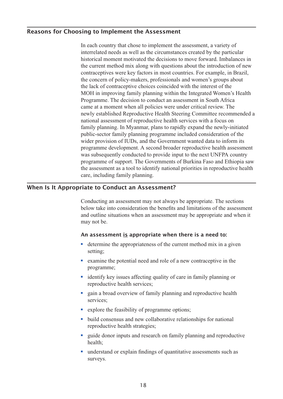# Reasons for Choosing to Implement the Assessment historical moment motivated the decisions to move forward. Imbalances in the current method mix along with  $\alpha$

In each country that chose to implement the assessment, a variety of the country-makers of implement the assessment, a variety of interrelated needs as well as the circumstances created by the particular the lack of contract of contract of the decisions of contract of the particular historical moment motivated the decisions to move forward. Imbalances in motorical moment motivated the decisions to move forward. Infediances in the current method mix along with questions about the introduction of new exercise the decision to the decision to the decision of the contraceptives were key factors in most countries. For example, in Brazil, contact prives were key factors in most countries. To call private the concern of policy-makers, professionals and women's groups about newly make the Repressional and women's groups about<br>the lack of contraceptive choices coincided with the interest of the not have been contractly as the represented with the interest of the MOH in improving family planning within the Integrated Women's Health From in Improving family planning within the meghaved women's frequency. public-section family position in assessment in boundary programme. The consideration of the consideration of the consideration of the consideration of the constant  $\alpha$ eding at a moment when an poncies were ander critical review. The newly established Reproductive Health Steering Committee recommended a productive reality school commute becommended?<br>
a second assessment of reproductive health services with a focus on refluited to provide the next use of the next use of the next use of family planning. In Myanmar, plans to rapidly expand the newly-initiated programme of support. The Government of Support of Support and Tennis Consideration of the public-sector family planning programme included consideration of the ptione sector rannity praining programme increased consideration of the wider provision of IUDs, and the Government wanted data to inform its programme development. A second broader reproductive health assessment was subsequently conducted to provide input to the next UNFPA country programme of support. The Governments of Burkina Faso and Ethiopia saw the assessment as a tool to identify national priorities in reproductive nearly care, including failing planning.

# When Is It Appropriate to Conduct an Assessment? and outline situations when an assessment may be appropriate and when it nate to be

Conducting an assessment may not always be appropriate. The sections below take into consideration the benefits and limitations of the assessment y not be. Solutionary not be appropriate and where the appropriate and where the appropriate when there is a need to:<br>
■ determine the appropriateness of the current method mix in a given

# An assessment <u>is</u> appropriate when there is a need to:

- reproductive health services; ■ determine the appropriateness of the current method mix in a given<br>setting;<br>■ examine the potential need and role of a new contraceptive in the
- programme
- identify key issues affecting quality of care in family planning or reproductive health services; • examine the potential need and role of a new contraceptive in the programme;<br>
• identify key issues affecting quality of care in family planning or reproductive health services;<br>
• gain a broad overview of family plannin
- Identity key issues arrecting quality of care in<br>reproductive health services;<br>gain a broad overview of family planning and<br>services;<br>explore the feasibility of programme options; ■ explore the feasibility of programme options;<br>■ build consensus and new collaborative relationships for national gain a broad overview of fami
- explore the feasibility of programme options;
- reproductive nearth strategies. • explore the feasibility of programme options;<br>
• build consensus and new collaborative relationships for national<br>
reproductive health strategies;<br>
• guide donor inputs and research on family planning and reproductive
- bund consensus and new conaborative relationships for national<br>reproductive health strategies;<br>guide donor inputs and research on family planning and reproduction<br>health;<br>understand or explain findings of quantitative as
- surveys.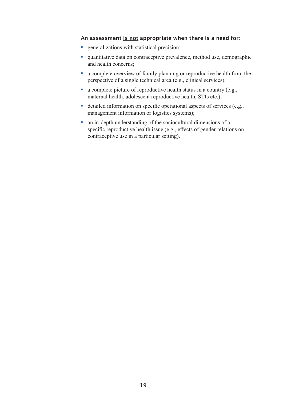# An assessment <u>is not</u> appropriate when there is a need for: An assessment <u>is not</u> appropriate when there is a nee<br>■ generalizations with statistical precision; and health concerns;

- 
- quantitative data on contraceptive prevalence, method use, demographic and health concerns;
- a complete overview of family planning or reproductive health from the perspective of a single technical area (e.g., clinical services) • quantitative data on contraceptive prevalence, method use, demogrand health concerns;<br>
• a complete overview of family planning or reproductive health fro<br>
perspective of a single technical area (e.g., clinical services)
- maternal nealth, adolescent reproductive health,  $S$  i is etc.); • a complete overview of ramily planning or reproductive nealth from the perspective of a single technical area (e.g., clinical services);<br>
• a complete picture of reproductive health status in a country (e.g., maternal he
- management information or logistics systems); • a complete picture or reproductive health status in a country (e.<br>maternal health, adolescent reproductive health, STIs etc.);<br>detailed information on specific operational aspects of services<br>management information or lo detailed information on specific operatio
- specific reproductive health issue (e.g., effects of gender relations on contraceptive use in a particular setting).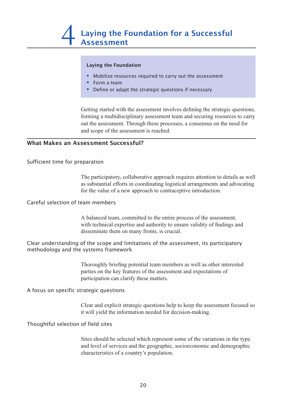## Laying the Foundation

- $\blacksquare$  Mobilize resources required to carry out the assessment
	- Form a team
- $\frac{1}{2}$  forming a multiplier assessment team and securing resources to carry resources to carry resources to carry resources to carry resources to carry resources to carry resources to carry resources to carry resources **Define or adapt the strategic questions if necessary**  $\blacksquare$

Getting started with the assessment involves defining the strategic questions, forming a multidisciplinary assessment team and securing resources to carry out the assessment. Through these processes, a consensus on the need for and scope of the assessment is reached.

#### What Makes an Assessment Successful?  $T_{\text{SUSJHCH}}$  succession.

Sufficient time for preparation

The participatory, collaborative approach requires attention to details as well as substantial efforts in coordinating logistical arrangements and advocating as substantial critics in coordinating togistical arrangements and adv<br>for the value of a new approach to contraceptive introduction. for the value of a fiew approach to contrace prive introduction.

# Careful selection of team members

A balanced team, committed to the entire process of the assessment, with technical expertise and authority to ensure validity of findings and  $\mu$ s as  $\mu$  and  $\mu$  as  $\mu$  and  $\mu$  as  $\mu$  as  $\mu$  as  $\mu$  as  $\mu$  as  $\mu$  as  $\mu$  as  $\mu$  as  $\mu$  and  $\mu$ 

Clear understanding of the scope and limitations of the assessment, its participatory participation can complete the settlement can contain the control of the matter of the methodology and the systems framework

> Thoroughly briefing potential team members as well as other interested parties on the Key readings of the assessment and expectations of participation can clarify these matters.

A focus on specific strategic questions

Sites and explicit strategic questions help to weep the assessment focused so a will yield the information needed for decision-making.

# Thoughtful selection of field sites

Sites should be selected which represent some of the variations in the type and level of services and the geographic, socioeconomic and demographic characteristics of a country's population.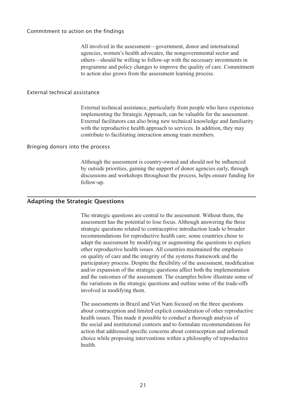# Commitment to action on the findings commitments in the necessary investment of  $\alpha$ programme and policy changes to improve the quality of care. Commitment

All involved in the assessment—government, donor and international agencies, women's health advocates, the nongovernmental sector and others—should be willing to follow-up with the necessary investments in programme and policy changes to improve the quality of care. Commitment to action also grows from the assessment realing process.

#### External technical assistance  $\sum_{i=1}^{n}$

External technical assistance, particularly from people who have experience implementing the Strategic Approach, can be valuable for the assessment. External facilitators can also bring new technical knowledge and familiarity with the reproductive health approach to services. In addition, they may Although the assessment is contribute to facilitating interaction among team members. contribute to facilitating interaction among team includers.

# Bringing donors into the process discussions and workshops throughout the process of the process of the process follow-up.

Although the assessment is country-owned and should not be influenced by outside priorities, gaining the support of donor agencies early, through discussions and workshops throughout the process, helps ensure funding for follow-up.  $T_{\text{total}}$  to the assessment. With the assessment to the assessment. Without the assessment. Without the assessment of  $T_{\text{total}}$  the assessment. We also assessment of  $T_{\text{total}}$  the assessment of  $T_{\text{total}}$  and  $T_{\text{total}}$  are

# Adapting the Strategic Questions strategic questions related to contraceptive introduction leads to broader requestions for representations for representations countries chose to the countries chose to the countries chose to the countries chose to the countries chose to the countries chose to the countries chose to the countries

The strategic questions are central to the assessment. Without them, the assessment has the potential to lose focus. Although answering the three assessment has the potential to lose focus. Thinough answering the three<br>strategic questions related to contraceptive introduction leads to broader participatory processes. Designed to contribute the flexibility of the flexibility of the countries chose to and the assessment by modifying or augmenting the questions to explore and the assessment by mouriging or augmenting the questions to explore other reproductive health issues. All countries maintained the emphasis of the variations in the strategie manifester of the systems framework and the original of care and the integrity of the systems framework and the on quanty of early and the meghty of the systems halflework and the participatory process. Despite the flexibility of the assessment, modification and/or expansion of the strategic questions affect both the implementation and the outcomes of the strategic questions ariset both the imprementation<br>and the outcomes of the assessment. The examples below illustrate some of and the outcomes of the assessment. The examples below must alleve some of the variations in the strategic questions and outline some of the trade-offs involved in modifying them. here variations in the strategic questions and outline some or the trade  $t_{\text{H}}$  and  $t_{\text{H}}$  and  $t_{\text{H}}$  and the formulations for  $t_{\text{H}}$ 

The assessments in Brazil and Viet Nam focused on the three questions about contraception and limited explicit consideration of other reproductive health issues. This made it possible to conduct a thorough analysis of the social and institutional contexts and to formulate recommendations for action that addressed specific concerns about contraception and informed choice while proposing interventions within a philosophy of reproductive health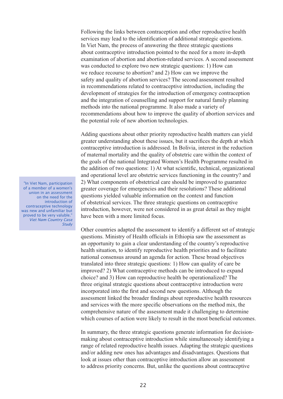Following the links between contraception and other reproductive health reflowing the finks between contraception and other reproductive heats In Viet Nam, the process of answering the three strategic questions in vice ream, are process or answering the time strategic questions<br>about contraceptive introduction pointed to the need for a more in-depth examination of abortion and abortion-related services. A second assessment was conducted to explore two new strategic questions: 1) How can and the integration of counselling and support for natural family planning methods into the national problem. The national problem we implied the safety and quality of abortion services? The second assessment resulted in recommendations related to contraceptive introduction, including the the recommendations related to contrace prive inflocuted in, including the development of strategies for the introduction of emergency contraception and the integration of counselling and support for natural family planning and the integration of counselling and support for hattara railing planning<br>methods into the national programme. It also made a variety of recommendations about how to improve the quality of abortion services and communications about now to improve the quarty or abortion services and the potential role of new abortion technologies. and potential fore of new doorlon teenhologies.

Adding questions about other priority reproductive health matters can yield the addition of two about other priority reproductive headth matters can yield greater understanding about these issues, but it sacrifices the depth at which contraceptive introduction is addressed. In Bolivia, interest in the reduction of material mortality and the quality of obstetric care within the context of greater concentration in the context of the goals of the national Integrated Women's Health Programme resulted in the goals of the hatformations: 1) At what scientific, technical, organizational and operational level are obstetric services functioning in the country? and 2) What components of obstetrical care should be improved to guarantee greater coverage for emergencies and their resolutions? These additional questions yielded valuable information on the context and function of obstetrical services. The three strategic questions on contraceptive of obsteamed services. The three strategic questions on contract prive introduction, however, were not considered in as great detail as they might and opportunity to gain a clear understanding of the country of the country of the country of the country of the country of the country of the country of the country of the country of the country of the country of the coun have been with a more influentification.

Other countries adapted the assessment to identify a different set of strategic other countries adapted the assessment to dentity a unferent set of strategies questions. Ministry of Health officials in Ethiopia saw the assessment as an opportunity to gain a clear understanding of the country's reproductive an opportunity to gain a cicar understanding or the country s reproductive health situation, to identify reproductive health priorities and to facilitate the measure of the strategic procedure in the measurement of the measurement of the measurement of the measurement of the measurement of the measurement of the measurement of the measurement of the measurement of the measu incorporated into three strategic questions: 1) How can quality of care be mansiated the three strategic questions. To from each quality of care of improved? 2) What contraceptive methods can be introduced to expand  $\frac{1}{2}$  and 3) How can reproductive health be operationalized? The choice: and 3) How can reproductly health of operationalized: The three original strategic questions about contraceptive introduction were ince original stategic questions about contact prive introduction were incorporated into the first and second new questions. Although the assessment linked the broader findings about reproductive health resources In summary, the three strategic discussions of the method mix, the and services with the more specific observations on the method mix, the comprehensive nature of the assessment made it challenging to determine rangements of reduction were likely to result in the most beneficial outcomes which coulses of action were likely to result in the most centeretal outcome

to a different morthland to determine the making about contraceptive introduction while simultaneously identifying a range of related reproductive health issues. Adapting the strategic questions and/or adding new ones has advantages and disadvantages. Questions that In summary, the three strategic questions generate information for decisionlook at issues other than contraceptive introduction allow an assessment to address priority concerns. But, unlike the questions about contraceptive

"In Viet Nam, participation of a member of a women's union in an assessment on the need for the introduction of contraceptive technology was new and unfamiliar but proved to be very valuble." *Viet Nam Country Case Study*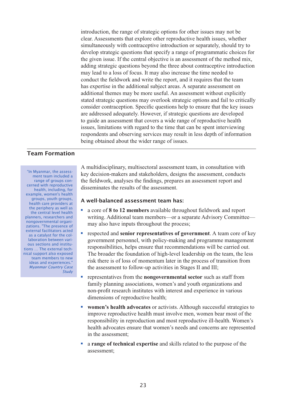introduction, the range of strategic options for other issues may not be addition, the range of strategic options for other issues may not be<br>clear. Assessments that explore other reproductive health issues, whether simultaneously with contraceptive introduction or separately, should try to develop strategic questions that specify a range of programmatic choices for the given issue. If the central objective is an assessment of the method mix, adding strategic questions beyond the three about contraceptive introduction stated strategic questions ocyone are three about contract prive introduction<br>may lead to a loss of focus. It may also increase the time needed to conduct the fieldwork and write the report, and it requires that the team are addressed and with the report, and it requires that the team<br>has expertise in the additional subject areas. A separate assessment on that the guide and a wide range and the subsequent that covers additional themes may be more useful. An assessment without explicitly is taken in the time that is not the time that the time that can be spent interviewed that the spent of state spent in the spent of the time that can be spent in the spent of the time that can be spent in the spent of the restated strategic questions may overlook strategic options and ran to errittean being consider contract priori. Specific questions help to chistre that the key is.<br>are addressed adequately. However, if strategic questions are developed to guide an assessment that covers a wide range of reproductive health issues, limitations with regard to the time that can be spent interviewing respondents and observing services may result in less depth of information respondents being obtained about the wider range of issues.

# Team Formation

ous sections and institu-<br>-tions ... The external tech "In Myanmar, the assessment team included a range of groups concerned with reproductive health, including, for example, women's health groups, youth groups, health care providers at the periphery as well as the central level health planners, researchers and nongovernmental organizations. "The presence of external facilitators acted as a catalyst for the collaboration between various sections and institunical support also exposed team members to new ideas and experiences.' *Myanmar Country Case Study*

A multidisciplinary, multisectoral assessment team, in consultation with key decision-makers and stakeholders, designs the assessment, conducts **EXECUTE:** the fieldwork, analyses the findings, prepares an assessment report and<br>disseminates the results of the assessment.<br>**A well-balanced assessment team has:**<br>**a** core of **8 to 12 members** available throughout field disseminates the results of the assessment.

the fieldwork, analyses the findings, prepares an assessment report and

# A well-balanced assessment team has:

- writing. Additional team members—or a separate Advisory Committeemay also have inputs throughout the process; ■ a core of **8 to 12 members** available throughout fieldwork and report<br>writing. Additional team members—or a separate Advisory Committee—<br>may also have inputs throughout the process;<br>respected and **senior representatives** a core of 8 to 12 members available throughout fieldwork and report
- the assessment to follow-up activities in Seventhement, it is called to the government personnel, with policy-making and programme management responsibilities, helps ensure that recommendations will be carried out. The broader the foundation of high-level leadership on the team, the less regreed and conjournementatives of government. A team ears of trans risk there is of loss of momentum later in the process of transition from the assessment to follow-up activities in Stages II and III responsibilities, helps ensure that recommendations will be carried on<br>The broader the foundation of high-level leadership on the team, the l<br>risk there is of loss of momentum later in the process of transition fro<br>the ass
- family planning associations, women's and youth organizations and non-profit research institutes with interest and experience in various dimensions of reproductive health; ■ representatives from the **nongovernmental sector** such as staff from family planning associations, women's and youth organizations and non-profit research institutes with interest and experience in various dimensions of
- improve reproductive health must involve men, women bear most of the health advocates ensure that women's needs and concerns are represented women's health advocates or activists. Although successful strategies to in the assessment; mprove reproductive health must involve men, women bear most of the responsibility in reproduction and most reproductive ill-health. Women health advocates ensure that women's needs and concerns are represen in the assess responsibili
- assessment;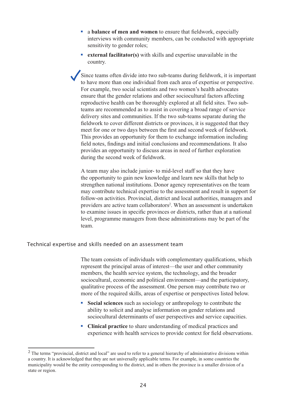- a **balance of men and women** to ensure that fieldwork, especially interviews with community members, can be conducted with appropriate sensitivity to gender roles; ■ **a balance of men and women** to ensure that fieldwork, especially interviews with community members, can be conducted with appr sensitivity to gender roles;<br>■ **external facilitator(s)** with skills and expertise unavaila
- country.  $\blacksquare$  external facilitate  $\alpha$  with ability and expertise ynexpitable in the For the members of which said and taperist and tandard in the  $\epsilon$  that the generations affecting socio-cultural factors affecting  $\epsilon$

Since teams often divide into two sub-teams during field work, it is important the came of any of the comment as the comment of the comment of the control of the properties of perspective. delivery sites and two sub-teams in the theorem is the two sub-teams of experiments of perspective for example, two social scientists and two women's health advocates for example, two social setembles and they women's health developed to ensure that the gender relations and other sociocultural factors affecting The productive nearly can be discognized and them to the sites. The subfield notes, find the communities. If the two sub-teams separate during the provides and communities. If the two sub-teams separate during the fieldwork to cover different districts or provinces, it is suggested that they reproductive health can be thoroughly explored at all field sites. Two submeet for one or two days between the first and second week of fieldwork. This provides an opportunity for them to exchange information including This provides an opportunity for them to exeminge information metaling<br>field notes, findings and initial conclusions and recommendations. It also the opportunity to discuss areas in need of further exploration during the second week of fieldwork. provides an opportunity to discuss areas in need or further exploration

A team may also include junior- to mid-level staff so that they have and learn new skills that help to providers and learn collaborators are active team of the opportunity to gain new knowledge and learn new skills that help to strengthen national institutions. Donor agency representatives on the team may contribute technical expertise to the assessment and result in support for follow-on activities. Provincial, district and local authorities, managers and . WHEIL AIL ASSESSINEIN IS UNUELLAKEN to examine issues in specific provinces or districts, rather than at a national level, programme managers from these administrations may be part of the  $T_{\text{total}}$ 

# Technical expertise and skills needed on an assessment team

The team consists of individuals with complementary qualifications, which more can consist of marylands with complementary quantications, with represent the principal areas of interest—the user and other community members, the health service system, the technology, and the broader iocultural, economic and political environment—and the participatory, solitative process of the assessment. One person may contribute two or more of the required skills, areas of expertise or perspectives listed below. members, the health service system, the technology, and the broader sociocultural, economic and political environment—and the participate qualitative process of the assessment. One person may contribute two contribute or p

- ability to solicit and analyse information on gender relations and sociocultural determinants of user perspectives and service capacities. • **Social sciences** such as sociology or anthropology to contribute the ability to solicit and analyse information on gender relations and sociocultural determinants of user perspectives and service capacit <br>• **Clinical pr** Social sciences such as sociology or anthropology to contribute the
- experience with health services to provide context for field observations. " Clinical practice to share understanding of medical practices and

 $2$  The terms "provincial, district and local" are used to refer to a general hierarchy of administrative divisions within a country. It is acknowledged that they are not universally applicable terms. For example, in some countries the municipality would be the entity corresponding to the district, and in others the province is a smaller division of a state or region.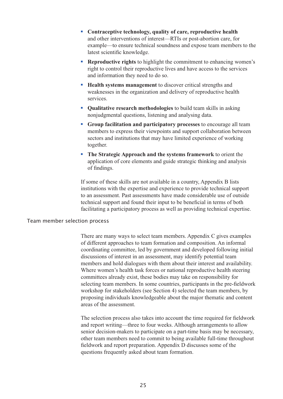- § **Contraceptive technology, quality of care, reproductive health** and other interventions of interest—RTIs or post-abortion care, for latest scientific knowledge. ■ **Contraceptive technology, quality of care, reproductive health** and other interventions of interest—RTIs or post-abortion care, for example—to ensure technical soundness and expose team members to the latest scientific example—to ensure technical sound
- right to control their reproductive lives and have access to the services and information they need to do so. Reproductive rights to highlight the commitment to enhancing<br>right to control their reproductive lives and have access to the se<br>and information they need to do so.<br>**Health systems management** to discover critical strength Reproductive rights to highlight the commitment to enhancing word
- weaknesses in the organization and delivery of reproductive health ■ **Health systems management** to discover critical strengths and<br>weaknesses in the organization and delivery of reproductive health<br>services.<br>■ Qualitative research methodologies to build team skills in asking  $\blacksquare$  Health systems management to discover critical strengths and  $\mathcal{M}$  members to express the support collaboration between  $\mathcal{M}$
- nonjudgmental questions, listening and analysing data SERVICES.<br>
• **Qualitative research methodologies** to build team skills in asking<br> **• Qualitative research methodologies** to build team skills in asking<br> **• Group facilitation and participatory processes** to encourage all t Qualitative research methodologies to build team skills in asking
- sectors and institutions that may have limited experience of working together. ■ **Group facilitation and participatory processes** to encourage all teamembers to express their viewpoints and support collaboration between sectors and institutions that may have limited experience of working together.<br>■ members to express their viewpoints and support collaboration betwee
- incorrection of core elements and guide strategic thinking and analysis of findings.  $\blacksquare$  The Strategic Approach and the systems framework to orient the approach of core crements and garde strategic minimig and anarysis  $\sigma$  munities.

If some of these skills are not available in a country, Appendix B lists institutions with the expertise and experience to provide technical support to an assessment. Past assessments have made considerable use of outside technical support and found their input to be beneficial in terms of both There are many ways to select the many ways to select the members. Appendix contribution as participatory process as well as providing technical expertise. rachitating a participatory process as well as providing technical expertis

# Team member selection process  $\overline{\phantom{a}}$ discussions of interest in an assessment, may identify potential team

There are many ways to select team members. Appendix C gives examples of different approaches to team formation and composition. An informal condinating committee, led by government and developed following initial secolumning committee, i.e. by government and developed following initial discussions of interest in an assessment, may identify potential team members and hold dialogues with them about their interest and availability. proposes and note date gas with them dood their interest and availability.<br>Where women's health task forces or national reproductive health steering committees already exist, these bodies may take on responsibility for selecting team members. In some countries, participants in the pre-fieldwork The selecting team members. In some countries, participants in the pre-included workshop for stakeholders (see Section 4) selected the team members, by and represents the statements (see Section 4) selected the team members, by proposing individuals knowledgeable about the major thematic and content proposing individuals the wide general about the major memane and content der the dissolution.

The selection process also takes into account the time required for fieldwork and report writing—three to four weeks. Although arrangements to allow senior decision-makers to participate on a part-time basis may be necessary, other team members need to commit to being available full-time throughout fieldwork and report preparation. Appendix D discusses some of the questions frequently asked about team formation.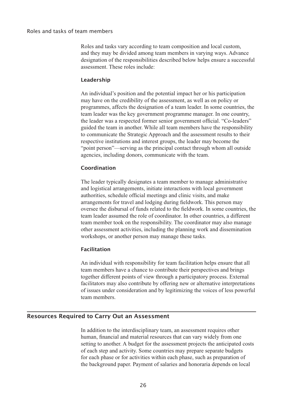# Roles and tasks of team members designation of the responsibilities described below here a successful a successful

Roles and tasks vary according to team composition and local custom, and they may be divided among team members in varying ways. Advance  $\frac{1}{\sqrt{2}}$  individual individual individual individual importance and the position of  $\frac{1}{\sqrt{2}}$  in  $\frac{1}{\sqrt{2}}$  in  $\frac{1}{\sqrt{2}}$  in  $\frac{1}{\sqrt{2}}$  in  $\frac{1}{\sqrt{2}}$  in  $\frac{1}{\sqrt{2}}$  in  $\frac{1}{\sqrt{2}}$  in  $\frac{1}{\sqrt{2}}$  in  $\frac{1$ dessessment, and contest notes the assessment, as

#### Leadership  $\mathbf{p}$  and or chines, the designation of a team leader. In some countries, the designation of a team leader.  $t_{\text{c}}$  and  $t_{\text{c}}$  government programme manager. In one country,  $t_{\text{c}}$

An individual's position and the potential impact her or his participation Fin marylead spossibility of the assessment, as well as on policy or they have on the creationary of the assessment, as well as on poncy of programmes, affects the designation of a team leader. In some countries, the programmes, ancels the designation of a team reader. In some countries, the learn leader was the key government programme manager. In one country, the leader was the key government programme manager. In one country,<br>the leader was a respected former senior government official. "Co-leaders" and respected former sentor government official. Concluders guided the team in another. While all team members have the responsibility to communicate the Strategic Approach and the assessment results to their respective institutions and interest groups, the leader may become the  $T_{\text{total}}$  as the principal contact in order when an outside agencies, including donors, communicate with the team.

# authorities, schedule official meetings and clinic visits, and make  $\alpha$  and make  $\alpha$  $\frac{1}{2}$

The leader typically designates a team member to manage administrative. and logistical arrangements, initiate interactions with local government and registrear analgements, initiate interactions with rocal government<br>authorities, schedule official meetings and clinic visits, and make attitiontes, senedite official meetings and effine visits, and make while the disbursal of funds related to the fieldwork. In some countries, the team leader assumed the role of coordinator. In other countries, a different team member took on the responsibility. The coordinator may also manage  $\frac{1}{4}$  individual with responsibility for the team facilitation helps ensure that all  $\frac{1}{4}$  is all  $\frac{1}{4}$  is all  $\frac{1}{4}$  is also that all  $\frac{1}{4}$  is also that all  $\frac{1}{4}$  is also that all  $\frac{1}{4}$  is also workshops, or another person may manage these tasks.

#### Facilitation together different points of view through a participation of view through a participation of view through a par  $\frac{1}{2}$  also contribute by or alternative interpretations of  $\frac{1}{2}$

An individual with responsibility for team facilitation helps ensure that all team members have a chance to contribute their perspectives and brings together different points of view through a participatory process. External facilitators may also contribute by offering new or alternative interpretations of issues under consideration and by legitimizing the voices of less powerful In a dition to the interdisciplinary team, and assessment requires other requires other requires other requires other requires on  $\mathbb{R}^n$ 

# Resources Required to Carry Out an Assessment setting to another. A budget for the assessment projects the anticipated costs  $\alpha$  to early out an Assessment

In addition to the interdisciplinary team, an assessment requires other the background paper. Payment of the background papers on the background paper. Payment of salarities and homoraria dependence on the background paper. setting to another. A budget for the assessment projects the anticipated costs of each step and activity. Some countries may prepare separate budgets for each phase or for activities within each phase, such as preparation of the background paper. Payment of salaries and honoraria depends on local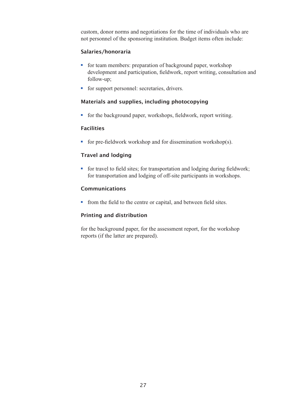custom, donor norms and negotiations for the time of individuals who are **Example 13 for the state of the sponsoring institution.** Budget items often incl<br> **Salaries/honoraria**<br>
• for team members: preparation of background paper, workshop personner of the sponsoring institution, budget hems often include.

# .<br>Salaries/honoraria

- development and participation, fieldwork, report writing, consultation and follow-up; • for team members: preparation of background paper, workshop<br>development and participation, fieldwork, report writing, consul<br>follow-up;<br>for support personnel: secretaries, drivers.
- 

# Materials and supplies, including photocopying

■ for support personnel: secretaries, drivers.<br>
Materials and supplies, including photocopying<br>
■ for the background paper, workshops, fieldwork, report writing. ■ for the background paper, workshops, fieldwork, report writing.<br> **Facilities**<br>
■ for pre-fieldwork workshop and for dissemination workshop(s).

# Facilities

for the field workshop and for dissemination workshop(s).

# Travel and lodging

• for travel to field sites; for transportation and lodging during fieldwork; for transportation and lodging of off-site participants in workshops. for transportation and lodging of off-site participants in workshops.<br> **Communications**<br> **form** the field to the centre or capital, and between field sites.

# Communications

 $\frac{1}{2}$  from the lient to the centre of  $\epsilon$ 

# Printing and distribution

for the background paper, for the assessment report, for the workshop reports (if the latter are prepared).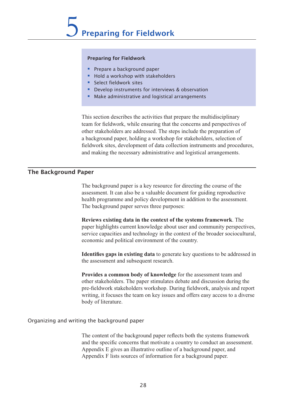## Preparing for Fieldwork

- Prepare a background paper
- Hold a workshop with stakeholders
- Select fieldwork sites
- This section describes the activities that prepare the multidisciplinary § Develop instruments for interviews & observation
- team for fineling that the concerns and serverns and serverns and serverns arrangements and  $\alpha$  Make administrative and logistical arrangements other stakeholders are addressed. The steps include the preparation of  $\mathcal{L}_{\mathcal{S}}$

This section describes the activities that prepare the multidisciplinary team for fieldwork, while ensuring that the concerns and perspectives of other stakeholders are addressed. The steps include the preparation of a background paper, holding a workshop for stakeholders, selection of fieldwork sites, development of data collection instruments and procedures, and making the hecessary administrative and logistical arrangements.

a background paper, holding a workshop for stakeholders, selection of

#### The Background Paper health programme and policy development in addition to the assessment.  $\mathbf{p}$

The background paper is a key resource for directing the course of the assessment. It can also be a valuable document for guiding reproductive parameters community and programme and policy development in addition to the assessment. service capacities and technology in the context of the context of the context.<br>The background paper serves three purposes: The background paper serves three purposes.

**Reviews existing data in the context of the systems framework**. The paper highlights current knowledge about user and community perspectives, paper inginights carrent knowledge about also and community perspectives, service capacities and technology in the context of the broader sociocultural, economic and political environment of the country. **IDENTIFIES CONTROLLERG IS CONTROLLERG IN A DETERMINE SURVEY SERVICE SPACE PROPERTIES AND SERVICE CAPACITIES and technology in the context of the broader sociocultural, economic and political environment of the country.<br>
<b>** 

white association, and subsequent research. **Provides a common body of knowledge** for the assessment team and **Provides a common body of knowledge** for the assessment team and Identifies gans in existing data to concrete lieu questions to be addressed pre-fieldwich stake holders workshop. During the control workshop. During fieldwork, and report the control workshop. The control workshop is an analyze of the control workshop. The control workshop is an analyze of the co

other stakeholders. The paper stimulates debate and discussion during the pre-fieldwork stakeholders workshop. During fieldwork, analysis and report writing, it focuses the team on key issues and offers easy access to a diverse Provides a common body of knowledge for the assessment team and body of literature.  $\sigma$  content of the background paper reflects both the systems framework framework framework framework framework.

# Organizing and writing the background paper  $\mathcal{L}$  is so that for a background paper. The information for a background paper. The information for a background paper.

The content of the background paper reflects both the systems framework and the specific concerns that motivate a country to conduct an assessment. Appendix E gives an illustrative outline of a background paper, and Appendix F lists sources of information for a background paper.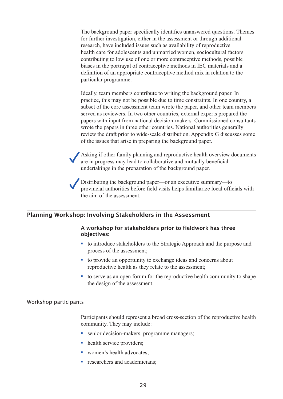The background paper specifically identifies unanswered questions. Themes for further investigation, either in the assessment or through additional reference in a substitution of an approximation of the model method method mix in relation method mix in relation to the method mix in relation to the method mix in relation to the method mix in relation to the method mix health care for adolescents and unmarried women, sociocultural factors contributing to low use of one or more contraceptive methods, possible biases in the portrayal of contraceptive methods in IEC materials and a produces in the postulation of contract prive includes in the materials and a definition of an appropriate contraceptive method mix in relation to the particular programme. subsettion of an appropriate contract prive member in a prediction to the particular programme.

Ideally, team members contribute to writing the background paper. In practice, this may not be possible due to time constraints. In one country, a practice, this may not be possible did to three constraints. In one country, a subset of the core assessment team wrote the paper, and other team members subset of the core assessment team wrote the paper, and other team members served as reviewers. In two other countries, external experts prepared the papers with input from national decision-makers. Commissioned consultants papers with lipat from handler decision makers. Commissioned constitutions wrote the papers in three other countries. National authorities generally review the draft prior to wide-scale distribution. Appendix G discusses some of the issues that arise in preparing the background paper.

Asking if other family planning and reproductive health overview documents provincial and provincial and provincial and implementation of the material are in progress may lead to collaborative and mutually beneficial are in progress may read to condoctance and matually of undertakings in the preparation of the background paper

Distributing the background paper—or an executive summary—to provincial authorities before field visits helps familiarize local officials with the aim of the assessment.

### Planning Workshop: Involving Stakeholders in the Assessment process of the assessment;

# A workshop for stakeholders prior to fieldwork has three objectives: they relate to the assessment;  $\alpha$ **Example 15 to introduce stakeholders in the Assessment<br>
A workshop for stakeholders prior to fieldwork has three<br>
objectives:**<br>
• to introduce stakeholders to the Strategic Approach and the purpose and

- process of the assessment, ■ to introduce stakeholders to the Strategic Approach and the purpose and<br>process of the assessment;<br>■ to provide an opportunity to exchange ideas and concerns about
- reproductive health as they relate to the assessment;
- to serve as an open forum for the reproductive health community to shape Inclusiful of the assessment.

### Workshop participants

S<br>
Participants should represent a broad cross-section<br>
community. They may include:<br>
Senior decision-makers, programme managers; Participants should represer<br>
community. They may incluse the service providers; **EXECUTE:**<br>
Senior decision-makers, providers;<br>
Mealth service providers;<br>
Nomen's health advocates;

- senior decision-makers, programme managers;<br>
 health service providers;<br>
 women's health advocates;<br>
 researchers and academicians;
- 
- 
-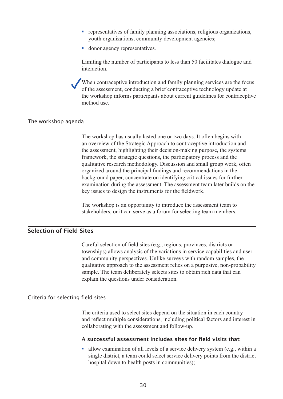- representatives of family planning associations, religious organizations, youth organizations, community development agencies ■ representatives of family plan<br>youth organizations, commun<br>donor agency representatives.  $\blacksquare$  representatives of family planning associations, religious organizations,
- $\blacksquare$  donor agency representatives.

Limiting the number of participants to less than 50 facilitates dialogue and the workshop interest of participants to ress than 90 favoritates that gave and interaction.

When contraceptive introduction and family planning services are the focus of the assessment, conducting a brief contraceptive technology update at the workshop informs participants about current guidelines for contraceptive  $T_{\text{H}}$  as usually lasted one or two days. It of two days. It of two days with  $T_{\text{H}}$ 

#### The workshop agenda  $\mathbf{a}$

The workshop has usually lasted one or two days. It often begins with an overview of the Strategic Approach to contraceptive introduction and an overview of the strategic *r* pproach to contraceptive introduction and the assessment, highlighting their decision-making purpose, the systems examination during the assessment, in alternatively the assessment, the systems of the systems of the systems ramework, the strategic questions, the participatory process and the<br>qualitative research methodology. Discussion and small group work, often organized around the principal findings and recommendations in the organized around the principal intensity and recommendations in the background paper, concentrate on identifying critical issues for further examination during the assessment. The assessment team later builds on the key issues to design the instruments for the fieldwork.

The workshop is an opportunity to introduce the assessment team to stakeholders, or it can serve as a forum for selecting team members.

#### Selection of Field Sites  $\ddot{\mathbf{u}}$  $\mathcal{L}_{\mathcal{A}}$

Careful selection of field sites (e.g., regions, provinces, districts or explain selection of field sites (e.g., regions, provinces, districts of townships) allows analysis of the variations in service capabilities and user and community perspectives. Unlike surveys with random samples, the qualitative approach to the assessment relies on a purposive, non-probability sample. The team deliberately selects sites to obtain rich data that can  $\alpha$  capitant use questions under consideration.

## Criteria for selecting field sites

The criteria used to select sites depend on the situation in each country laborating with the assessment and follow-up. 9 and reflect multiple considerations, including political factors and interest in collaborating with the assessment and follow-up.<br>
• A successful assessment includes sites for field visits that:<br>
■ allow examination of hospital down to health posts in communities);

### A successful assessment includes sites for field visits that:

single district, a team could select service delivery points from the district hospital down to health posts in communities);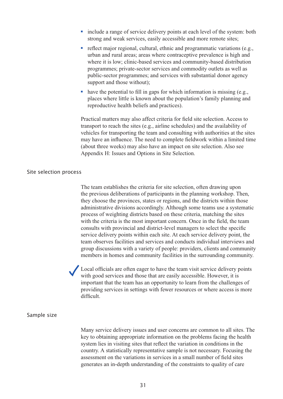- include a range of service delivery points at each level of the system: both strong and weak services, easily accessible and more remote sites; ■ include a range of service delivery points at each level of the system: both strong and weak services, easily accessible and more remote sites;<br>■ reflect major regional, cultural, ethnic and programmatic variations (e.g include a range of service delivery points at each level of the system: bot
- $s$  and the support and those with the programmatic variations ( $\sigma$ ); with and rural areas; areas where contraceptive prevalence is high and programmes; private-sector services and commodity outlets as well as  $\blacksquare$  reflect major regional, cultural, ethnic and programmatic variations (e.g., public-sector programmes; and services with substantial donor agency support and those without); Where it is low; clinic-based services and community-based distribution<br>programmes; private-sector services and commodity outlets as well as<br>public-sector programmes; and services with substantial donor agency<br>support and
- the site of the sites of  $\mu$  in an about the population's family planning and the sites where little is known about the population's family planning and reproducive nearly derived and practices). **Practical matter matter matter matter matter is matter in the site set of the site selection.** And site selection. Analysis to the potential to fill in gaps for which information is missing (e.g., places where there is known about the population s lating planning and

Practical matters may also affect criteria for field site selection. Access to Fraction matters may also affect criteria for field site selection. There is a transport to reach the sites (e.g., airline schedules) and the availability of vehicles for transporting the team and consulting with authorities at the sites may have an influence. The need to complete fieldwork within a limited time (about three weeks) may also have an impact on site selection. Also see The team establishes the criteria for selection, or superiorism.

#### Site selection process  $\tau$  choose the provinces, states or regions, and the distributions, and the distributions, and those those those those those those those through  $\tau$

The team establishes the criteria for site selection, often drawing upon the can established in enterta for she selection, once in a will get the previous deliberations of participants in the planning workshop. Then, they choose the provinces, states or regions, and the districts within those service delivery provinces, sales of regions, and the districts within those administrative divisions accordingly. Although some teams use a systematic team observes and services are conducted. The conduction in the series and systematic process of weighting districts based on these criteria, matching the sites process of weighting districts based on these criteria, matering the sites with the criteria is the most important concern. Once in the field, the team members in the members in home in the surface in the surface consults with provincial and district-level managers to select the specific service delivery points within each site. At each service delivery point, the Local officials are of the team visit service delivery point, the team observes facilities and services and conducts individual interviews and group discussions with a variety of people: providers, clients and community is the team of the team of the team has and community facilities in the surrounding community members in homes and community facilities in the surrounding community memoers in nomes and community facilities in the surrounding community.

Local officials are often eager to have the team visit service delivery points with good services and those that are easily accessible. However, it is important that the team has an opportunity to learn from the challenges of providing services in settings with fewer resources or where access is more  $M_{\rm H}$  service delivery is user concerns and user concerns are concerns are concerns are common to all sites. The common to all sites  $M_{\rm H}$ 

#### Sample size

Many service delivery issues and user concerns are common to all sites. The when y service derivery issues and user concerns are common to an sites. The key to obtaining appropriate information on the problems facing the health system lies in visiting sites that reflect the variation in conditions in the country. A statistically representative sample is not necessary. Focusing the assessment on the variations in services in a small number of field sites generates an in-depth understanding of the constraints to quality of care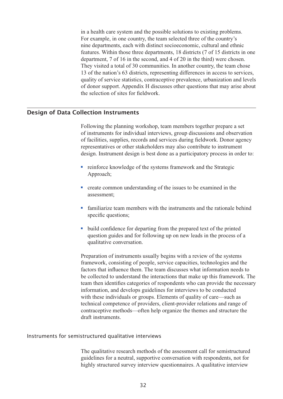in a health care system and the possible solutions to existing problems. The a nearer system and the possible solutions to existing problems.<br>For example, in one country, the team selected three of the country's 13 of example, in one country, the team servered time of the country s<br>nine departments, each with distinct socioeconomic, cultural and ethnic fractures. Within those three departments, 18 districts (7 of 15 districts in one department, 7 of 16 in the second, and 4 of 20 in the third) were chosen. the second, and the zoof the selection of solution of sites for the selection.<br>They visited a total of 30 communities. In another country, the team chose 13 of the nation's 63 districts, representing differences in access to services, quality of service statistics, contraceptive prevalence, urbanization and levels of donor support. Appendix H discusses other questions that may arise about the selection of sites for fieldwork.

### **Design of Data Collection Instruments and services and services during fieldwork. Donor and service during fie** representatives or other stakeholders may also contribute to instrument of the instruments of the instruments o

Following the planning workshop, team members together prepare a set of instruments for individual interviews, group discussions and observation resentatives or other stakeholders may also contribute to instrument design. Instrument design is best done as a participatory process in order to: **Solution** interval and services, group diseassions and observed of facilities, supplies, records and services during fieldwork. Donor representatives or other stakeholders may also contribute to instrume design. Instrumen

- Approach; • reinforce knowledge of the systems framework and the Strategic Approach;<br>• create common understanding of the issues to be examined in the nain fonoo Im
- assessment; • Gradies common understanding of the issues to be examined in the assessment;<br>
• familiarize team members with the instruments and the rationale behind • create common understanding of the issues to be examined in the
- specific questions; • familiarize team members with the instruments and the rationale bel<br>specific questions;<br>• build confidence for departing from the prepared text of the printed
- framework, consistent of the people of the people of the consistent of the process of a question guides and for following up on new leads in the process of a qualitative conversation. question gardes and for fortowing up on new reads in the process of a be conversations that make up the interactions that make up the interactions that make up the interactions that may be conversations.

Preparation of instruments usually begins with a review of the systems information of instruments usually eights with a review of the systems framework, consisting of people, service capacities, technologies and the ramework, consisting or people, service expansion, termologies and the factors that influence them. The team discusses what information needs to the collected to understand the interactions that make up this framework. The contracted to different the interactions that make up this mathematic. The team then identifies categories of respondents who can provide the necessary information, and develops guidelines for interviews to be conducted with these individuals or groups. Elements of quality of care—such as technical competence of providers, client-provider relations and range of contraceptive methods—often help organize the themes and structure the The qualitative research methods of the assessment call for semistructured

## Instruments for semistructured qualitative interviews

The qualitative research methods of the assessment call for semistructured guidelines for a neutral, supportive conversation with respondents, not for highly structured survey interview questionnaires. A qualitative interview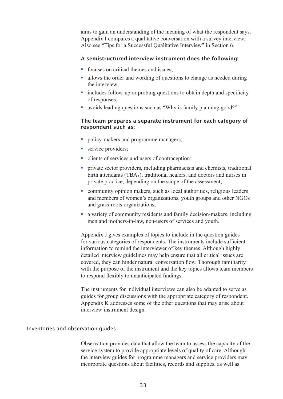aims to gain an understanding of the meaning of what the respondent says. Appendix I compares a qualitative conversation with a survey interview. Suppendix I compares a qualitative convertions are "Tips for a Successful Qualitation"<br> **A semistructured interview instrum**<br> **F** focuses on critical themes and issues;

#### A semistructured interview instrument does the following: the interview;

- focuses on critical themes and issues;
- allows the order and wording of questions to change as needed during the interview; • focuses on critical themes and issues;<br>
• allows the order and wording of questions to change as needed during<br>
the interview;<br>
• includes follow-up or probing questions to obtain depth and specificity
- of responses: <ul>\n<li>  allows the order and wording of questions to change as needed due the interview;</li>\n<li>  includes follow-up or probing questions to obtain depth and specific of responses;</li>\n<li>  avoids leading questions such as "Why is family planning good?"</li>\n</ul>
- 

# The team prepares a separate instrument for each category of respondent such as: • avoids leading questions such as "Why is<br> **The team prepares a separate instrum**<br> **respondent such as:**<br>
• policy-makers and programme managers; The team prepare<br>respondent such<br>policy-makers and<br>exervice providers;

- policy-makers and programme managers;<br>• service providers;<br>• clients of services and users of contraception;  $\begin{bmatrix} 1 & 0 \\ 0 & 1 \end{bmatrix}$ , traditional healers, and doctors and nurses in  $\mathcal{O}$
- $\blacksquare$  service providers:
- 
- policy-makers and programme managers;<br>
 service providers;<br>
 clients of services and users of contraception;<br>
 private sector providers, including pharmacists and chemists, traditional birth attendants (TBAs), traditional healers, and doctors and nurses in private practice, depending on the scope of the assessment; • Crients of services and users of contraception;<br>
• private sector providers, including pharmacists and chemists, traditiona<br>
birth attendants (TBAs), traditional healers, and doctors and nurses in<br>
private practice, depe private sector providers, including pharmacists and chemists, traditional
- and members of women's organizations, youth groups and other NGOs and grass-roots organizations; • Community opinion makers, such as local authorities, religious leaders<br>
and members of women's organizations, youth groups and other NGOs<br>
and grass-roots organizations;<br>
• a variety of community residents and family dec community opinion makers, such as local authorities, religious leaders
- a variety of community residents and failing decision makers, meta-<br>men and mothers-in-law, non-users of services and youth. men and mouters in taw, non-asers of services and yound.

Appendix J gives examples of topics to include in the question guides references  $\sigma$  is the instrument and the function  $\sigma$  and  $\sigma$  for various categories of respondents. The instruments include sufficient to response the proportions. The matemeters method surface for various categories of respondents. The matemeters method surface detailed interview guidelines may help ensure that all critical issues are The interview guidelines may neep ensure that all entired issues are<br>covered, they can hinder natural conversation flow. Thorough familiarity guide, they can innect natural conversation now. Thorough rainmarty<br>with the purpose of the instrument and the key topics allows team members And the parpose of the instrument and the key topics abows team memory to respond flexibly to unanticipated findings. to respond hexiory to unanter-

The instruments for individual interviews can also be adapted to serve as guides for group discussions with the appropriate category of respondent. Appendix K addresses some of the other questions that may arise about interview instrument design. not view moduliem design.

### Inventories and observation guides for programme managers and service programme managers and service providers incorporate questions about facilities, records and supplies, as well as

Observation provides data that allow the team to assess the capacity of the service system to provide appropriate levels of quality of care. Although the interview guides for programme managers and service providers may incorporate questions about facilities, records and supplies, as well as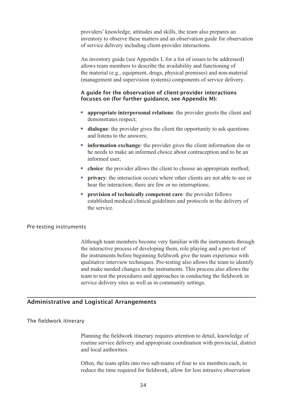providers' knowledge, attitudes and skills, the team also prepares an providers knowledge, all describes the skins, the team also prepares and inventory to observe these matters and an observation guide for observation the material (e.g., e.g., e.g., e.g., physical property and all experiments and an observation game for observant of service defivery including enem provider interactions.

An inventory guide (see Appendix L for a list of issues to be addressed) allows team members to describe the availability and functioning of the material (e.g., equipment, drugs, physical premises) and non-material (management and supervision systems) components of service delivery.

## A guide for the observation of client-provider interactions focuses on (for further guidance, see Appendix M):

- **appropriate interpersonal relations:** the provider greets the client and de monstrates respect; **Example 13 appropriate interpersonal relations: the provider greets the client and demonstrates respect;<br>
<b>idialogue:** the provider gives the client the opportunity to ask questions **idemonstrates** respect;
- and listens to the answers;
- **• information exchange**: the provider gives the client information she or he needs to make an informed choice about contraception and to be an informed user: • **information exchange**: the provider gives the client information she of the needs to make an informed choice about contraception and to be an informed user;<br>
• **choice**: the provider allows the client to choose an appro **EXECUTE:** Information exchange: the provider gives the client information she or<br>the needs to make an informed choice about contraception and to be an<br>informed user;<br>**COMPENSE:** the provider allows the client to choose an
- **enoice**: the provider allows the client to choose an appropriate method;
- **choice**: the provider allows the client to choose an appropriate r<br>
 **privacy**: the interaction occurs where other clients are not able thear the interaction; there are few or no interruptions;<br>
 **provision of techni** • privacy: the interaction occurs where other clients are not able to see or
- established medical/clinical guidelines and protocols in the delivery of  $AC$  survice.

#### Pre-testing instruments  $\frac{1}{\sqrt{2}}$

Although team members become very familiar with the instruments through the interactive process of developing them, role playing and a pre-test of the instruments before beginning fieldwork give the team experience with qualitative interview techniques. Pre-testing also allows the team to identify and make needed changes in the instruments. This process also allows the team to test the procedures and approaches in conducting the fieldwork in service delivery sites as well as in community settings.

## Administrative and Logistical Arrangements

#### The fieldwork itinerary  $\mathbf v$

Planning the fieldwork itinerary requires attention to detail, knowledge of reduce the time required attention to detail, showledge of routine service delivery and appropriate coordination with provincial, district and local authorities.

Often, the team splits into two sub-teams of four to six members each, to reduce the time required for fieldwork, allow for less intrusive observation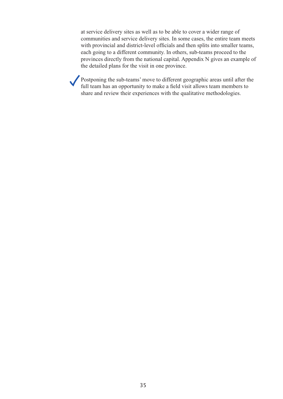at service delivery sites as well as to be able to cover a wider range of the detailed plans for the detailed plans for the visit in the visit in the visit in the communities and service delivery sites. In some cases, the entire team meets with provincial and district-level officials and then splits into smaller teams, Provincial and district level officials and then spins like smaller teams, each going to a different community. In others, sub-teams proceed to the full going to a different commandy. In others, sub-teams proceed to the provinces directly from the national capital. Appendix N gives an example of show the set of the visit in one province.

Postponing the sub-teams' move to different geographic areas until after the full team has an opportunity to make a field visit allows team members to share and review their experiences with the qualitative methodologies.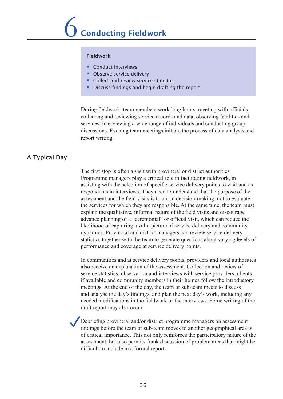#### Fieldwork

- § Conduct interviews
- **Observe service delivery**
- $\blacksquare$  Collect and review service statistics
- **Exting a** Discuss findings and begin drafting the report **Algebra** Discuss findings and begin drafting the report

During fieldwork, team members work long hours, meeting with officials, collecting and reviewing service records and data, observing facilities and services, interviewing a wide range of individuals and conducting group discussions. Evening team meetings initiate the process of data analysis and report writing.  $T_{\text{F}}$  stop is often a visit with provincial or district authorities.

assisting with the selection of specific service delivery points to visit and as

### A Typical Day

The first stop is often a visit with provincial or district authorities. the mst step is onen a visit while provincial of district at the same.<br>Programme managers play a critical role in facilitating fieldwork, in explaining managers play a critical force in factorialing field work, in assisting with the selection of specific service delivery points to visit and as assisting with the selection of specific service derivery points to visit and a<br>respondents in interviews. They need to understand that the purpose of the responsions in likelihood of capturing and community and community assessment and the field visits is to aid in decision-making, not to evaluate dependence and the next visits is to did in decision making, not to evaluate statistics to which they are responsible. The the same time, the team mast explain the qualitative, informal nature of the field visits and discourage explain the quantume, informal nature of the field visits and discourage<br>advance planning of a "ceremonial" or official visit, which can reduce the likelihood of capturing a valid picture of service delivery and community Intermode of caparing a vand pretate of service delivery and community<br>dynamics. Provincial and district managers can review service delivery also receive and the assessment managers can review service derivery statistics together with the team to generate questions about varying levels of statistics together with the team to generate questions about varying revers contributions. performance and coverage at service defivery points.

In communities and at service delivery points, providers and local authorities also receive an explanation of the assessment. Collection and review of need to the field model model model model model model with service providers, clients service statistics, observation and interviews with service providers, clients derived statistics, observation and mervious what service providers, energy if available and community members in their homes follow the introductory meetings. At the end of the day, the team or sub-team meets to discuss and analyse the day's findings, and plan the next day's work, including any find analyse the day 5 intenses, and plan the heat day 5 work, including any needed modifications in the fieldwork or the interviews. Some writing of the draft report may also occur. notical input mortions in the notawork of the meet views. Some writing of the assessment discussion of problem and problem areas that might be problem as the problem areas that might be pro

Debriefing provincial and/or district programme managers on assessment findings before the team or sub-team moves to another geographical area is of critical importance. This not only reinforces the participatory nature of the assessment, but also permits frank discussion of problem areas that might be difficult to include in a formal report.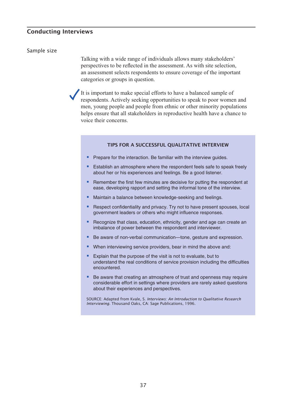#### Conducting Interviews Talking with a wide range of individuals allows many stakeholders'  $\rho_{\text{max}}$

#### Sample size

Talking with a wide range of individuals allows many stakeholders' It is important to make the material efforts to have a balanced specific to the reflected in the assessment. As with site selection, respectives to be reflected in the assessment. The with site selection, an assessment selects respondents to ensure coverage of the important deligiones of groups in question. ments who performed to the people of the important

It is important to make special efforts to have a balanced sample of respondents. Actively seeking opportunities to speak to poor women and men, young people and people from ethnic or other minority populations helps ensure that all stakeholders in reproductive health have a chance to voice their concerns.

#### TIPS FOR A SUCCESSFUL QUALITATIVE INTERVIEW

- TIPS FOR A SUCCESSFUL QUALITATIVE INTERVIEW<br>
Prepare for the interaction. Be familiar with the interview guides.
- TIPS FOR A SUCCESSFUL QUALITATIVE INTERVIEW<br>■ Prepare for the interaction. Be familiar with the interview guides.<br>■ Establish an atmosphere where the respondent feels safe to speak freely about her or his experiences and feelings. Be a good listener. ■ Prepare for the interaction. Be familiar with the interview guides.<br>
■ Establish an atmosphere where the respondent feels safe to speak freely about her or his experiences and feelings. Be a good listener.<br>
■ Remember t
- remember are morrow minutes are assisted to patting the responser ease, developing rapport and setting the informal tone of the interview • Maintain a balance between knowledge-seeking and feelings.<br>
• Maintain a balance between knowledge-seeking and feelings. ■ Remember the first few minutes are decisive for putting the respondent at ease, developing rapport and setting the informal tone of the interview.<br>■ Maintain a balance between knowledge-seeking and feelings.<br>■ Respect c
- 
- government leaders or others who might influence responses.
- Recognize that class, education, ethnicity, gender and age can create an imbalance of power between the respondent and interviewer. ■ Be aware of non-verbal communication—tone, gesture and expression.<br>■ Recognize that class, education, ethnicity, gender and age can create ambalance of power between the respondent and interviewer.<br>■ Be aware of non-ver ■ Recognize that class, education, ethnicity, gender and age can cr<br>imbalance of power between the respondent and interviewer.<br>■ Be aware of non-verbal communication—tone, gesture and expre<br>■ When interviewing service pro
- Be aware of non-verbal communication—tone, gesture and a<br>■ Be aware of non-verbal communication—tone, gesture and a<br>■ When interviewing service providers, bear in mind the above<br>■ Explain that the purpose of the visit i  $\overline{a}$ be aware on
- 
- understand the real conditions of service provision including the difficulties ■ When interviewing service providers, bear in mind the above and:<br>
■ Explain that the purpose of the visit is not to evaluate, but to understand the real conditions of service provision including the difficulties encount Explain that the purpose of the visit is not to evaluate, but to
- considerable effort in settings where providers are rarely asked questions about their experiences and perspectives.

SOURCE: Adapted from Kvale, S. *Interviews: An Introduction to Qualitative Research Interviewing.* Thousand Oaks, CA: Sage Publications, 1996.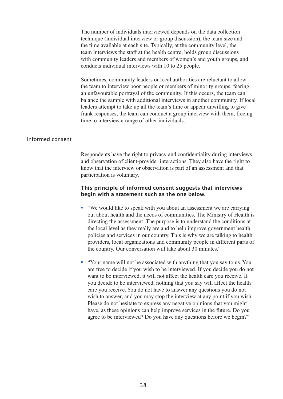The number of individuals interviewed depends on the data collection the name of marviolal interview or group discussion), the team size and the time available at each site. Typically, at the community level, the Sometime available at each site. Typicary, at the community level, the ream interviews the staff at the health centre, holds group discussions the team the team the start at the heatter centre, holds group diseassions with community leaders and members of women's and youth groups, and and unfavouring venters and members of women s and your groups, and conducts individual interviews with 10 to 25 people. conducts individual interviews with  $10 \text{ W } 25$  people.

Sometimes, community leaders or local authorities are reluctant to allow fractured fractured responses to the team conductant conductant to the team to interview poor people or members of minority groups, fearing an unfavourable portrayal of the community. If this occurs, the team can balance the sample with additional interviews in another community. If local leaders attempt to take up all the team's time or appear unwilling to give frank responses, the team can conduct a group interview with them, freeing and we meet the *a* range of other materiality.

### Informed consent

Respondents have the right to privacy and confidentiality during interviews and observation of client-provider interactions. They also have the right to know that the interview or observation is part of an assessment and that participation is voluntary.

## This principle of informed consent suggests that interviews This principle of informed consent suggests that interviews<br>begin with a statement such as the one below. **First principle of informed consent suggests that interviews**<br> **polynomials begin with a statement such as the one below.**<br>
• "We would like to speak with you about an assessment we are carrying ym wrth a statement such as the one below.

- provider the communities. The Ministry of Health is<br>out about health and the needs of communities. The Ministry of Health is our about health and the heeds of communities. The Millistry of Health directing the assessment. The purpose is to understand the conditions at the local level as they really are and to help improve government health policies and services in our country. This is why we are talking to health providers, is our organizations and community people in direction parts the country. Our conversation will take about 30 minutes." From the set of the associated with anything that you say to us. You what we are also the country. Our conversation will take about 30 minutes."<br>
• "Your name will not be associated with anything that you say to us. You policies and services in our country. This is why we are anning to hearth  $y$ , our conversation will also about you minutes.
- **E** "Your name will not be associated with anything that you say to us. You Four name win not be associated with any thing that you say to us. Four<br>are free to decide if you wish to be interviewed. If you decide you do not want to be interviewed, it will not affect the health care you receive. If want to be interviewed, it will not affect the figure future you decide to be interviewed, nothing that you say will affect the health agree to be interviewed; houring that you say will arrest the heart wish to answer, and you may stop the interview at any point if you wish. Please do not hesitate to express any negative opinions that you might have, as these opinions can help improve services in the future. Do you agree to be interviewed? Do you have any questions before we begin?"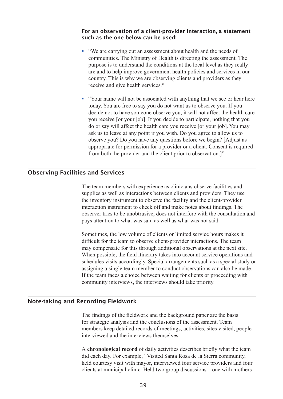#### For an observation of a client-provider interaction, a statement such as the one below can be used: <p>For an observation of a client-provider interaction, a statement is such as the one below can be used:</p>\n<p>■ "We are carrying out an assessment about health and the needs of</p> communities. The Ministry of Health is directing the assessment. The  $p_{\text{max}}$  is the conditions at the conditions at the conditions at the conditions at the conditions at the conditions at the conditions at the conditions at the conditions at the conditions at the conditions at the condit are and the below can be abea.

- receive the start of the Ministry of Health is directing the assessment. The purpose is to understand the conditions at the local level as they really are and to help improve government health policies and services in our  $\blacksquare$  "We are carrying out an assessment about health and the needs of the did to neip improve government nearly poncies and services in because you, this is why we are observing enems and providers as they receive and give health services." So the associated with anything that we see or hear here are will not be associated with anything that we see or hear here will not be associated with anything that we see or hear here  $\blacksquare$ receive and give nearly set vices.
- Four hand win hot be associated with any limit that we see of hear today. You are free to say you do not want us to observe you. If you observe you. If you deep you have some observe you, it will not affect the health care appropriate for to have someone observe you, it will not affect the nearm care<br>you receive [or your job]. If you decide to participate, nothing that you from both the provider and the participate, housing that you do or say will affect the health care you receive [or your job]. You may ask us to leave at any point if you wish. Do you agree to allow us to observe you? Do you have any questions before we begin? [Adjust as appropriate for permission for a provider or a client. Consent is required The team members with the team members with experience in the provider and the client prior to observation.

### **Observing Facilities and Services**<br>The instrument of the facilities and the client-provider of the client-provider of the coordinate of the coordinate of the coordinate of the coordinate of the coordinate of the coordinat  $\sum_{i=1}^n$  interaction instrument to check off and make notes about findings. The main  $\sum_{i=1}^n$

The team members with experience as clinicians observe facilities and supplies as well as interactions between clients and providers. They use the inventory instrument to observe the facility and the client-provider interaction instrument to check off and make notes about findings. The may conserver thes to be unbothedness, the site increase what the conservation compared to what was said as well as what was not said. observer tries to be unobtrusive, does not interfere with the consultation and pays attention to what was safe as wen as what was not safe.

Sometimes, the low volume of clients or limited service hours makes it bomething, the tow volume of chemis of filmed service hours makes to<br>difficult for the team to observe client-provider interactions. The team If the team to be serve ench provider increasions. The team may compensate for this through additional observations at the next site. may compensate for any anough additional observations at the next site.<br>When possible, the field itinerary takes into account service operations and schedules visits accordingly. Special arrangements such as a special study or assigning a single team member to conduct observations can also be made. If the team faces a choice between waiting for clients or proceeding with community interviews, the interviews should take priority.

### Note-taking and Recording Fieldwork members keep detailed records of meetings, activities, sites visited, people ecolumy ricturious

The findings of the fieldwork and the background paper are the basis for strategic analysis and the conclusions of the assessment. Team r strategic analysis and the conclusions of the assessment. Team<br>embers keep detailed records of meetings, activities, sites visited, people<br>terviewed and the interviews themselves.<br>**chronological record** of daily activiti did each did each day. For example, the assessment, ream held courtes with may be made to the manufacture propies. clients at multiple clients at municipal clients at municipal clients.

did each day. For example, "Visited Santa Rosa de la Sierra community, held courtesy visit with mayor, interviewed four service providers and four clients at municipal clinic. Held two group discussions—one with mothers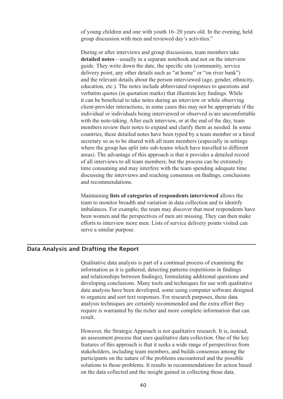of young children and one with youth 16–20 years old. In the evening, held group discussion with men and reviewed day's activities." group uncursion with men and reviewed day is activities.

During or after interviews and group discussions, team members take of young children and one with youth 16–20 years old. In the evening, he<br>group discussion with men and reviewed day's activities."<br>During or after interviews and group discussions, team members take<br>**detailed notes**—usuall vertured notes (islam) in a separate notes of that not on the interview<br>guide. They write down the date, the specific site (community, service galacted they which down the date, the specific site (community, service delivery point, any other details such as "at home" or "on river bank") convery point, any other details such as at home of on fiver bank  $\beta$  and the relevant details about the person interviewed (age, gender, ethnicity, educe to the new terms and group discussions, want include state individual or individual or individual or interviewed (age, generi, cumicity, education, etc.). The notes include abbreviated responses to questions and whetever, the notes-taking is the notes-taking interview intervention of the end of the end of the end of the verbatim quotes (in quotation marks) that illustrate key findings. While members of the distribution management and containing and containing and containing the some state in some state  $\alpha$  is negative. counterfunction to the set of the starting and member of while beserving client-provider interactions, in some cases this may not be appropriate if the shared provider interactions, in some cases ans may not be appropriate if the individual or individuals being interviewed or observed is/are uncomfortable with the note-taking. After each interview, or at the end of the day, team members review their notes to expand and clarify them as needed. In some nonities to all interviews to all the process can be extremely seen the process. In some<br>countries, these detailed notes have been typed by a team member or a hired  $t_i$  and  $t_i$  and  $t_i$  are teamed may be the team spending and  $t_i$  and  $t_i$  are team specially in settings where the group has split into sub-teams which have travelled to different areas). The advantage of this approach is that it provides a detailed record of all interviews to all team members; but the process can be extremely of an interviews to an team members, out the process can be extremely<br>time consuming and may interfere with the team spending adequate time<br>discussing the interviews and reaching consensus on findings, conclusion<br>and recom the consuming and may interfere with the came spending adequate three discussing the interviews and reaching consensus on findings, conclusions ancessing the meet them and reading consensus on mange, concretenting between women and the perspectives of men are missing. The perspective of men are missing. The material material material material material material material material material material material material material material m

Infinituming hists of categories of respondents like viewed allows the<br>team to monitor breadth and variation in data collection and to identify imbalances. For example, the team may discover that most respondents have been women and the perspectives of men are missing. They can then make Maintaining lists of categories of respondents interviewed allows the efforts to interview more men. Lists of service delivery points visited can  $\mathcal{S}$  and a continual purpose.

### Data Analysis and Drafting the Report and relationships between findings), formulating additional questions and  $\mathbf{D}$  definitive to the techniques for use with  $\mathbf{D}$  use with  $\mathbf{D}$  use with  $\mathbf{D}$  use with  $\mathbf{D}$  use with  $\mathbf{D}$  use with  $\mathbf{D}$  use with  $\mathbf{D}$  use with  $\mathbf{D}$  use with  $\mathbf{D}$  use with  $\mathbf{D}$

Qualitative data analysis is part of a continual process of examining the to discusse and sort of the solution of the continual process of examining the information as it is gathered, detecting patterns (repetitions in findings) and relationships between findings), formulating additional questions and relationships between intentify, formulating additional questions and developing conclusions. Many tools and techniques for use with qualitative data analysis have been developed, some using computer software designed to organize and sort text responses. For research purposes, these data to organize and sort text responses. For research purposes, these data analysis techniques are certainly recommended and the extra effort they analysis commutes are certainly recommended and the extra crior they require is warranted by the richer and more complete information that can fequile is warranted by the riener and more comprese information that early  $s_{\text{total}}$ 

However, the Strategic Approach is not qualitative research. It is, instead, solutions to the strategic reproduct is not quantum versearch. It is, instead, an assessment process that uses qualitative data collection. One of the key an assessment process that uses quantum can concert the order the key stakeholders, including team members, and builds consensus among the participants on the nature of the problems encountered and the possible solutions to those problems. It results in recommendations for action based on the data collected and the insight gained in collecting those data.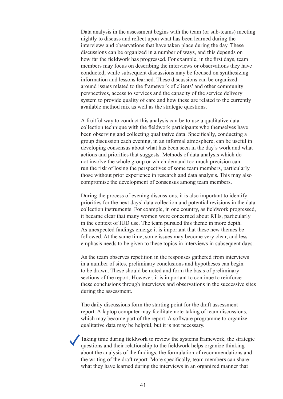Data analysis in the assessment begins with the team (or sub-teams) meeting para anarysis in the assessment begins with the team (or sub-teams) meeting<br>nightly to discuss and reflect upon what has been learned during the inginity to discussion reflect apont what has been realined during the metric interviews and observations that have taken place during the day. These information and lesservations that have taken place during the day. These discussions can be organized in a number of ways, and this depends on are assessions can be organized in a namber of ways, and ans depends on<br>how far the fieldwork has progressed. For example, in the first days, team perspectively the capacity of the capacity of the capacity of the services and the capacity of the service delivery of the service delivery of the service delivery of the service delivery of the service delivery of the ser s strategies that y local on describing the interviews of observations they have conducted; while subsequent discussions may be focused on synthesizing absolute method materials may be recased on symmetric information and lessons learned. These discussions can be organized around issues related to the framework of clients' and other community perspectives, access to services and the capacity of the service delivery system to provide quality of care and how these are related to the currently between the provide quality of early and now these are related to the currently available method mix as well as the strategic questions. grandore memori mix as wen as ine strategie questions.

A fruitful way to conduct this analysis can be to use a qualitative data collection technique with the fieldwork participants who themselves have been observing and collecting qualitative data. Specifically, conducting a referred to risk of losing the concerning quantum vectors. Specifically, conducting a group discussion each evening, in an informal atmosphere, can be useful in the developing consensus about what has been seen in the day's work and what actions and priorities that suggests. Methods of data analysis which do not involve the whole group or which demand too much precision can not involve the whole group of which defining too much precision can<br>run the risk of losing the perspectives of some team members, particularly priorities for the next days also the next days also the next days in the next days is. This may also compromise the development of consensus among team members. compromise are aeveropment of consensus among team memoers.

During the process of evening discussions, it is also important to identify. Buting the process of evening diseassions, it is also important to dentity<br>priorities for the next days' data collection and potential revisions in the data for the same time is the same time is the same very controllection instruments. For example, in one country, as fieldwork progressed, emphasis needs to be given to be country, as necessary progressed.<br>it became clear that many women were concerned about RTIs, particularly in the context of IUD use. The team pursued this theme in more depth. As unexpected findings emerge it is important that these new themes be It's analyzed manigs emerge it is important that these new diences be<br>followed. At the same time, some issues may become very clear, and less to be determined be drawn. The same time, some issues may become very creat, and ress emphasis needs to be given to these topics in interviews in subsequent days. emphasis needs to be given to these topies in interviews in subsequent to

As the team observes repetition in the responses gathered from interviews It's the team beserves repetition in the responses gathered from line vie<br>in a number of sites, preliminary conclusions and hypotheses can begin to be drawn. These should be noted and form the basis of preliminary to be drawn. These should be noted and form the basis of premimitary<br>sections of the report. However, it is important to continue to reinforce report. Towever, it is important to commute to remove during the assessment. whose conclusions unough meet views and observations in the successive s.  $\mu$  and  $\mu$  as  $\mu$  as  $\mu$  is not necessary.

The daily discussions form the starting point for the draft assessment The during diseassions form the starting point for the draft assessment report. A laptop computer may facilitate note-taking of team discussions, propose. The field procedure in the field many become part of the report. A software programme to organize much they become part of the report. A software programme to organize<br>qualitative data may be helpful, but it is not necessary. quatitative data thay be helpful, but it is not necessary.

Taking time during fieldwork to review the systems framework, the strategic questions and their relationship to the fieldwork helps organize thinking about the analysis of the findings, the formulation of recommendations and the writing of the draft report. More specifically, team members can share what they have learned during the interviews in an organized manner that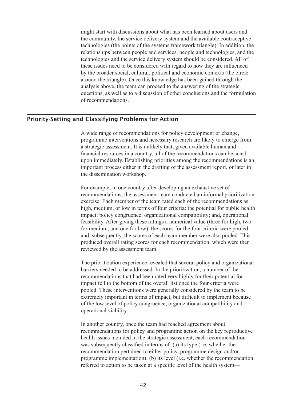might start with discussions about what has been learned about users and the community, the service delivery system and the available contraceptive by the broader social, the between the broader social and the available contract price<br>technologies (the points of the systems framework triangle). In addition, the relationships between people and services, people and technologies, and the relationships between people and services, people and technologies, and the technologies and the service delivery system should be considered. All of these issues need to be considered with regard to how they are influenced by the broader social, cultural, political and economic contexts (the circle around the triangle). Once this knowledge has been gained through the analysis above, the team can proceed to the answering of the strategic questions, as well as to a discussion of other conclusions and the formulation of recommendations.

### **Priority-Setting and Classifying Problems for Action** a chassifying recommendation action

A wide range of recommendations for policy development or change, in which angle of recommendations for policy development of enarge,<br>programme interventions and necessary research are likely to emerge from a strategic assessment. It is unlikely that, given available human and financial resources in a country, all of the recommendations can be acted manetal resources in a country, and or the recommendations can be acted<br>upon immediately. Establishing priorities among the recommendations is an report introductly. Establishing priorities allong the recommendations is an important process either in the drafting of the assessment report, or later in the dissemination workshop. mportant process charge in the thanting of the assessment report, or fater in high, medium, medium, or low in terms of  $\mu$ .

For example, in one country after developing an exhaustive set of for example, in one country after developing an exhaustive set of recommendations, the assessment team conducted an informal prioritization high, medium, or low in terms of four criteria: the potential for public health ingh, medium, or fow in terms of four criterial and potential for public field<br>impact; policy congruence; organizational compatibility; and, operational replace, poncy congruence, organizational compationty, and, operational reasibility. After giving these ratings a numerical value (three for high, two exercise. Each member of the team rated each of the recommendations as for medium, and one for low), the scores for the four criteria were pooled and, subsequently, the scores of each team member were also pooled. This and, subsequently, the secrets of each team member were also pooled. This produced overall rating scores for each recommendation, which were then produced overall rating scores for each recommendation, which were an reviewed by the assessment team. influence of the assessment team.

The prioritization experience revealed that several policy and organizational the profit and experience revealed that several policy and organizational barriers needed to be addressed. In the prioritization, a number of the barriers needed to be addressed. In the prioritization, a number of the recommendations that had been rated very highly for their potential for impact fell to the bottom of the overall list once the four criteria were pooled. These interventions were generally considered by the team to be proced. These merventions were generally considered by the team to be<br>extremely important in terms of impact, but difficult to implement because reflectively important in terms of impact, our different to implement occalise<br>of the low level of policy congruence, organizational compatibility and operational viability. of the fow fever of poncy congruence, organizational compationity and by substitution contrary.

In another country, once the team had reached agreement about programme in another equilibrium control (i.e. when the recommendations for policy and programme action on the key reproductive recommendations for poncy and programme action on the key reproduct<br>health issues included in the strategic assessment, each recommendation was subsequently classified in terms of: (a) its type (i.e. whether the recommendation pertained to either policy, programme design and/or programme implementation); (b) its level (i.e. whether the recommendation referred to action to be taken at a specific level of the health system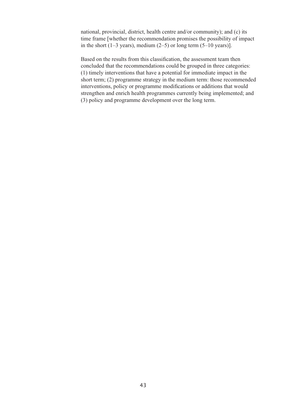has mational, provincial, district, health centre and/or community); and (c) its mational, provincial, district, health centre and/or community), and  $(c)$  its<br>time frame [whether the recommendation promises the possibility of impact intervention interventions that have a possibility of impact that the short  $(1-3$  years), medium  $(2-5)$  or long term  $(5-10$  years).  $\lim_{\epsilon \to 0}$  short (1) years), including the medium term term term for recognised.

Based on the results from this classification, the assessment team then streaged on the results from this enassinement, the assessment team then concluded that the recommendations could be grouped in three categories: (1) timely interventions that have a potential for immediate impact in the short term;  $(2)$  programme strategy in the medium term: those recommended interventions, policy or programme modifications or additions that would strengthen and enrich health programmes currently being implemented; and (3) policy and programme development over the long term.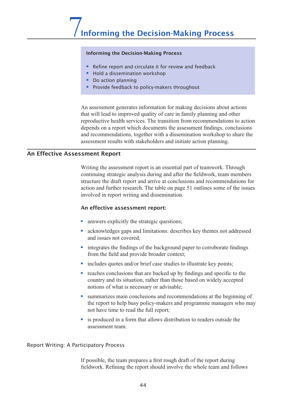### Informing the Decision-Making Process

- Refine report and circulate it for review and feedback
- $\blacksquare$  Hold a dissemination workshop<br> $\blacksquare$  Decisions about actions  $\blacksquare$ 
	- Do action planning
- that will decrease that will be welcomed to the care in family planning and other in family planning and other in family planning and other care in family planning and other care in family planning and other care in the ca **•** Provide feedback to policy-makers throughout  $\blacksquare$

An assessment generates information for making decisions about actions A different results and increases the making decisions about detection that will lead to improved quality of care in family planning and other reproductive health services. The transition from recommendations to action depends on a report which documents the assessment findings, conclusions and recommendations, together with a dissemination workshop to share the assessment results with stakeholders and initiate action planning.

### An Effective Assessment Report structure the draft report and arrive at conclusions and recommendations for  $\frac{1}{\sqrt{2}}$

Writing the assessment report is an essential part of teamwork. Through continuing strategic analysis during and after the fieldwork, team members structure the draft report and arrive at conclusions and recommendations for action and further research. The table on page 51 outlines some of the issues involved in report writing and dissemination. Solution and further research. The table on page<br>involved in report writing and dissemination.<br>An effective assessment report:<br>answers explicitly the strategic questions;

### An effective assessment report:

- 
- § acknowledges gaps and limitations: describes key themes not addressed and issues not covered: <ul>\n<li>■ answers explicitly the strategic questions;</li>\n<li>■ acknowledges gaps and limitations: describes key themes not addressed and issues not covered;</li>\n<li>■ integrates the findings of the background paper to corroborate findings.</li>\n</ul>
- rom the field and provide produer context • acknowledges gaps and imitations: describes key themes not ac<br>
and issues not covered;<br>
• integrates the findings of the background paper to corroborate fi<br>
from the field and provide broader context;<br>
• includes quotes • integrates the findings of the background paper to corroborate findings<br>from the field and provide broader context;<br>includes quotes and/or brief case studies to illustrate key points;<br>reaches conclusions that are backed integrates the finalings of the background paper to corroborate finaling
- 
- country and its situation, rather than those based on widely accepted notions of what is necessary or advisable; • Includes quotes and/or brief case studies to illustrate key points;<br>
• reaches conclusions that are backed up by findings and specific to the country and its situation, rather than those based on widely accepted<br>
notions reaches conclusions that are backed up by findings and specific to the
- the report to help busy policy-makers and programme managers who may not have time to read the full report; ummarizes main conclusions and recommendations at the beginning of
- is produced in a form that allows distribution to readers outside the descomment team.

Report Writing: A Participatory Process

If possible, the team prepares a first rough draft of the report during fieldwork. Refining the report should involve the whole team and follows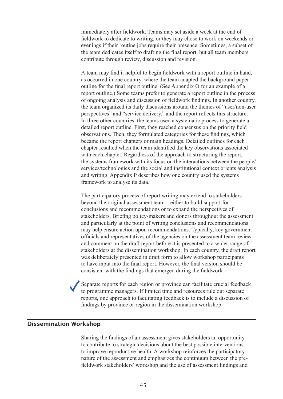immediately after fieldwork. Teams may set aside a week at the end of fieldwork to dedicate to writing, or they may chose to work on weekends or exercise to work on weekends of evenings if their routine jobs require their presence. Sometimes, a subset of Evenings in their rotume joos require their presence, sometimes, a subset of the team dedicates itself to drafting the final report, but all team members outline for the final report, out an example contribute through review, discussion and revision. commodie in ough review, diseassion and revision.

A team may find it helpful to begin fieldwork with a report outline in hand, the team may meen referred to begin network with a report betting in mand, as occurred in one country, where the team adapted the background paper perspective in one country, where the team adapted the background paper<br>outline for the final report outline. (See Appendix O for an example of a In the team of the teams prefer to generate a report outline in the process to during a systematic process to generate a report outline in the process detailed report outline. Figure is the process of ongoing analysis and discussion of fieldwork findings. In another country, of ongoing analysis and discussion of network indiags. In aboute country, the team organized its daily discussions around the themes of "user/non-user became the report changes and the report chapters or each non-In three other countries, the teams used a systematic process to generate a detailed report outline. First, they reached consensus on the priority field the system of the systems framework with the interactions of the people observations. Then, they formulated categories for these findings, which sesservations. Then, they formalided categories for these indifferently, which<br>became the report chapters or main headings. Detailed outlines for each chapter resulted when the team identified the key observations associated with each chapter. Regardless of the approach to structuring the report, the systems framework with its focus on the interactions between the people/ The systems namework with its focus of the interactions between the people. and writing. Appendix P describes how one country used the systems reduction to analyse the data. concerning. reporters a described now one country about the system

The participatory process of report writing may extend to stakeholders may extend to stateholders.<br>beyond the original assessment team—either to build support for cofficials and recommendations or to expand the perspectives of stakeholders. Briefing policy-makers and donors throughout the assessment stakeholders. Briefing poncy makers and donors in oughout the assessment and particularly at the point of writing conclusions and recommendations may help ensure action upon recommendations. Typically, key government the final report into the final report. However, the final representatives of the agencies on the assessment team review and comment on the draft report before it is presented to a wider range of stakeholders at the dissemination workshop. In each country, the draft report surfacences at the dissemination workshop. In each country, the draft feedback was deliberately presented in draft form to allow workshop participants to have input into the final report. However, the final version should be reports in the facilitation of the mail tensor, the mail version should be consistent with the findings that emerged during the fieldwork. consistent with the intent of the distribution in the distribution works

Separate reports for each region or province can facilitate crucial feedback to programme managers. If limited time and resources rule out separate reports, one approach to facilitating feedback is to include a discussion of Indings by province or region in the dissemination workshop.

#### Dissemination Workshop  $t$ chon  $t$ nature of the assessment and emphasizes the continuum between the pre-

Sharing the findings of an assessment gives stakeholders an opportunity to contribute to strategic decisions about the best possible interventions to improve reproductive health. A workshop reinforces the participatory nature of the assessment and emphasizes the continuum between the prefieldwork stakeholders' workshop and the use of assessment findings and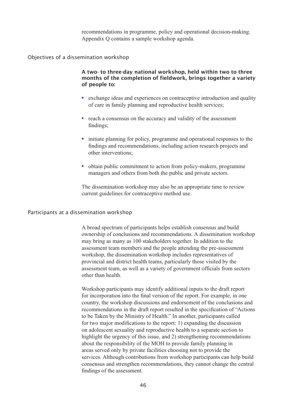recommendations in programme, policy and operational decision-making. Appendix Q contains a sample workshop agenda.

Objectives of a dissemination workshop

A two- to three-day national workshop, held within two to three months of the completion of fieldwork, brings together a variety of people to: <p>A two-to three-day national workshop, held within two to three months of the completion of fieldwork, brings together a variety of people to:</p>\n<ul>\n<li>exchange ideas and experiences on contract the introduction and quality</li>\n</ul> of care in family planning and reproductive health services;<br>the service of the conventations of field would be been to useful

- of care in family planning and reproductive health services; • exchange ideas and experiences on contraceptive introduction and<br>of care in family planning and reproductive health services;<br>reach a consensus on the accuracy and validity of the assessment  $\frac{1}{2}$
- reach a consensas e<br>findings;  $\blacksquare$  reach a consensus on the accuracy and validity of the assessment
- initiate planning for policy, programme and operational responses to the other interventions; <ul>\n<li>■ initiate planning for policy, programme and operational responses to findings and recommendations, including action research projects and other interventions;</li>\n<li>■ obtain public commitment to action from policy-makers, programme</li>\n</ul> mana pammig for poncy, programme and operational respo  $\overline{C}$  the distribution  $\overline{C}$
- managers and others from both the public and private sectors. • obtain public commitment to action from policy-makers, programme

The dissemination workshop may also be an appropriate time to review carrent guidennes for contraceptive method use.

### Participants at a dissemination workshop assessment team members and the people attending the pre-assessment

A broad spectrum of participants helps establish consensus and build provide spectrum of participants helps establish consensats and other ownership of conclusions and recommendations. A dissemination workshop may bring as many as 100 stakeholders together. In addition to the assessment team members and the people attending the pre-assessment workshop, the dissemination workshop includes representatives of workshop, the dissemination workshop includes representatives of provincial and district health teams, particularly those visited by the for including the final version is a variety of government officials from sectors assessment team, as went as a variety of government of the as from sectors recommendations in the draft recommendations in the specification of "Actions" of "Actions" of "Actions" of "Actions" of "Actions" of "Actions" of "Actions" of "Actions" of "Actions" of "Actions" of "Actions" of "Actions"

Workshop participants may identify additional inputs to the draft report for incorporation into the final version of the report. For example, in one country, the workshop discussions and endorsement of the conclusions and recommendations in the draft report resulted in the specification of "Actions" to be Taken by the Ministry of Health." In another, participants called for two major modifications to the report: 1) expanding the discussion or two major modifications to the report. To expanding the diseassion<br>on adolescent sexuality and reproductive health to a separate section to consecutive and strengthening in a separate section to<br>highlight the urgency of this issue, and 2) strengthening recommendations figure the argue of the state, and 2) strugglenting recommends about the responsibility of the MOH to provide family planning in areas served only by private facilities choosing not to provide the services. Although contributions from workshop participants can help build consensus and strengthen recommendations, they cannot change the central findings of the assessment.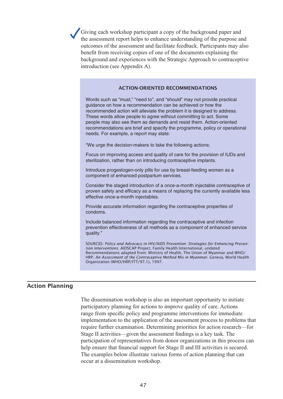Giving each workshop participant a copy of the background paper and Eving each workshop participant a copy of the background paper and the assessment report helps to enhance understanding of the purpose and outcomes of the assessment and facilitate feedback. Participants may also benefit from receiving copies of one of the documents explaining the background and experiences with the Strategic Approach to contraceptive introduction (see Appendix A).

guidance on how a recommendation can be achieved or how the

### **ACTION-ORIENTED RECOMMENDATIONS**

Words such as "must," "need to", and "should" may not provide practical guidance on how a recommendation can be achieved or how the recommended action will alleviate the problem it is designed to address. These words allow people to agree without committing to act. Some people may also see them as demands and resist them. Action-oriented recommendations are brief and specify the programme, policy or operational needs. For example, a report may state: international contracts.

"We urge the decision-makers to take the following actions: The arge are addition makers to take the render

Focus on improving access and quality of care for the provision of IUDs and Code on improving assessed and quality of state for any provision of role and sterilization, rather than on introducing contraceptive implants. province and province and efficiency and adding the currently available less as a mean of  $\alpha$ 

Introduce progestogen-only pills for use by breast-feeding women as a component of enhanced postpartum services. provide accurate accurate information regarding the contract properties of the contract properties of the contract of the contract of the contract of the contract of the contract of the contract of the contract of the cont

Consider the staged introduction of a once-a-month injectable contraceptive of proven safety and efficacy as a means of replacing the currently available less proven earcy and emeddy do a means of replacing the carrollay drains.<br>effective once-a-month injectables. prevention effective all methods as a component of enhanced services of enhanced services as a component of en

Provide accurate information regarding the contraceptive properties of condoms.

Include balanced information regarding the contraceptive and infection prevention effectiveness of all methods as a component of enhanced service quality."

SOURCES: *Policy and Advocacy in HIV/AIDS Prevention: Strategies for Enhancing Prevention Interventions*. AIDSCAP Project, Family Health International, undated Recommendations adapted from: Ministry of Health, The Union of Myanmar and WHO/ HRP. *An Assessment of the Contraceptive Method Mix in Myanmar*. Geneva, World Health Organization (WHO/HRP/ITT/97.1), 1997.

The dissemination workshop is also an important operator  $\mathcal{L}_\mathcal{A}$ 

range from specific policy and programme interventions for immediate

### Action Planning

The dissemination workshop is also an important opportunity to initiate participatory planning for actions to improve quality of care. Actions participation planning for actions to improve quality or care. Actions range from specific policy and programme interventions for immediate help ensure that find the support form of the assessment process to problems that implementation to the application of the assessment process to problems that Imprementation to the approaches be to be assessment process to problems the require further examination. Determining priorities for action research—for occurred the distribution of the assessment findings is a key task. The participation of representatives from donor organizations in this process can help ensure that financial support for Stage II and III activities is secured. The examples below illustrate various forms of action planning that can occur at a dissemination workshop.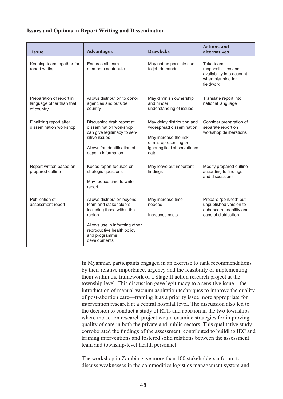### **Issues and Options in Report Writing and Dissemination**

| <b>Issue</b>                                                       | <b>Advantages</b>                                                                                                                                                                           | <b>Drawbcks</b>                                                                                                                                  | <b>Actions and</b><br>alternatives                                                                  |
|--------------------------------------------------------------------|---------------------------------------------------------------------------------------------------------------------------------------------------------------------------------------------|--------------------------------------------------------------------------------------------------------------------------------------------------|-----------------------------------------------------------------------------------------------------|
| Keeping team together for<br>report writing                        | Ensures all team<br>members contribute                                                                                                                                                      | May not be possible due<br>to job demands                                                                                                        | Take team<br>responsibilities and<br>availability into account<br>when planning for<br>fieldwork    |
| Preparation of report in<br>language other than that<br>of country | Allows distribution to donor<br>agencies and outside<br>country                                                                                                                             | May diminish ownership<br>and hinder<br>understanding of issues                                                                                  | Translate report into<br>national language                                                          |
| Finalizing report after<br>dissemination workshop                  | Discussing draft report at<br>dissemination workshop<br>can give legitimacy to sen-<br>sitive issues<br>Allows for identification of<br>gaps in information                                 | May delay distribution and<br>widespread dissemination<br>May increase the risk<br>of misrepresenting or<br>ignoring field observations/<br>data | Consider preparation of<br>separate report on<br>workshop deliberations                             |
| Report written based on<br>prepared outline                        | Keeps report focused on<br>strategic questions<br>May reduce time to write<br>report                                                                                                        | May leave out important<br>findings                                                                                                              | Modify prepared outline<br>according to findings<br>and discussions                                 |
| Publication of<br>assessment report                                | Allows distribution beyond<br>team and stakeholders<br>including those within the<br>region<br>Allows use in informing other<br>reproductive health policy<br>and programme<br>developments | May increase time<br>needed<br>Increases costs                                                                                                   | Prepare "polished" but<br>unpublished version to<br>enhance readability and<br>ease of distribution |

In Myanmar, participants engaged in an exercise to rank recommendations of post-above interesting the main extensive to take recommendation<br>by their relative importance, urgency and the feasibility of implementing by their relative importance, the discussion are reasonally of importantly them within the framework of a Stage II action research project at the them within the Hamework of a stage H action research project at the township level. This discussion gave legitimacy to a sensitive issue—the introduction of manual vacuum aspiration techniques to improve the quality of post-abortion care—framing it as a priority issue more appropriate for corroborated the finding is a grid to the assessment as the assessment of the discussion also led to the decision to conduct a study of RTIs and abortion in the two townships the decision to conduct a staty of KTTs and above in the two townships<br>where the action research project would examine strategies for improving quality of care in both the private and public sectors. This qualitative study orroborated the findings of the assessment, contributed to building IEC and training interventions and fostered solid relations between the assessment team and township-level health personnel.

The workshop in Zambia gave more than 100 stakeholders a forum to discuss weaknesses in the commodities logistics management system and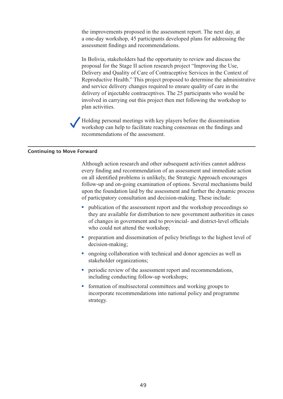the improvements proposed in the assessment report. The next day, at a one-day workshop, 45 participants developed plans for addressing the a one day workshop, 12 participants developed plans for dedicating the assessment findings and recommendations. assessment mangs and recommendations.

In Bolivia, stakeholders had the opportunity to review and discuss the m Bonyia, stateholders had the opportunity to review and diseass the proposal for the Stage II action research project "Improving the Use, proposal for the stage in action research project improving the esse,<br>Delivery and Quality of Care of Contraceptive Services in the Context of Benvery and Quanty of eare of contraceptive services in the context of Reproductive Health." This project proposed to determine the administrative and service delivery changes required to ensure quality of care in the delivery of injectable contraceptives. The 25 participants who would be involved in carrying out this project then met following the workshop to plan activities. mvorved in earlying out this project

Holding personal meetings with key players before the dissemination workshop can help to facilitate reaching consensus on the findings and recommendations of the assessment

#### Continuing to Move Forward on all identified problems is unlikely, the Strategic Approach encourages in the Strategic Approach encourages<br>The Strategic Approach encourages in the Strategic Approach encourages in the Strategic Approach encourages in  $\frac{1}{2}$  follow-up and on-going examination of options. Several mechanisms building building building  $\frac{1}{2}$

Although action research and other subsequent activities cannot address of participation is because the detect subsequent derivates cannot dedicate on all identified problems is unlikely, the Strategic Approach encourages on the foundation laid by the assessment and further the dynamic process participatory consultation and decision-making. These include % on all identified problems is unlikely, the Strategic Approach encourages follow-up and on-going examination of options. Several mechanisms buil upon the foundation laid by the assessment and further the dynamic proce of they are and on-going examination of options. Several mechanisms build

- they are available for distribution to new government authorities in cases who could not attend the workshop • publication of the assessment report and the workshop proceedings so they are available for distribution to new government authorities in case of changes in government and to provincial- and district-level officials who
- $\alpha$ including; % or changes in government and to provincial- and district-level offici-<br>
who could not attend the workshop;<br>
• preparation and dissemination of policy briefings to the highest leve-<br>
decision-making;<br>
• ongoing collaborat
- stakenoider organizations, • preparation and dissemination of policy briefings to the highest<br>decision-making;<br>ongoing collaboration with technical and donor agencies as well<br>stakeholder organizations;<br>periodic review of the assessment report and re
- including conducting follow-up workshops; • ongoing collaboration with technical and donor agencies as we stakeholder organizations;<br>
• periodic review of the assessment report and recommendation including conducting follow-up workshops;<br>
• formation of multisecto periodic
- incorporate recommendations into national policy and programme strategy.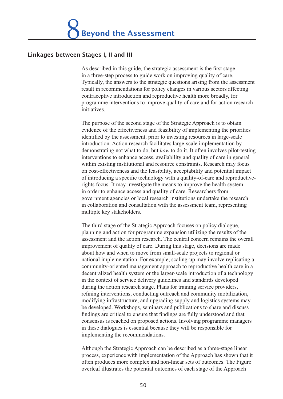### Linkages between Stages I, II and III Typically, the answers to the strategic questions arising from the assessment  $r_{\text{avg}}$ commendations for policies sectors affecting sectors affecting sectors affecting sectors affecting sectors affecting sectors affecting sectors affecting sectors affecting sectors affecting sectors affecting secto

As described in this guide, the strategic assessment is the first stage programme in this galax, the strategic assessment is the first stage in a three-step process to guide work on improving quality of care. If a three step process to galax work on improving quality of earch.<br>Typically, the answers to the strategic questions arising from the assessment result in recommendations for policy changes in various sectors affecting The purpose of the state introduction state of the second state of the state contraceptive introduction and reproductive health more broadly, for evidence of the effectiveness and feature of the effective of the programme interventions to improve quality of care and for action research programme merventions to improve quanty or eare and for action rese<br>initiatives  $\sum$ 

The purpose of the second stage of the Strategic Approach is to obtain interventions of the second stage of the strategic ripprotein is to obtain<br>evidence of the effectiveness and feasibility of implementing the priorities identified by the assessment, prior to investing resources in large-scale on continue by the assessment, prior to investing resources in harge search introduction. Action research facilitates large-scale implementation by f the Strategic Approach is to obtain<br>
Feasibility of implementing the priorities<br>
to investing resources in large-scale<br>
itates large-scale implementation by<br> *how* to do it. It often involves pilot-testing interventions to enhance access, availability and quality of care in general inclusted to enhance access, availability and quality of care. In general within existing institutional and resource constraints. Research may focus on cost-effectiveness and the feasibility, acceptability and potential impact  $\frac{1}{2}$  introduction, rection research natitiates targe-searc implementation by rights focus. It may investigate the means to improve the health system in order to enhance access and quality of care. Researchers from the third state is contained access and quality of earch research for the Strategic Approximate the research for the Strategic Approximate the research for the stage of the stage of the stage of the stage of the stage of t of introducing a specific technology with a quality-of-care and reproductivepovernment agencies of focal research institutions and consultation with the assessment team, representing multiple key stakeholders. assessment and the action with the assessment ream, representing induprovers statements.

The third stage of the Strategic Approach focuses on policy dialogue, national increases of the strategic replication to process on policy dialogue,<br>planning and action for programme expansion utilizing the results of the praining and action for programme expansion attinuing the results of the assessment and the action research. The central concern remains the overall decentralized health system. The central concern remains the overall improvement of quality of care. During this stage, decisions are made improvement of quality of eare. Buting this stage, decisions are made<br>about how and when to move from small-scale projects to regional or during the action research state projects to regional or<br>national implementation. For example, scaling-up may involve replicating a refining interventions, conductively may involve representing a<br>community-oriented management approach to reproductive health care in a decentralized health system or the larger-scale introduction of a technology be determinized nearly system of the larger-searc infroduction of a technology in the context of service delivery guidelines and standards developed find the context of service derivery galaximes and standards developed during the action research stage. Plans for training service providers, consequently in the consequent of the proposed and community mobilization. in the sention is, conducing out each and community moonization,<br>modifying infrastructure, and upgrading supply and logistics systems may including inhustracture, and apgroams suppry and registres systems may<br>be developed. Workshops, seminars and publications to share and discuss findings are critical to ensure that findings are fully understood and that Although the Strictule Constitution and anticipated actions. Involving programme managers programme managers<br>in these dialogues is essential because they will be responsible for mpromenting the recommendations. of the produces is essential because they will be responsible for

Although the Strategic Approach can be described as a three-stage linear process, experience with implementation of the Approach has shown that it often produces more complex and non-linear sets of outcomes. The Figure overleaf illustrates the potential outcomes of each stage of the Approach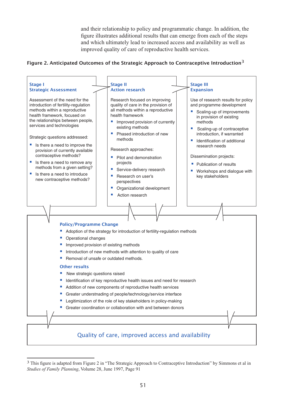and their relationship to policy and programmatic change. In addition, the figure illustrates additional results that can emerge from each of the steps and which ultimately lead to increased access and availability as well as improved quality of care of reproductive health services.

### Figure 2. Anticipated Outcomes of the Strategic Approach to Contraceptive Introduction<sup>3</sup>

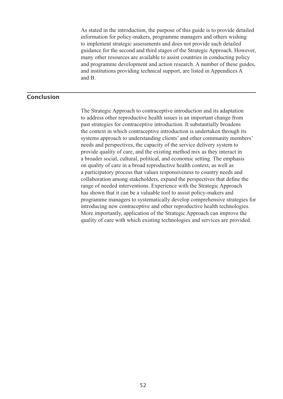As stated in the introduction, the purpose of this guide is to provide detailed and provide determined method action, the purpose of this guide is to provide determined information for policy-makers, programme managers and others wishing and institution for policy makers, programme managers and called wishing to implement strategic assessments and does not provide such detailed w implement strategic assessments and does not provide such detailed<br>guidance for the second and third stages of the Strategic Approach. However, many other resources are available to assist countries in conducting policy and programme development and action research. A number of these guides, and institutions providing technical support, are listed in Appendices A  $T_{\text{max}}$  and  $T_{\text{max}}$ 

past strategies for contraceptive introduction. It substantially broadens

### Conclusion

The Strategic Approach to contraceptive introduction and its adaptation needs and perspective the contract person and the supplement of the state perspective health issues is an important change from provided a matrix of contractive means in an important entirely from past strategies for contraceptive introduction. It substantially broadens past strategies for contraceptive introduction, it substantially orbited. systems approach to understanding clients' and other community members' a participator of the capacity of the service delivery system to needs and perspectives, the capacity of the service delivery system to provide quality of care, and the existing method mix as they interact in provide quarty of early, and the existing method into as they interact in<br>a broader social, cultural, political, and economic setting. The emphasis a broader social, candidate, political, and coolident setting. The empropriate of care in a broad reproductive health context, as well as productive managers to country as well as a participatory process that values responsiveness to country needs and interproduced and variety represents and other represents that define the collaboration among stakeholders, expand the perspectives that define the range of needed interventions. Experience with the Strategic Approach has shown that it can be a valuable tool to assist policy-makers and programme managers to systematically develop comprehensive strategies for introducing new contraceptive and other reproductive health technologies. More importantly, application of the Strategic Approach can improve the quality of care with which existing technologies and services are provided.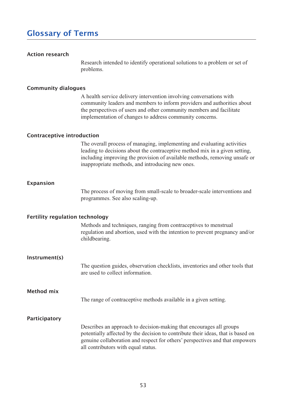### **Glossary of Terms** intended to identify operations to identify operations to a problem or set of  $\alpha$ problems.

### Action research

A health mention to intentify operational solutions to a problem of set of problems. providers.

#### Community dialogues implementation of changes to address community concerns.

A health service delivery intervention involving conversations with community leaders and members to inform providers and authorities about the perspectives of users and other community members and facilitate In perspectives of users and other community includes and racintate implementation of changes to address community concerns. Implementation of enarges to address community concerns.

## **Contraceptive introduction**

The overall process of managing, implementing and evaluating activities leading to decisions about the contraceptive method mix in a given setting, mericaning improving the provision of available methods, removing unsafe of mappropriate methods, and mubdituring new ones

### Expansion

The process of moving from small-search obtoacci-search increditions and programmes. See also sealing-up.

### Fertility regulation technology

Methods and techniques, ranging from contraceptives to menstrual Teguiditon and abortion, ascul with the intention to prevent pregnancy and/or  $\epsilon$ indocaring.

### Instrument(s)

The question guides, observation encernists, inventories and other tools that

The range of contraceptive methods available in a given setting. potential and the decision of the decision of the decision of the decision of the three contributions of the i

### Participatory

Method mix

Describes an approach to decision-making that encourages all groups potentially affected by the decision to contribute their ideas, that is based on genuine collaboration and respect for others' perspectives and that empowers all contributors with equal status.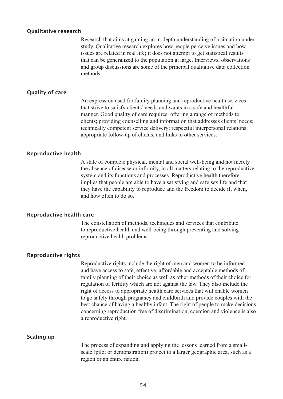#### Qualitative research

Research that aims at gaining an in-depth understanding of a situation under study. Qualitative research explores how people perceive issues and how issues are related in real life; it does not attempt to get statistical results that can be generalized to the population at large. Interviews, observations and group discussions are some of the principal quamative data concentri  $t_{\rm int}$  strive to satisfy clients.

#### Quality of care

An expression used for family planning and reproductive health services An expression used for tanny planning and reproductive health service that strive to satisfy clients' needs and wants in a safe and healthful manner. Good quality of care requires: offering a range of methods to clients; providing counselling and information that addresses clients' needs; technically competent service delivery; respectful interpersonal relations; A statementally completent service derivery, respective interpersonal relations, appropriate follow-up of clients; and links to other services. appropriate follow-up of chems, and miks to other services.

#### Reproductive health

A state of complete physical, mental and social well-being and not merely the absence of disease or infirmity, in all matters relating to the reproductive system and its functions and processes. Reproductive health therefore implies that people are able to have a satisfying and safe sex life and that they have the capability to reproduce and the freedom to decide it, when,  $\frac{d}{dt}$  and now one in  $\omega$  so.

#### Reproductive health care

The constellation of methods, techniques and services that contribute w reproductive nearly and wen-being unbugh preventing and solving reproductive nearin productives.

#### Reproductive rights

Reproductive rights include the right of men and women to be informed to go safely the government with the main women to be informed<br>and have access to safe, effective, affordable and acceptable methods of best change of their choice as well as other methods of their choice for family planning of their choice as well as other methods of their choice for concerning reproduction free of discrimination of fertility which are not against the law. They also include the right of access to appropriate health care services that will enable women to go safely through pregnancy and childbirth and provide couples with the best chance of having a healthy infant. The right of people to make decisions The process of expanding and applying the lesson and applying the lessons learned from a smalla reproductive right.  $\alpha$  reproductive right.

#### Scaling-up

The process of expanding and applying the lessons learned from a smallscale (pilot or demonstration) project to a larger geographic area, such as a region or an entire nation.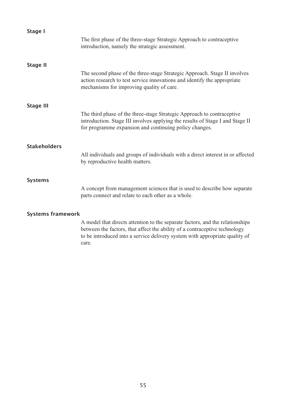| <b>Stage I</b>           |                                                                                                                                                                                                                                                     |  |  |  |
|--------------------------|-----------------------------------------------------------------------------------------------------------------------------------------------------------------------------------------------------------------------------------------------------|--|--|--|
|                          | The first phase of the three-stage Strategic Approach to contraceptive<br>introduction, namely the strategic assessment.                                                                                                                            |  |  |  |
| <b>Stage II</b>          |                                                                                                                                                                                                                                                     |  |  |  |
|                          | The second phase of the three-stage Strategic Approach. Stage II involves<br>action research to test service innovations and identify the appropriate<br>mechanisms for improving quality of care.                                                  |  |  |  |
|                          |                                                                                                                                                                                                                                                     |  |  |  |
| <b>Stage III</b>         | The third phase of the three-stage Strategic Approach to contraceptive<br>introduction. Stage III involves applying the results of Stage I and Stage II<br>for programme expansion and continuing policy changes.                                   |  |  |  |
| <b>Stakeholders</b>      |                                                                                                                                                                                                                                                     |  |  |  |
|                          | All individuals and groups of individuals with a direct interest in or affected<br>by reproductive health matters.                                                                                                                                  |  |  |  |
|                          |                                                                                                                                                                                                                                                     |  |  |  |
| <b>Systems</b>           | A concept from management sciences that is used to describe how separate<br>parts connect and relate to each other as a whole.                                                                                                                      |  |  |  |
| <b>Systems framework</b> |                                                                                                                                                                                                                                                     |  |  |  |
|                          | A model that directs attention to the separate factors, and the relationships<br>between the factors, that affect the ability of a contraceptive technology<br>to be introduced into a service delivery system with appropriate quality of<br>care. |  |  |  |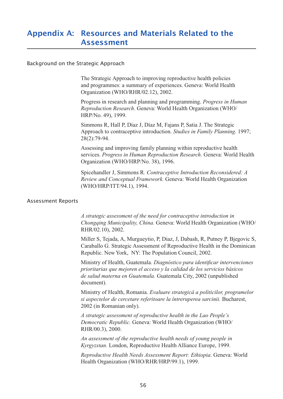## Appendix A: Resources and Materials Related to the Assessment The Strategic Approach to improving reproductive health policies

## Background on the Strategic Approach

The Strategic Approach to improving reproductive health policies and programmes: a summary of experiences. Geneva: World Health  $\text{Urganization}$  (wh $\text{U/KHK/02.12}$ ), 2002. The Strategic Approach to improving reproductive health policies<br>and programmes: a summary of experiences. Geneva: World Health<br>Organization (WHO/RHR/02.12), 2002.<br>Progress in research and planning and programming. *Progre* 

Progress in research and planning and programming. Progress in Human  $H\left(\frac{N}{N}, 1999\right)$ Progress in research and planning and programming. *Progress in Human Reproduction Research*. Geneva: World Health Organization (WHO/HRP/No. 49), 1999.<br>Simmons R, Hall P, Díaz J, Díaz M, Fajans P, Satia J. The Strategic Ap

Simmons R, Hall P, Díaz J, Díaz M, Fajans P, Satia J. The Strategic  $20(2)$ ,  $12-21$ , *Progress in Human Reproduction. Studies in Family Planning.* 1997;<br> *Paroferive introduction. Studies in Family Planning.* 1997;<br> *Progress in Human Reproduction Research.* Geneva: World Health

Assessing and improving family planning within reproductive health Organization (WHO/HRP/No. 38), 1996. Assessing and improving family planning within reproductive health<br>services. *Progress in Human Reproduction Research*. Geneva: World Hea<br>Organization (WHO/HRP/No. 38), 1996.<br>Spicehandler J, Simmons R. *Contraceptive Intro* services. *Progress in Human* 

*. Contraceptive Introduction Reconsidered: A*  (WHO/HRP/ITT/94.1), 1994.

### Assessment Reports

A strategic assessment of the need for contraceptive introduction in *A strategic assessment of the need for contraceptive introduction in*<br>Chongqing Municipality, China. Geneva: World Health Organization (WHO/  $RHK/02.10$ ,  $2002.$ 

Miller S, Tejada, A, Murgueytio, P, Diaz, J, Dabash, R, Putney P, Bjegovic S, Caraballo G. Strategic Assessment of Reproductive Health in the Dominican Republic. New York, NY: The Population Council, 2002

Ministry of Health, Guatemala. Diagnóstico para identificar intervenciones *prioritarias que mejoren el acceso y la calidad de los servicios básicos*  Caraballo G. Strategic Assessment of Reproductive Health in the Dor<br>Republic. New York, NY: The Population Council, 2002.<br>Ministry of Health, Guatemala. *Diagnóstico para identificar interven*<br>*prioritarias que mejoren el* document). *prioritarias que mejoren el acceso y la calidad de los servicios básicos<br>de salud materna en Guatemala. Guatemala City, 2002 (unpublished*<br>document).<br>Ministry of Health, Romania. *Evaluare strategicâ a politicilor, progra* de salud materna en Guatemala. Guatemala City, 2002 (unpublished

*Evaluare strategicâ a politicilor, programelor*  2002 (in Romanian only). *Ministry of Health, Romania. Evaluare strategicâ a politicilor, pro*<br>*si aspectelor de cercetare referitoare la întreruperea sarcinii. Bucl*<br>2002 (in Romanian only).<br>*A strategic assessment of reproductive health in the L* si aspectelor de cercetare referitoare la întreruperea sarcinii. Bucharest,

*A strategic assessment of reproductive health in the Lao People's*   $HHK/00.3$ , 2000. *A strategic assessment of reproductive health in the Lao People's Democratic Republic. Geneva: World Health Organization (WHO RHR/00.3), 2000.<br><i>An assessment of the reproductive health needs of young people in Kyrgyzstan.* 

*An assessment of the reproductive health needs of young people in* 

*Reproductive Health Needs Assessment Report: Ethiopia*. Geneva: World Health Organization (WHO/RHR/HRP/99.1), 1999.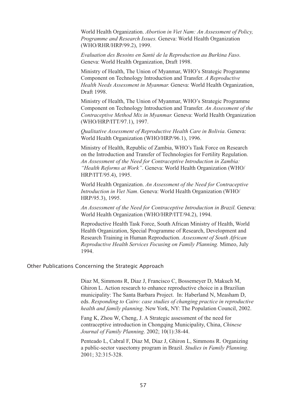World Health Organization. Abortion in Viet Nam: An Assessment of Policy, *Programme and Research Issues.* Geneva: World Health Organization (WHO/KHK/HKP/99.2), 1999. World Health Organization. *Abortion in Viet Nam: An Assessment of Perogramme and Research Issues.* Geneva: World Health Organization (WHO/RHR/HRP/99.2), 1999.<br>*Evaluation des Besoins en Santé de la Reproduction au Burkina* Programme ana Research Issues. Geneva: World Health Organization of Myanmar, Myanmar, Who's Strategic Programme

Geneva: World Health Organization, Draft 1998

 Ministry of Health, The Union of Myanmar, WHO's Strategic Programme Component on Technology Introduction and Transfer. A Reproductive *Evaluation des Besoins en Santé de la Reproduction au Burkina Faso.*<br>
Geneva: World Health Organization, Draft 1998.<br>
Ministry of Health, The Union of Myanmar, WHO's Strategic Programme<br>
Component on Technology Introducti Draft 1998.

Ministry of Health, The Union of Myanmar, WHO's Strategic Programme Component on Technology Introduction and Transfer. An Assessment of the *Health Needs Assessment in Myanmar*. Geneva: World Health Organization,<br>Draft 1998.<br>Ministry of Health, The Union of Myanmar, WHO's Strategic Programme<br>Component on Technology Introduction and Transfer. An Assessment of t  $(WHU/HKP/111/97.1), 1997.$ *Ministry of Health, The Union of Myanmar, WHO's Strategic Programm Component on Technology Introduction and Transfer. An Assessment of t Contraceptive Method Mix in Myanmar. Geneva: World Health Organiza (WHO/HRP/ITT/97.1* Contraceptive Method Mix in Myanmar. Geneva: World Health Organizat

World Health Organization (WHO/HRP/96.1), 1996.

Ministry of Health, Republic of Zambia, WHO's Task Force on Research on the Introduction and Transfer of Technologies for Fertility Regulation. *An Assessment of the Need for Contraceptive Introduction in Zambia:*  World Health Organization (WHO/HRP/96.1), 1996.<br> *Ministry of Health, Republic of Zambia, WHO's Task Force on Researc*<br>
on the Introduction and Transfer of Technologies for Fertility Regulation<br> *An Assessment of the Need* HRP/ITT/95.4), 1995. *In Assessment of the Need for Contraceptive Introduction in Zambia:*<br> *Internal Reforms at Work I*. Geneva: World Health Organization (WHERP/ITT/95.4), 1995.<br> *World Health Organization. An Assessment of the Need for Co* "Health Reforms

World Health Organization. An Assessment of the Need for Contraceptive  $HKP/95.3$ , 1995. *An Assessment of the Need for Contraceptive*<br> *An Assessment of the Need for Contraceptive*<br> *An Assessment of the Need for Contraceptive Introduction in Brazil.* Geneva:<br> *An Assessment of the Need for Contraceptive Intr* Introduction in Viet Nam. Geneva: World Health Organization (WHO/

World Health Organization (WHO/HRP/ITT/94.2), 1994.

Health Organization, Special Programme of Research, Development and *Assessment of South African World Health Organization (WHO/HRP/ITT/94.2), 1994.*<br>*Reproductive Health Task Force, South African Ministry of Health, World Health Organization, Special Programme of Research, Development and Research Training in Human*  $\overline{D}$  on  $\overline{D}$  $1994$ ,

## Other Publications Concerning the Strategic Approach

Diaz M, Simmons R, Diaz J, Francisco C, Bossemeyer D, Makuch M, Ghiron L. Action research to enhance reproductive choice in a Brazilian municipality: The Santa Barbara Project. In: Haberland N, Measham D,  *Responding to Cairo: case studies of changing practice in reproductive*  Diaz M, Simmons R, Diaz J, Francisco C, Bossemeyer D, Makuch M, Ghiron L. Action research to enhance reproductive choice in a Brazilian municipality: The Santa Barbara Project. In: Haberland N, Measham D, eds. *Responding neatin and family planning*. New York, NY: The Population Council, 2002

Fang K, Zhou W, Cheng, J. A Strategic assessment of the need for contraceptive introduction in Chongqing Municipality, China, Chinese eds. *Responding to Cairo: case studies of chang*<br>*health and family planning*. New York, NY: The<br>Fang K, Zhou W, Cheng, J. A Strategic assessm<br>contraceptive introduction in Chongqing Munic<br>*Journal of Family Planning*. 20

Penteado L, Cabral F, Diaz M, Diaz J, Ghiron L, Simmons R. Organizing *Studies in Family Planning.*  2001; 32:315-328.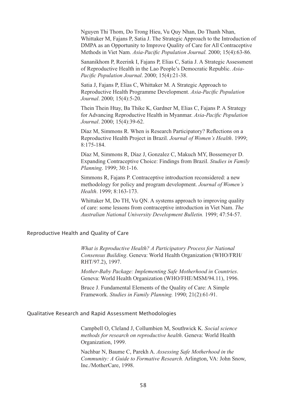Nguyen Thi Thom, Do Trong Hieu, Vu Quy Nhan, Do Thanh Nhan, DMPA as an Opportunity to Improve Quality of Care for All Contraceptive Frong Hieu, Vu Quy Nhan, Do Thanh Nhan, Satia J. The Strategic Approach to the Introduction<br>ity to Improve Quality of Care for All Contraceptive<br>Asia-Pacific Population Journal. 2000; 15(4):63-86. Whittaker M, Fajans P, Satia J. The Strategic Approach to the Intro Methods in Viet Nam. *Asia-Pacific Population Journal*. 2000; 15

Sananikhom P, Reerink I, Fajans P, Elias C, Satia J. A Strategic Assessment of Reproductive Health in the Lao People's Democratic Republic. *Asia-***DMPA as an Opportunity to Improve Quality c**<br>Methods in Viet Nam. *Asia-Pacific Population*<br>Sananikhom P, Reerink I, Fajans P, Elias C, Sa<br>of Reproductive Health in the Lao People's De<br>*Pacific Population Journal*. 2000; Pacific Population Journal. 2000; 15(4):21-38.

Satia J, Fajans P, Elias C, Whittaker M. A Strategic Approach to *Asia-Pacific Population*  of Reproductive Health in<br>*Pacific Population Journal*<br>Satia J, Fajans P, Elias C, V<br>Reproductive Health Progr<br>*Journal*. 2000; 15(4):5-20. Journal. 2000; 15(4):5-20.

for Advancing Reproductive Health in Myanmar. Asia-Pacific Population Reproductive Health Progra<br>*Journal*. 2000; 15(4):5-20.<br>Thein Thein Htay, Ba Thike<br>for Advancing Reproductive<br>*Journal*. 2000; 15(4):39-62. Thein Thein Htay, Ba Thike K, Gardner M, Elias C, Fajans P. A Strategy<br>for Advancing Reproductive Health in Myanmar. *Asia-Pacific Population*<br>*Journal*. 2000; 15(4):39-62.<br>Díaz M, Simmons R. When is Research Participatory Journal. 2000; 15(4):39-62.

Díaz M, Simmons R. When is Research Participatory? Reflections on a  $\delta$ : Fajans P. Contraction reconsidered: a new contraction reconsidered: a new considered: a new considered: a new contraction reconsidered:  $\delta$ 

**Reproductive Health Proj<br>8:175-184.<br>Díaz M, Simmons R, Día<br>Expanding Contraceptive<br>***Planning***. 1999; 30:1-16.** Díaz M, Simmons R, Díaz J, Gonzalez C, Makuch l Planning. 1999; 30:1-16.

Expanding Contraceptive Choice: Findings from Brazil. *Studies in Family Planning*. 1999; 30:1-16.<br>Simmons R, Fajans P. Contraceptive introduction reconsidered: a new<br>methodology for policy and program development. *Journa* Simmons R, Fajans P. Contraceptive introduction reconsidered: a new

methodology for policy and program development. Journal of Women's<br> *Health*. 1999; 8:163-173.<br>
Whittaker M, Do TH, Vu QN. A systems approach to improving quality<br>
of care: some lessons from contraceptive introduction in V Whittaker M, Do TH, Vu QN. A systems approach to improving quality of care: some lessons from contraceptive introduction in Viet Nam. The

## Reproductive Health and Quality of Care

What is Reproductive Health? A Participatory Process for National and Quality of Care<br>*What is Reproductive Health? A Participatory Process for National*<br>*Consensus Building*. Geneva: World Health Organization (WHO/FRH/  $KHI/97.2$ ), 1997 *What is Reproductive Health? A Participatory Process for National Consensus Building. Geneva: World Health Organization (WHO/FRFRH)*<br>RHT/97.2), 1997.<br>*Mother-Baby Package: Implementing Safe Motherhood in Countries.* Consensus Builaing. Geneva: world Health Organization (WHO)

1997.<br>*V Package: Implementing Safe Motherhood in C*<br>1d Health Organization (WHO/FHE/MSM/94.1<br>damental Elements of the Quality of Care: A Si<br>*Studies in Family Planning*. 1990; 21(2):61-91.

Bruce J. Fundamental Elements of the Quality of Care: A Simple Framework. Studies in Family Planning. 1990; 21(2):61-91.

## Qualitative Research and Rapid Assessment Methodologies

*Social science methods for research on reproductive health*. Geneva: World Health Organization, 1999. methods for research on reproductive health. Geneva: World Health

Nachbar N, Baume C, Parekh A. Assessing Safe Motherhood in the *Community: A Guide to Formative Research.* Arlington, VA: John Snow,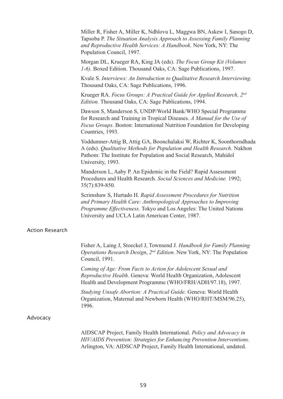*Tapsoba P. The Situation Analysis Approach to Assessing Family Planning and Reproductive Health Services: A Handbook. New York, NY: The Population Council, 1997.<br>
Morgan DL, Krueger RA, King JA (eds). <i>The Focus Group Kit Andmer R, Fisher A, Miller K, Ndhlovu L, Maggwa BN, Askew I, Sandmers Approductive Health Services: A Handbook. New York, NY: The Situation Analysis Approach to Assessing Family Plane and Reproductive Health Services: A H* Population Council, 1997. Miller R, Fisher A, Miller K, Ndhlovu L, and Reproductive Health Services: A Handbook, New York, NY: The

*Morgan DL, Krueger RA, King JA (eds). The Focus Group Kit (Volumes Interproductive Health Services: A Handbook.* New York, NY: The<br>Population Council, 1997.<br>Morgan DL, Krueger RA, King JA (eds). *The Focus Group Kit (Volumes*<br>1-6). Boxed Edition. Thousand Oaks, CA: Sage Publications, 199

for Research and Training Publications, 1990. *F*-0). Boxed Edition. Thousand Oaks, CA: Sage Publication Kvale S. *Interviews: An Introduction to Qualitative Res*<br>Thousand Oaks, CA: Sage Publications, 1996.<br>Krueger RA. *Focus Groups: A Practical Guide for App*<br>*Editio* 

*Focus Groups: A Practical Guide for Applied Research, 2nd* Edition. Thousand Oaks, CA: Sage Publications, 1994.

Dawson S, Manderson S, UNDP/World Bank/WHO Special Programme for Research and Training in Tropical Diseases. A Manual for the Use of *Focus Groups: A Practical Guide for Applied Research, 2<sup>nd</sup> Edition.* Thousand Oaks, CA: Sage Publications, 1994.<br>Dawson S, Manderson S, UNDP/World Bank/WHO Special Programme for Research and Training in Tropical Disea Countries, 1993. arch and Training in Tropical Diseases. A Manual for the Use of<br>roups. Boston: International Nutrition Foundation for Developing<br>s, 1993.<br>ner-Attig B, Attig GA, Boonchalaksi W, Richter K, Soonthorndhad<br>*Qualitative Methods* 

Pathom: The Institute for Population and Social Research, Mahidol University, 1995. Yoddumner-Attig B, Attig GA, Boonchalaksi W, Richter K, Soontho A (eds). *Oualitative Methods for Population and Health Research*. Nakhon *Population and Health Research.* Nakion and Social Research, Mahidol<br>nic in the Field? Rapid Assessment<br>*Social Sciences and Medicine*. 1992;

Manderson L, Aaby P. An Epidemic in the Field? Rapid Assessment  $35(7):839-850.$ 

*Rapid Assessment Procedures for Nutrition and Primary Health Care: Anthropological Approaches to Improving*  Procedures and Health Research. *Social Sciences and Medicine*. 1992;<br>35(7):839-850.<br>Scrimshaw S, Hurtado H. *Rapid Assessment Procedures for Nutrition*<br>*and Primary Health Care: Anthropological Approaches to Improving*<br>*P* University and UCLA Latin American Center, 1987

### Action Research

Fisher A, Laing J, Stoeckel J, Townsend J. Handbook for Family Planning *Operations Research Design*, *2nd Edition*. New York, NY: The Population Council, 1991. Fisher A, Laing J, Stoeckel J, Townsend J. *Handbook for Family Plann*<br>*Operations Research Design, 2<sup>nd</sup> Edition.* New York, NY: The Populati<br>Council, 1991.<br>*Coming of Age: From Facts to Action for Adolescent Sexual and R* Operations Research Design,  $2^{nd}$  Edition. New York, NY: The Populati

Coming of Age: From Facts to Action for Adolescent Sexual and Council, 1991.<br>*Coming of Age: From Facts to Action for Adolescent Sexual and*<br>*Reproductive Health.* Geneva: World Health Organization, Adolescen<br>Health and Development Programme (WHO/FRH/ADH/97.18), 1997<br>*Studying Unsafe* Reproductive Health. Geneva: World Health Organization, Adolescent

Organization, material and introduced freature wito/Kitti/Misiw/90.29), 1996.

#### Advocacy

AIDSCAP Project, Family Health International. Policy and Advocacy in *HIV/AIDS Prevention: Strategies for Enhancing Prevention Interventions*. Arlington, VA: AIDSCAP Project, Family Health International, undated.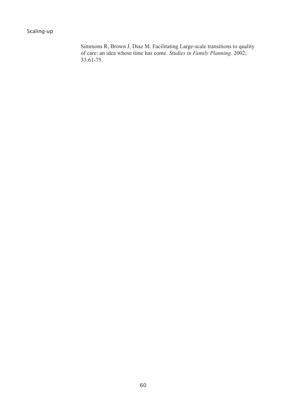Scaling-up

*Studies in Family Planning*. 2002;  $33:61-75.$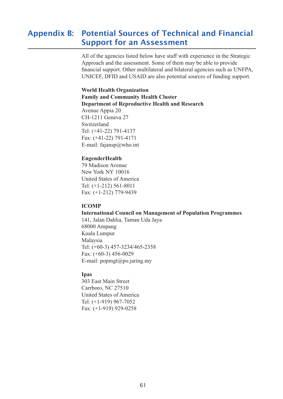### Appendix B: Potential Sources of Technical and Financial **Support for an Assessment** UNICEF, DETERTH and USAID are also potential sources of the sources of the sources of the sources of the support.

All of the agencies listed below have staff with experience in the Strategic Approach and the assessment. Some of them may be able to provide financial support. Other multilateral and bilateral agencies such as UNFPA, OTTOET, DTTD and ODTTD are also potential sources of funding support

#### **World Health Organization Family and Community Health Cluster Department of Reproductive Health and Research**  $W_{\alpha}$ uld  $W_{\alpha}$ lth  $\Omega_{\alpha}$ world fied.<br>Fomily and Tunny und Commun

Expanding to Apple 20  $CH-1211$  Geneva 27 Switzerland Tel: (+41-22) 791-4137 Fax:  $(+41-22)$  791-417  $F = \text{mail:}$  fajansp $\omega$ who.in  $L$  man, rajansp $\alpha$  who  $m$ 

#### **EngenderHealth**  $$

79 Madison Avenue New York NY 10016 United States of America Tel:  $(+1-212)$  561-8011 Fax:  $(+1\ 212) 301 - 0011$ <br>Fax:  $(+1\ -212) 779 - 9439$ 68000 Ampang

#### **ICOMP**  $L_{\text{COMD}}$

#### **International Council on Management of Population Programmes** ICOMI<br>Internati

Thermational Council on Manag<br>141, Jalan Dahlia, Taman Uda Jaya  $F_{\text{F}}$ ,  $F_{\text{atm}}$   $F_{\text{atm}}$ ,  $F_{\text{atm}}$ eoooo *r* mpang<br>Kuala Lumpur Malaysia Tel:  $(+60-3)$  457-3234/465-2358 Fax:  $(+60-3)$  456-002 E-mail: popmgt@po.jaring.m  $L$  man, popm $\epsilon$   $\infty$  po.  $\mu$ m

#### **Ipas**  $\sum_{n=9}$

**Fax:** (+1-910) 928-025<br>303 East Main Street Carrboro, NC 27510 United States of America Tel: (+1-919) 967-7052 Fax:  $(+1-919)$  929-0258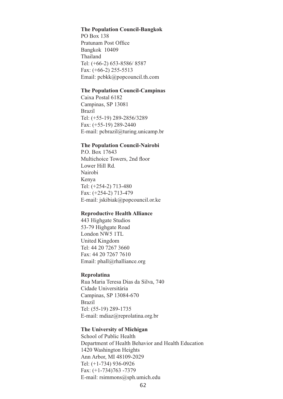#### **The Population Council-Bangkok** The Den

Pratunam Post Office Thailand  $T_{\text{IV}}$  The Topulation Council  $B_0$ Tel: (+66-2) 653-8586/8587 Fax:  $(+66-2)$  255-551. Bangkok 10409 r ax. (100-2) 233-3313<br>Email: pcbkk@popcouncil.th.com Brazil

#### **The Population Council-Campinas** The Depulation Council Co.

Fire Foundation Council<br>Caixa Postal 6182  $Campinas, SP 13081$ **Brazil** Tel: (+55-19) 289-2856/3289 Fax:  $(+55-19)$  289-2850 E-mail: pcbrazil@turing.unicamp.b.  $L$ -man.  $p$ coraz.

#### **The Population Council-Nairobi** na<br>Tha Da

T.O. Dox 17045<br>Multichoice Towers, 2nd floo! P.O. Box  $17643$ Kenya Tel: (+254-2) 713-480 Lower Hill Rd. Fax:  $(+254-2)$  713-47 Nairobi E-mail: jskibiak@popcouncil.or.k  $L$ -man, jokiolak $[\omega]$ 

#### **Reproductive Health Alliance**  Denveductive II

**The France Additional Additional Studios** 445 Highgate Studios<br>53-79 Highgate Road 19 The Search Role<br>London NW5 1TL United Kingdom Tel: 44 20 7267 3660 Fax:  $44\,20\,7267\,7610$ Email:  $phall@rhalliance.org$ Eman, phan@mamance.

#### **Reprolatina**  $\mathbf{D}_{\text{ap} \mu\sigma}$

Rua Maria Teresa Dias da Silva, 74 Rua mana Teresa Bias da Sirva, 7<br>Cidade Universitária Campinas, SP 13084-670 Brazn<br>Tel: (55-19) 289-1735 E-mail: mdiaz@reprolatina.org.br  $L$  man, meazwreprofain

#### **The University of Michigan** The University of Michigan

**School of Public Health** Sensor of Flasher Fream<br>Department of Health Behavior and Health Education Explanation of Figure Bonavior and<br>1420 Washington Heights Ann Arbor, MI 48109-2029 Tel: (+1-734) 936-0926 Fax:  $(+1-734)763 -7379$ E-mail: rsimmons@sph.umich.edu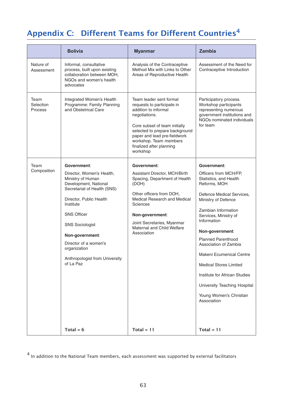# Appendix C: Different Teams for Different Countries<sup>4</sup>

Nature of Analysis of the Contraceptive Assessment of the Need for Informal, consultative

|                              | <b>Bolivia</b>                                                                                                                                                                                                                                                                                            | <b>Myanmar</b>                                                                                                                                                                                                                                                      | <b>Zambia</b>                                                                                                                                                                                                                                                                                                                                                                                                                       |
|------------------------------|-----------------------------------------------------------------------------------------------------------------------------------------------------------------------------------------------------------------------------------------------------------------------------------------------------------|---------------------------------------------------------------------------------------------------------------------------------------------------------------------------------------------------------------------------------------------------------------------|-------------------------------------------------------------------------------------------------------------------------------------------------------------------------------------------------------------------------------------------------------------------------------------------------------------------------------------------------------------------------------------------------------------------------------------|
| Nature of<br>Assessment      | Informal, consultative<br>process, built upon existing<br>collaboration between MOH,<br>NGOs and women's health<br>advocates                                                                                                                                                                              | Analysis of the Contraceptive<br>Method Mix with Links to Other<br>Areas of Reproductive Health                                                                                                                                                                     | Assessment of the Need for<br>Contraceptive Introduction                                                                                                                                                                                                                                                                                                                                                                            |
| Team<br>Selection<br>Process | Integrated Women's Health<br>Programme: Family Planning<br>and Obstetrical Care                                                                                                                                                                                                                           | Team leader sent formal<br>requests to participate in<br>addition to informal<br>negotiations.<br>Core subset of team initially<br>selected to prepare background<br>paper and lead pre-fieldwork<br>workshop. Team members<br>finalized after planning<br>workshop | Participatory process.<br>Workshop participants<br>representing numerous<br>government institutions and<br>NGOs nominated individuals<br>for team                                                                                                                                                                                                                                                                                   |
| Team                         | Government:                                                                                                                                                                                                                                                                                               | Government:                                                                                                                                                                                                                                                         | Government:                                                                                                                                                                                                                                                                                                                                                                                                                         |
| Composition                  | Director, Women's Health,<br>Ministry of Human<br>Development, National<br>Secretariat of Health (SNS)<br>Director, Public Health<br>Institute<br><b>SNS Officer</b><br><b>SNS Sociologist</b><br>Non-government:<br>Director of a women's<br>organization<br>Anthropologist from University<br>of La Paz | Assistant Director, MCH/Birth<br>Spacing, Department of Health<br>(DOH)<br>Other officers from DOH,<br>Medical Research and Medical<br>Sciences<br>Non-government:<br>Joint Secretaries, Myanmar<br>Maternal and Child Welfare<br>Association                       | Officers from MCH/FP,<br>Statistics, and Health<br>Reforms, MOH<br>Defence Medical Services,<br>Ministry of Defence<br>Zambian Information<br>Services, Ministry of<br>Information<br>Non-government:<br><b>Planned Parenthood</b><br>Association of Zambia<br>Makeni Ecumenical Centre<br><b>Medical Stores Limited</b><br>Institute for African Studies<br>University Teaching Hospital<br>Young Women's Christian<br>Association |
|                              | Total = $6$                                                                                                                                                                                                                                                                                               | Total = $11$                                                                                                                                                                                                                                                        | Total = $11$                                                                                                                                                                                                                                                                                                                                                                                                                        |

4 In addition to the National Team members, each assessment was supported by external facilitators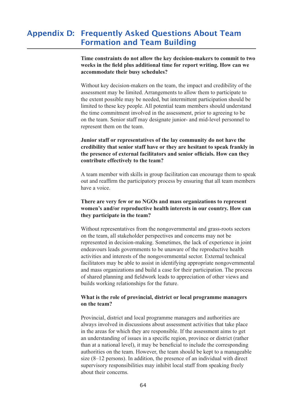## Appendix D: Frequently Asked Questions About Team Formation and Team Building

**Time constraints do not allow the key decision-makers to commit to two weeks in the field plus additional time for report writing. How can we accommodate their busy schedules?** Time constraints do not ellew the liev decision-makers to commit to two assessment may be limited. And the session of the session of the magnetic to the method. They are the participate to participate to participate to participate to participate to participate to participate to participate to the extent provide may be needed the participation of the needed, but intermediate the may be needed. litten to the key pentual team members.

Without key decision-makers on the team, the impact and credibility of the on the team, the impact and creationly of the assessment may be limited. Arrangements to allow them to participate to the extent possible may be needed, but intermittent participation should be limited to these key people. All potential team members should understand the time commitment involved in the assessment, prior to agreeing to be on the team. Senior staff may designate junior- and mid-level personnel to represent them on the team.

**Junior staff or representatives of the lay community do not have the credibility that senior staff have or they are hesitant to speak frankly in the presence of external facilitators and senior officials. How can they contribute effectively to the team?** ounter start of representatives or the lay community to not have the<br>anodikility that canion staff have an they are hesitant to speak fuankly in or canonicy that senter start have or they are nestiant to speak framily in the presence

A team member with skills in group facilitation can encourage them to speak out and reaffirm the participatory process by ensuring that all team members have a voice

#### **There are very few or no NGOs and mass organizations to represent women's and/or reproductive health interests in our country. How can**  they participate in the team?  $T<sub>h</sub>$  and  $T<sub>2</sub>$  for an no  $N<sub>1</sub>$  and mass-arganizations to roomegant on the team of team of the team and the team of the team of the team of the team of the team of the team of the romen s and or reproducity heath merests in our country, from ean

facilitatives may be able to assist in the improvemental and grass foots sectors on the team, all stakeholder perspectives and concerns may not be and the mass of the case of the statements and build a concerns may not be represented in decision-making. Sometimes, the lack of experience in joint nots sector<br>health<br>health  $a^{\mu}$  and  $b^{\mu}$  is a sector of the nongovernmental and an as note sector. build build build activities and interests of the nongovernmental sector. External technical facilitators may be able to assist in identifying appropriate nongovernmental and mass organizations and build a case for their participation. The process endeavours leads governments to be unaware of the reproductive health of shared planning and fieldwork leads to appreciation of other views and parties working relationships for the future.

#### **What is the role of provincial, district or local programme managers on the team?** What is the role of nuovincial district or less nuovumment account which is the role of provincial, ulstrict or local programme managers  $\alpha$  in a specific region, province or district  $\alpha$  specific region, province or district (rather  $\alpha$

Provincial, district and local programme managers and authorities are always involved in discussions about assessment activities that take place shows in a seasons about assessment activities that take pract<br>in the areas for which they are responsible. If the assessment aims to get in the theories for which they are responsible. If the assessment thing to get<br>an understanding of issues in a specific region, province or district (rather than at a national level), it may be beneficial to include the corresponding authorities on the team. However, the team should be kept to a manageable size  $(8-12)$  persons). In addition, the presence of an individual with direct supervisory responsibilities may inhibit local staff from speaking freely about their concerns.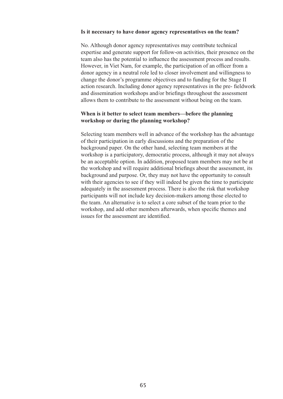#### **Is it necessary to have donor agency representatives on the team?** te it persecutive to have depen agency representatives on the team? is a necessary to have gonor agency representatives on the team.

No. Although donor agency representatives may contribute technical expertise and generate support for follow-on activities, their presence on the experise and generate support for follow on activities, their presence on the team also has the potential to influence the assessment process and results. and disc has the potential to inhabite the assessment process and result.<br>However, in Viet Nam, for example, the participation of an officer from a donor agency in a neutral role led to closer involvement and willingness to change the donor's programme objectives and to funding for the Stage II action research. Including donor agency representatives in the pre-fieldwork and dissemination workshops and/or briefings throughout the assessment allows them to contribute to the assessment without being on the team.

#### **When is it better to select team members—before the planning workshop or during the planning workshop?**  $\overline{W}$  then is it better to select team members abefore the planning below to be other to select team members a before the planning workshop of autring the planning workshop.

Selecting team members well in advance of the workshop has the advantage the workshop has the advantage of the workshop has the advantage of their participation in early discussions and the preparation of the background paper. On the other hand, selecting team members at the background paper. On the other hand, selecting team members at the workshop is a participatory, democratic process, although it may not always be an acceptable option. In addition, proposed team members may not be at participants will not include the workshop and will require additional briefings about the assessment, its the workshop and win require diditional orientigs about the assessment, it<br>background and purpose. Or, they may not have the opportunity to consult with their agencies to see if they will indeed be given the time to participate with their agencies to see if they will indeed be given the time to participal adequately in the assessment process. There is also the risk that workshop participants will not include key decision-makers among those elected to the team. An alternative is to select a core subset of the team prior to the workshop, and add other members afterwards, when specific themes and issues for the assessment are identified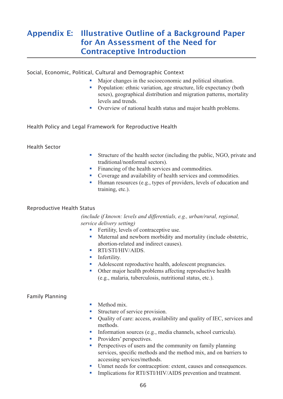## Appendix E: Illustrative Outline of a Background Paper for An Assessment of the Need for Contraceptive Introduction

Social, Economic, Political, Cultural and Demographic Context

- Major changes in the socioeconomic and political situation.
- Population: ethnic variation, age structure, life expectancy (both sexes), geographical distribution and migration patterns, mortality levels and trends.
- Overview of national health status and major health problems.

Health Policy and Legal Framework for Reproductive Health traditional/nonformal sectors).

## Health Sector

- § Structure of the health sector (including the public, NGO, private and traditional/nonformal sectors) • Structure of the health sector (including the public traditional/nonformal sectors).<br>• Financing of the health services and commodities. ■ Structure of the health sector (including the public, NGO, privertaditional/nonformal sectors).<br>
■ Financing of the health services and commodities.<br>
■ Coverage and availability of health services and commodities. • Structure of the health sector (including the public, NGO, private a traditional/nonformal sectors).<br>• Financing of the health services and commodities.<br>• Coverage and availability of health services and commodities.<br>• H
- 
- 
- training, etc.).

## Reproductive Health Status

*(include if known: levels and differentials, e.g., urban/rural, regional, service delivery setting)* **us**<br>§ *lude if known: levels and differentials, e*<br>√ Fertility, levels of contraceptive use. 9 us<br>
inde if known: levels and differentials, e.g., urban/rural, regional,<br>
ice delivery setting)<br>
■ Fertility, levels of contraceptive use.<br>
■ Maternal and newborn morbidity and mortality (include obstetric, able to relate and differentials.

- 
- abortion-related and indirect causes). • Fertility, levels of contraceptive use.<br>• Maternal and newborn morbidity and<br>abortion-related and indirect causes)<br>• RTI/STI/HIV/AIDS • Maternal and newborn morbidity and mortality (include<br>abortion-related and indirect causes).<br>• RTI/STI/HIV/AIDS.<br>• Infertility.<br>• Adolescent reproductive health, adolescent pregnancies.
- $RTI/STI/HIV/AIDS.$
- **•** Infertility.
- 
- Adolescent reproductive health, adolescent pregnancies.<br>■ Other major health problems affecting reproductive health (e.g., malaria, tuberculosis, nutritional status, etc.).

## Family Planning

- Method mix.
- § Structure of service provision.
- Method mix.<br>■ Structure of service provision.<br>■ Quality of care: access, availability and quality of IEC, services and methods. ■ Method mix.<br>■ Structure of service provision.<br>■ Quality of care: access, availability and quality of IEC, servi-<br>methods.<br>■ Information sources (e.g., media channels, school curricula). • Structure of service pro<br>
• Quality of care: access,<br>
methods.<br>
• Information sources (e.g.<br>
• Providers' perspectives. Suality of care, access, availability and quality of the, services and models
- Information sources (e.g., media channels, school curricula).
- 
- Information sources (e.g., media channels, school curricula).<br>• Providers' perspectives.<br>• Perspectives of users and the community on family planning accessing services/methods. • Providers' perspectives.<br>• Providers' perspectives.<br>• Perspectives of users and the community on family planning<br>services, specific methods and the method mix, and on barriers to<br>accessing services/methods.<br>• Unmet needs • Perspectives of users and the community on family planning<br>services, specific methods and the method mix, and on barriers<br>accessing services/methods.<br>Unmet needs for contraception: extent, causes and consequence<br>Implicat
- 
-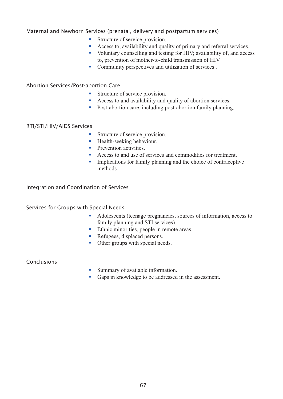# Maternal and Newborn Services (prenatal, delivery and postpartum services) ervices (prenatal, delivery and<br>■ Structure of service provision. res (prenatal delivery and postpartum services)

- 
- Structure of service provision.<br>■ Access to, availability and quality of primary and referral services.
- Voluntary counselling and testing for HIV; availability of, and access to, prevention of mother-to-child transmission of HIV. • Structure of service provision.<br>• Access to, availability and quality of primary and ret<br>• Voluntary counselling and testing for HIV; availabili<br>• Community perspectives and utilization of services.
- Community perspectives and unit<br>bortion Care<br>• Structure of service provision.

## Abortion Services/Post-abortion Care

- 
- Structure of service provision.<br>■ Access to and availability and quality of abortion services. **Subset - Structure of service provision.**<br>• Structure of service provision.<br>• Post-abortion care, including post-abortion family planning.
- Post-abortion care, including p<br>Structure of service provision.

## RTI/STI/HIV/AIDS Services

- Es<br>
 Structure of service provis<br>
 Health-seeking behaviour. • Structure of service provision.<br>• Health-seeking behaviour.<br>• Prevention activities.
- 
- 
- Access to and use of services and commodities for treatment.
- Implications for family planning and the choice of contraceptive

#### Integration and Coordination of Services family planning and STI services).

## Services for Groups with Special Needs

- § Adolescents (teenage pregnancies, sources of information, access to family planning and STI services). Special Needs<br>■ Adolescents (teenage pregnancies, source family planning and STI services).<br>■ Ethnic minorities, people in remote areas. Special Needs<br>
• Adolescents (teenage pregna<br>
family planning and STI served<br>
Ethnic minorities, people in a<br>
Refugees, displaced persons. • Adolescents (teenage pregnancie<br>family planning and STI services<br>Ethnic minorities, people in reme<br>Refugees, displaced persons.<br>Other groups with special needs.
- 
- 
- Refugees, displaced persons.<br>■ Other groups with special needs.<br>■ Summary of available information.

## Conclusions

- 
- Gaps in knowledge to be addressed in the assessment.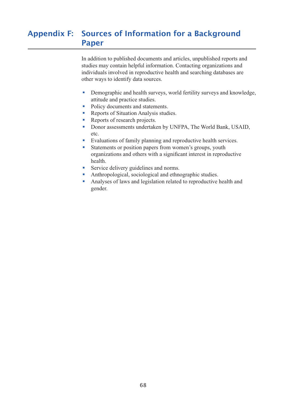#### Appendix F: Sources of Information for a Background **Paper** individuals in reproductive health and searching databases are productive health and searching databases are productive in reproductive health and searching databases are productive in reproductive databases are pr  $\mathcal{L}$  and articles, unpublished documents and articles, unpublished reports and articles, unpublished reports and articles, unpublished reports and articles, unpublished reports and articles, unpublished reports and ar sources of information for a Background other ways to identify data sources.

In addition to published documents and articles, unpublished reports and studies may contain helpful information. Contacting organizations and viduals involved in reprut information. Conditing organizations and viduals involved in reproductive health and searching databases are other ways to identify data sources. In dedition to published documents and articles, dipabilished reports and<br>studies may contain helpful information. Contacting organizations and<br>individuals involved in reproductive health and searching databases are<br>other

- attitude and practice studies. • between the productive intervential order ways to identify data sources.<br>• Demographic and health surveys, attitude and practice studies.<br>• Policy documents and statements. • Demographic and health surveys, wor<br>attitude and practice studies.<br>• Policy documents and statements.<br>• Reports of Situation Analysis studies. • Demographic and health sure<br>
attitude and practice studies.<br>
• Policy documents and staten<br>
• Reports of Situation Analysi<br>
• Reports of research projects. Semographic and health sarveys, world fertinty sarveys and knowledge<br>
attitude and practice studies.<br>
• Policy documents and statements.<br>
• Reports of research projects.<br>
• Donor assessments undertaken by UNFPA, The World
- $_{\text{D}_\text{e}1}$
- 
- 
- etc. Reports of Situation Analysis studies.<br>
Reports of research projects.<br>
Donor assessments undertaken by UNFPA, The World Bank, US<br>
etc.<br>
Evaluations of family planning and reproductive health services. Reports of research projects.<br>
Such the World Bank Posts of research projects.<br>
Such that world Bank etc.<br>
Statements or position papers from women's groups, youth reports of research projects.<br>Donor ossossments yndortalism by UNEDA The World Donly USA  $h_{\text{phot}}$
- 
- organiz<br>health. • Evaluations of family planning and rep<br>Statements or position papers from wo<br>organizations and others with a signific<br>health.<br>Service delivery guidelines and norms. • Evaluations of family planning and reproductive health services.<br>
Statements or position papers from women's groups, youth<br>
organizations and others with a significant interest in reproductive<br>
health.<br>
Service delivery
- 
- 
- Analyses of laws and legislation related to reproductive health and gender.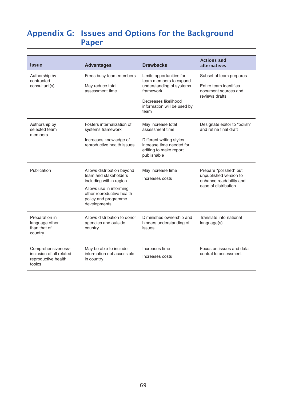## Appendix G: Issues and Options for the Background Paper

| <b>Issue</b>                                                                    | <b>Advantages</b>                                                                                                                                                                                                                                 | <b>Drawbacks</b>                                                                                                                                           | <b>Actions and</b><br>alternatives                                                                  |
|---------------------------------------------------------------------------------|---------------------------------------------------------------------------------------------------------------------------------------------------------------------------------------------------------------------------------------------------|------------------------------------------------------------------------------------------------------------------------------------------------------------|-----------------------------------------------------------------------------------------------------|
| Authorship by<br>contracted<br>consultant(s)                                    | Frees busy team members<br>May reduce total<br>assessment time                                                                                                                                                                                    | Limits opportunities for<br>team members to expand<br>understanding of systems<br>framework<br>Decreases likelihood<br>information will be used by<br>team | Subset of team prepares<br>Entire team identifies<br>document sources and<br>reviews drafts         |
| Authorship by<br>selected team<br>members                                       | Fosters internalization of<br>May increase total<br>assessment time<br>systems framework<br>Increases knowledge of<br>Different writing styles<br>increase time needed for<br>reproductive health issues<br>editing to make report<br>publishable |                                                                                                                                                            | Designate editor to "polish"<br>and refine final draft                                              |
| Publication                                                                     | Allows distribution beyond<br>team and stakeholders<br>including within region<br>Allows use in informing<br>other reproductive health<br>policy and programme<br>developments                                                                    | May increase time<br>Increases costs                                                                                                                       | Prepare "polished" but<br>unpublished version to<br>enhance readability and<br>ease of distribution |
| Preparation in<br>language other<br>than that of<br>country                     | Allows distribution to donor<br>agencies and outside<br>country                                                                                                                                                                                   | Diminishes ownership and<br>hinders understanding of<br>issues                                                                                             | Translate into national<br>language(s)                                                              |
| Comprehensiveness-<br>inclusion of all related<br>reproductive health<br>topics | May be able to include<br>information not accessible<br>in country                                                                                                                                                                                | Increases time<br>Increases costs                                                                                                                          | Focus on issues and data<br>central to assessment                                                   |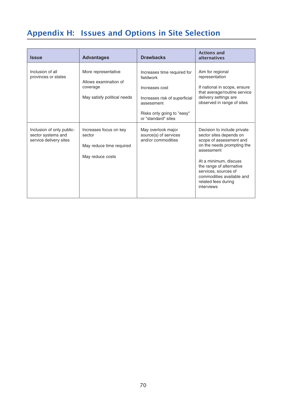# Appendix H: Issues and Options in Site Selection

| <b>Issue</b>                                                              | <b>Advantages</b>                                                                       | <b>Drawbacks</b>                                                                                                                                               | <b>Actions and</b><br>alternatives                                                                                                                                                                                                                                           |
|---------------------------------------------------------------------------|-----------------------------------------------------------------------------------------|----------------------------------------------------------------------------------------------------------------------------------------------------------------|------------------------------------------------------------------------------------------------------------------------------------------------------------------------------------------------------------------------------------------------------------------------------|
| Inclusion of all<br>provinces or states                                   | More representative<br>Allows examination of<br>coverage<br>May satisfy political needs | Increases time required for<br>fieldwork<br>Increases cost<br>Increases risk of superficial<br>assessment<br>Risks only going to "easy"<br>or "standard" sites | Aim for regional<br>representation<br>If national in scope, ensure<br>that average/routine service<br>delivery settings are<br>observed in range of sites                                                                                                                    |
| Inclusion of only public-<br>sector systems and<br>service delivery sites | Increases focus on key<br>sector<br>May reduce time required<br>May reduce costs        | May overlook major<br>source(s) of services<br>and/or commodities                                                                                              | Decision to include private<br>sector sites depends on<br>scope of assessment and<br>on the needs prompting the<br>assessment<br>At a minimum, discuss<br>the range of alternative<br>services, sources of<br>commodities available and<br>related fees during<br>interviews |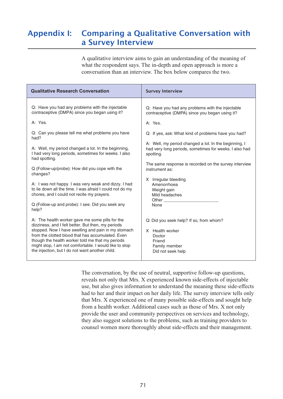#### Appendix I: Comparing a Qualitative Conversation with a Survey Interview. The box below compared than  $\mathbf s$  $A = \frac{1}{2}$  and  $A = \frac{1}{2}$  and  $B = \frac{1}{2}$  and  $B = \frac{1}{2}$  and  $C = \frac{1}{2}$  and  $C = \frac{1}{2}$ Comparing a Qualitative Conversation w

A qualitative interview aims to gain an understanding of the meaning of what the respondent says. The in-depth and open approach is more a conversation than an interview. The box below compares the two.

| <b>Qualitative Research Conversation</b>                                                                                                                                                                                                                                                                                                                                           | <b>Survey Interview</b>                                                                                              |
|------------------------------------------------------------------------------------------------------------------------------------------------------------------------------------------------------------------------------------------------------------------------------------------------------------------------------------------------------------------------------------|----------------------------------------------------------------------------------------------------------------------|
| Q: Have you had any problems with the injectable                                                                                                                                                                                                                                                                                                                                   | Q: Have you had any problems with the injectable                                                                     |
| contraceptive (DMPA) since you began using it?                                                                                                                                                                                                                                                                                                                                     | contraceptive (DMPA) since you began using it?                                                                       |
| A: Yes.                                                                                                                                                                                                                                                                                                                                                                            | A: Yes.                                                                                                              |
| Q: Can you please tell me what problems you have                                                                                                                                                                                                                                                                                                                                   | Q: If yes, ask: What kind of problems have you had?                                                                  |
| had?                                                                                                                                                                                                                                                                                                                                                                               | A: Well, my period changed a lot. In the beginning, I                                                                |
| A: Well, my period changed a lot. In the beginning,                                                                                                                                                                                                                                                                                                                                | had very long periods, sometimes for weeks. I also had                                                               |
| I had very long periods, sometimes for weeks. I also                                                                                                                                                                                                                                                                                                                               | spotting.                                                                                                            |
| had spotting.                                                                                                                                                                                                                                                                                                                                                                      | The same response is recorded on the survey interview                                                                |
| Q (Follow-up/probe): How did you cope with the                                                                                                                                                                                                                                                                                                                                     | instrument as:                                                                                                       |
| changes?                                                                                                                                                                                                                                                                                                                                                                           | X Irregular bleeding                                                                                                 |
| A: I was not happy. I was very weak and dizzy. I had                                                                                                                                                                                                                                                                                                                               | Amenorrhoea                                                                                                          |
| to lie down all the time. I was afraid I could not do my                                                                                                                                                                                                                                                                                                                           | Weight gain                                                                                                          |
| chores, and I could not recite my prayers.                                                                                                                                                                                                                                                                                                                                         | Mild headaches                                                                                                       |
| Q (Follow-up and probe): I see. Did you seek any                                                                                                                                                                                                                                                                                                                                   | Other                                                                                                                |
| help?                                                                                                                                                                                                                                                                                                                                                                              | None                                                                                                                 |
| A: The health worker gave me some pills for the<br>dizziness, and I felt better. But then, my periods<br>stopped. Now I have swelling and pain in my stomach<br>from the clotted blood that has accumulated. Even<br>though the health worker told me that my periods<br>might stop, I am not comfortable. I would like to stop<br>the injection, but I do not want another child. | Q: Did you seek help? If so, from whom?<br>X Health worker<br>Doctor<br>Friend<br>Family member<br>Did not seek help |

The conversation, by the use of neutral, supportive follow-up questions, from conversation, by the use of health, supportive follow up questions, reveals not only that Mrs. X experienced known side-effects of injectable proved to the user and the user and community perspective the user and the user and the user side-effects they also such also gives information to the problems in the meaning these side effects had to her and their impact on her daily life. The survey interview tells only that Mrs. X experienced one of many possible side-effects and sought help from a health worker. Additional cases such as those of Mrs. X not only provide the user and community perspectives on services and technology, they also suggest solutions to the problems, such as training providers to counsel women more thoroughly about side-effects and their management.

had to her and their impact on her daily life. The survey interview interview interview interview tells on life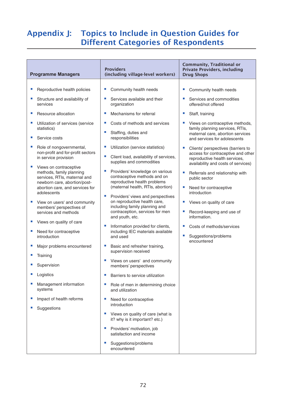## Appendix J: Topics to Include in Question Guides for Different Categories of Respondents

| <b>Programme Managers</b>                                                                                                                                                                                                                                                                                                                                                                                                                                                                                                                                                                                                                                                                                                                                  | <b>Providers</b><br>(including village-level workers)                                                                                                                                                                                                                                                                                                                                                                                                                                                                                                                                                                                                                                                                                                                                                                                                                                                                                                                                                                                                                                                               | <b>Community, Traditional or</b><br><b>Private Providers, including</b><br><b>Drug Shops</b>                                                                                                                                                                                                                                                                                                                                                                                                                                                                                                                                          |
|------------------------------------------------------------------------------------------------------------------------------------------------------------------------------------------------------------------------------------------------------------------------------------------------------------------------------------------------------------------------------------------------------------------------------------------------------------------------------------------------------------------------------------------------------------------------------------------------------------------------------------------------------------------------------------------------------------------------------------------------------------|---------------------------------------------------------------------------------------------------------------------------------------------------------------------------------------------------------------------------------------------------------------------------------------------------------------------------------------------------------------------------------------------------------------------------------------------------------------------------------------------------------------------------------------------------------------------------------------------------------------------------------------------------------------------------------------------------------------------------------------------------------------------------------------------------------------------------------------------------------------------------------------------------------------------------------------------------------------------------------------------------------------------------------------------------------------------------------------------------------------------|---------------------------------------------------------------------------------------------------------------------------------------------------------------------------------------------------------------------------------------------------------------------------------------------------------------------------------------------------------------------------------------------------------------------------------------------------------------------------------------------------------------------------------------------------------------------------------------------------------------------------------------|
| Reproductive health policies<br>Structure and availability of<br>services<br>Resource allocation<br>Utilization of services (service<br>statistics)<br>Service costs<br>Role of nongovernmental,<br>non-profit and for-profit sectors<br>in service provision<br>Views on contraceptive<br>methods, family planning<br>services, RTIs, maternal and<br>newborn care, abortion/post-<br>abortion care, and services for<br>adolescents<br>View on users' and community<br>members' perspectives of<br>services and methods<br>Views on quality of care<br>Need for contraceptive<br>introduction<br>Major problems encountered<br>Training<br>Supervision<br>Logistics<br>ш<br>Management information<br>systems<br>Impact of health reforms<br>Suggestions | Community health needs<br>U,<br>Services available and their<br>ш<br>organization<br>Mechanisms for referral<br>ш<br>Costs of methods and services<br>ш<br>Staffing, duties and<br>responsibilities<br>Utilization (service statistics)<br>ш<br>Client load, availability of services,<br>ш<br>supplies and commodities<br>Providers' knowledge on various<br>contraceptive methods and on<br>reproductive health problems<br>(maternal health, RTIs, abortion)<br>Providers' views and perspectives<br>ш<br>on reproductive health care,<br>including family planning and<br>contraception, services for men<br>and youth, etc.<br>Information provided for clients,<br>ш<br>including IEC materials available<br>and used<br>Basic and refresher training,<br>U,<br>supervision received<br>Views on users' and community<br>ш<br>members' perspectives<br>u,<br>Barriers to service utilization<br>ш<br>Role of men in determining choice<br>and utilization<br>ш<br>Need for contraceptive<br>introduction<br>Views on quality of care (what is<br>it? why is it important? etc.)<br>Providers' motivation, job | Community health needs<br>Services and commodities<br>offered/not offered<br>Staff, training<br>Views on contraceptive methods,<br>family planning services, RTIs,<br>maternal care, abortion services<br>and services for adolescents<br>Clients' perspectives (barriers to<br>access for contraceptive and other<br>reproductive health services,<br>availability and costs of services)<br>Referrals and relationship with<br>public sector<br>Need for contraceptive<br>introduction<br>Views on quality of care<br>Record-keeping and use of<br>information.<br>Costs of methods/services<br>Suggestions/problems<br>encountered |
|                                                                                                                                                                                                                                                                                                                                                                                                                                                                                                                                                                                                                                                                                                                                                            | satisfaction and income<br>Suggestions/problems<br>encountered                                                                                                                                                                                                                                                                                                                                                                                                                                                                                                                                                                                                                                                                                                                                                                                                                                                                                                                                                                                                                                                      |                                                                                                                                                                                                                                                                                                                                                                                                                                                                                                                                                                                                                                       |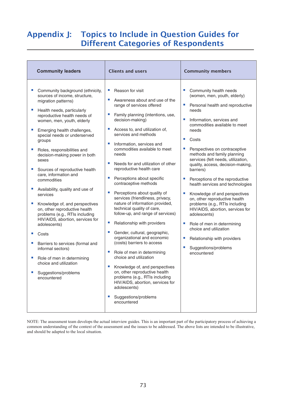## Appendix J: Topics to Include in Question Guides for Different Categories of Respondents

| <b>Community leaders</b>                                                                                                                                                                                                                                                                                                                                                                                                                                                                                                                                                                                                                                                                                                                                                                                                                     | <b>Clients and users</b>                                                                                                                                                                                                                                                                                                                                                                                                                                                                                                                                                                                                                                                                                                                                                                                                                                                                                                                                                                                                                                | <b>Community members</b>                                                                                                                                                                                                                                                                                                                                                                                                                                                                                                                                                                                                                                                                                                        |
|----------------------------------------------------------------------------------------------------------------------------------------------------------------------------------------------------------------------------------------------------------------------------------------------------------------------------------------------------------------------------------------------------------------------------------------------------------------------------------------------------------------------------------------------------------------------------------------------------------------------------------------------------------------------------------------------------------------------------------------------------------------------------------------------------------------------------------------------|---------------------------------------------------------------------------------------------------------------------------------------------------------------------------------------------------------------------------------------------------------------------------------------------------------------------------------------------------------------------------------------------------------------------------------------------------------------------------------------------------------------------------------------------------------------------------------------------------------------------------------------------------------------------------------------------------------------------------------------------------------------------------------------------------------------------------------------------------------------------------------------------------------------------------------------------------------------------------------------------------------------------------------------------------------|---------------------------------------------------------------------------------------------------------------------------------------------------------------------------------------------------------------------------------------------------------------------------------------------------------------------------------------------------------------------------------------------------------------------------------------------------------------------------------------------------------------------------------------------------------------------------------------------------------------------------------------------------------------------------------------------------------------------------------|
| E<br>Community background (ethnicity,<br>sources of income, structure,<br>migration patterns)<br>U.<br>Health needs, particularly<br>reproductive health needs of<br>women, men, youth, elderly<br>Emerging health challenges,<br>special needs or underserved<br>groups<br>ш<br>Roles, responsibilities and<br>decision-making power in both<br>sexes<br>×<br>Sources of reproductive health<br>care, information and<br>commodities<br>Availability, quality and use of<br>u.<br>services<br>U.<br>Knowledge of, and perspectives<br>on, other reproductive health<br>problems (e.g., RTIs including<br>HIV/AIDS, abortion, services for<br>adolescents)<br>U.<br>Costs<br>E<br>Barriers to services (formal and<br>informal sectors)<br>×.<br>Role of men in determining<br>choice and utilization<br>Suggestions/problems<br>encountered | ш<br>Reason for visit<br>Ľ<br>Awareness about and use of the<br>range of services offered<br>u.<br>Family planning (intentions, use,<br>decision-making)<br>U.<br>Access to, and utilization of,<br>services and methods<br>×,<br>Information, services and<br>commodities available to meet<br>needs<br>×,<br>Needs for and utilization of other<br>reproductive health care<br>U.<br>Perceptions about specific<br>contraceptive methods<br>$\blacksquare$<br>Perceptions about quality of<br>services (friendliness, privacy,<br>nature of information provided,<br>technical quality of care,<br>follow-up, and range of services)<br>ш<br>Relationship with providers<br>×.<br>Gender, cultural, geographic,<br>organizational and economic<br>(costs) barriers to access<br>Role of men in determining<br>u.<br>choice and utilization<br>Knowledge of, and perspectives<br>×.<br>on, other reproductive health<br>problems (e.g., RTIs including<br>HIV/AIDS, abortion, services for<br>adolescents)<br>Suggestions/problems<br>ш<br>encountered | Community health needs<br>(women, men, youth, elderly)<br>Personal health and reproductive<br>needs<br>$\blacksquare$<br>Information, services and<br>commodities available to meet<br>needs<br>п<br>Costs<br>Perspectives on contraceptive<br>methods and family planning<br>services (felt needs, utilization,<br>quality, access, decision-making,<br>barriers)<br>Perceptions of the reproductive<br>health services and technologies<br>Knowledge of and perspectives<br>on, other reproductive health<br>problems (e.g., RTIs including<br>HIV/AIDS, abortion, services for<br>adolescents)<br>Role of men in determining<br>choice and utilization<br>Relationship with providers<br>Suggestions/problems<br>encountered |

NOTE: The assessment team develops the actual interview guides. This is an important part of the participatory process of achieving a common understanding of the context of the assessment and the issues to be addressed. The above lists are intended to be illustrative, and should be adapted to the local situation.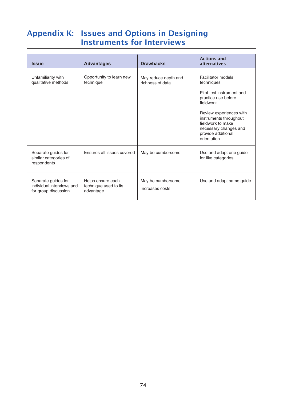## Appendix K: Issues and Options in Designing Instruments for Interviews

| <b>Issue</b>                                                             | <b>Advantages</b>                                       | <b>Drawbacks</b>                         | <b>Actions and</b><br>alternatives                                                                                                                                                                                                        |
|--------------------------------------------------------------------------|---------------------------------------------------------|------------------------------------------|-------------------------------------------------------------------------------------------------------------------------------------------------------------------------------------------------------------------------------------------|
| Unfamiliarity with<br>qualitative methods                                | Opportunity to learn new<br>technique                   | May reduce depth and<br>richness of data | Facilitator models<br>techniques<br>Pilot test instrument and<br>practice use before<br>fieldwork<br>Review experiences with<br>instruments throughout<br>fieldwork to make<br>necessary changes and<br>provide additional<br>orientation |
| Separate guides for<br>similar categories of<br>respondents              | Ensures all issues covered                              | May be cumbersome                        | Use and adapt one guide<br>for like categories                                                                                                                                                                                            |
| Separate guides for<br>individual interviews and<br>for group discussion | Helps ensure each<br>technique used to its<br>advantage | May be cumbersome<br>Increases costs     | Use and adapt same guide                                                                                                                                                                                                                  |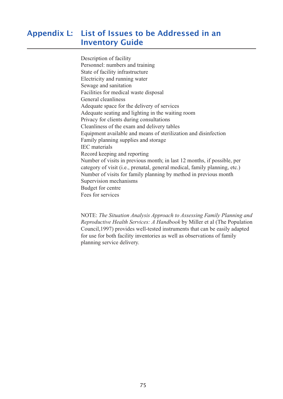#### Appendix L: List of Issues to be Addressed in an **Inventory Guide** Description of facilityLIST OT ISSUES TO DE Electricity and running water

Description of facility  $P$ essemption of facility and training  $P$ State of facility infrastructure Blace of haddle minimal actual extension of the delivery of services Encentry and running water<br>Sewage and sanitation Privacy and summation<br>Facilities for medical waste disposal The examples for the examples and determiness of the example of the examples of the examples of the example of the example of the example of the example of the example of the example of the example of the example of the ex Exercial exampless<br>Adequate space for the delivery of services Adequate space for the derivery of services<br>Adequate seating and lighting in the waiting root Privacy for clients during consultations Through to them and generations cleanliness of the exam and delivery table. Equipment available and means of sterilization and disinfection category of visit and means of sterm and distribution.<br>Family planning, supplies and storage IEC materials Ec materials<br>Record keeping and reporting Number of visits in previous month; in last  $12$  months, if possible, per Framely of visits in previous month, in fast  $12$  months, if possible, per category of visit (i.e., prenatal, general medical, family planning, etc. rumber of visiting supplies and stolage Number of visits for family planning by method in previous month Supervision mechanisms Budget for centre  $\frac{1}{2}$  council,  $\frac{1}{2}$  and  $\frac{1}{2}$  and  $\frac{1}{2}$  and  $\frac{1}{2}$  and  $\frac{1}{2}$  and  $\frac{1}{2}$  and  $\frac{1}{2}$  and  $\frac{1}{2}$  and  $\frac{1}{2}$  and  $\frac{1}{2}$  and  $\frac{1}{2}$  and  $\frac{1}{2}$  and  $\frac{1}{2}$  and  $\frac{1}{2}$  and  $\frac{1}{$ 

Fees for services<br> *Reproductive Health Services: A Handbook by Miller et al (The Population Reproductive Health Services: A Handbook by Miller et al (The Population)*  $\overline{\text{NOT}}$ r $\overline{B}$ . Situation due *The Situation Analysis Approach to Assessing Family Planning and*  Council, 1997) provides well-tested instruments that can be easily adapted for use for both facility inventories as well as observations of family planning service delivery.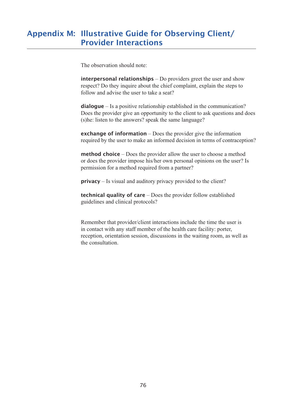## Appendix M: Illustrative Guide for Observing Client/ Provider Interactions

The observation should note:

interpersonal relationships – Do providers greet the user and show meer per sonal relationships to providers give the aser and show<br>respect? Do they inquire about the chief complaint, explain the steps to **interpersonal relationships** – Do providers greet the user and show respect? Do they inquire about the chief complaint, explain the steps to follow and advise the user to take a seat?<br>**dialogue** – Is a positive relationsh follow and advise the user to take a seat?

**required by the user to make an information** in the communication:<br>Does the provider give an opportunity to the client to ask questions and does (s) he: listen to the answers? speak the same language? **dialogue** – Is a positive relationship established in the communication<br>Does the provider give an opportunity to the client to ask questions and<br>(s)he: listen to the answers? speak the same language?<br>**exchange of informat** 

provider give the mormation<br>required by the user to make an informed decision in terms of contraception exchange of information – Does the provider give the information<br>required by the user to make an informed decision in terms of contracept<br>method choice – Does the provider allow the user to choose a method orchange of information Dees the provider give the information

permission for a method required from a partner method choice – Does the provider allow the user to choose and open of does the provider impose his/her own personal opinions on the permission for a method required from a partner?<br> **privacy** – Is visual and auditory priv permission for a method required from a partner?<br> **privacy** – Is visual and auditory privacy provided to the client?<br> **technical quality of care** – Does the provider follow established

in contact with any state with the health care facility of the distribution of the health care facility: porter, the health care facility: porter, the health care facility: porter, the health care facility: porter, the hea guidentes and enfinear protocols:

Remember that provider/client interactions include the time the user is in contact with any staff member of the health care facility: porter, reception, orientation session, discussions in the waiting room, as well as the consultation.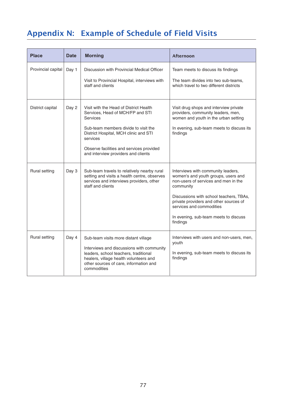# Appendix N: Example of Schedule of Field Visits

| <b>Place</b>       | <b>Date</b> | <b>Morning</b>                                                                                                                                                                                                                                                                | Afternoon                                                                                                                                                                                                                                                                                            |
|--------------------|-------------|-------------------------------------------------------------------------------------------------------------------------------------------------------------------------------------------------------------------------------------------------------------------------------|------------------------------------------------------------------------------------------------------------------------------------------------------------------------------------------------------------------------------------------------------------------------------------------------------|
| Provincial capital | Day 1       | Discussion with Provincial Medical Officer<br>Visit to Provincial Hospital, interviews with<br>staff and clients                                                                                                                                                              | Team meets to discuss its findings<br>The team divides into two sub-teams,<br>which travel to two different districts                                                                                                                                                                                |
| District capital   | Day 2       | Visit with the Head of District Health<br>Services, Head of MCH/FP and STI<br><b>Services</b><br>Sub-team members divide to visit the<br>District Hospital, MCH clinic and STI<br>services<br>Observe facilities and services provided<br>and interview providers and clients | Visit drug shops and interview private<br>providers, community leaders, men,<br>women and youth in the urban setting<br>In evening, sub-team meets to discuss its<br>findings                                                                                                                        |
| Rural setting      | Day 3       | Sub-team travels to relatively nearby rural<br>setting and visits a health centre, observes<br>services and interviews providers, other<br>staff and clients                                                                                                                  | Interviews with community leaders,<br>women's and youth groups, users and<br>non-users of services and men in the<br>community<br>Discussions with school teachers, TBAs,<br>private providers and other sources of<br>services and commodities<br>In evening, sub-team meets to discuss<br>findings |
| Rural setting      | Day 4       | Sub-team visits more distant village<br>Interviews and discussions with community<br>leaders, school teachers, traditional<br>healers, village health volunteers and<br>other sources of care, information and<br>commodities                                                 | Interviews with users and non-users, men,<br>youth<br>In evening, sub-team meets to discuss its<br>findings                                                                                                                                                                                          |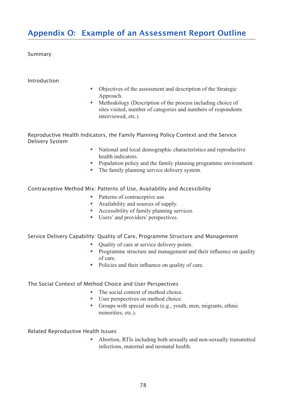## Appendix O: Example of an Assessment Report Outline

### Summary

### Introduction

- Objectives of the assessment and description of the Strategic Approach. • Objectives of the assessment and description of the Strategic<br>Approach.<br>• Methodology (Description of the process including choice of
- sites visited, number of categories and numbers of respondents interviewed, etc.).

Reproductive Health Indicators, the Family Planning Policy Context and the Service Delivery System merviewed, etc.).<br> **Cators, the Family Planning Policy Context and the Service**<br> **National and local demographic characteristics and reproductive** 

- health indicators. <p>Caators, the Family Planning Policy Context and the Service</p>\n<ul>\n<li>National and local demographic characteristics and reproductive health indicators.</li>\n<li>Population policy and the family planning programme environment.</li>\n</ul> ■ National and local demographic characteristi<br>health indicators.<br>• Population policy and the family planning pr<br>• The family planning service delivery system.
- Population policy and the family planning programme environment.<br>■ The family planning service delivery system.<br>
ix: Patterns of Use, Availability and Accessibility<br>
 Patterns of contraceptive use.
- 

Contraceptive Method Mix: Patterns of Use, Availability and Accessibility Fire family planning service derivery.<br>
Solid Externs of Use, Availability and<br>
• Availability and sources of supply. • Patterns of Use, Availability and Acces<br>• Patterns of contraceptive use.<br>• Availability and sources of supply.<br>• Accessibility of family planning services.

- 
- 
- <table>\n<tbody>\n<tr>\n<td>ix: Patterns of Use, Availableility and</td>\n</tr>\n<tr>\n<td>1</td>\n<td>Patterns of contractive use.</td>\n</tr>\n<tr>\n<td>2</td>\n<td>Availability and sources of supply.</td>\n</tr>\n<tr>\n<td>3</td>\n<td>Accessibility of family planning see</td>\n</tr>\n<tr>\n<td>4</td>\n<td>Users' and providers' perspectives.</td>\n</tr>\n</tbody>\n</table>
- 

### Service Delivery Capability: Quality of Care, Programme Structure and Management

- Users' and providers' perspectives.<br>■ Users' and providers' perspectives.<br>ty: Quality of Care, Programme Structure<br>Quality of care at service delivery points.
- Sers and providers perspectives.<br> **Example 19 Frogramme Structure and Management**<br>
 Quality of care at service delivery points.<br>
 Programme structure and management and their influence on quality **EXECUTE:**<br> **EXECUTE:**<br> **EXECUTE:**<br>
Policies and their influence on quality of care.<br>
Policies and their influence on quality of care.
- Policies and their influence on quality of care.<br>• Policies and their influence on quality of care.<br>• The social context of method choice.

## The Social Context of Method Choice and User Perspectives

- 
- User perspectives on method choice.
- § Groups with special needs (e.g., youth, men, migrants, ethnic  $\min_{\mathbf{z}}$  infections, e.g.,

### Related Reproductive Health Issues

§ Abortion, RTIs including both sexually and non-sexually transmitted infections, maternal and neonatal health.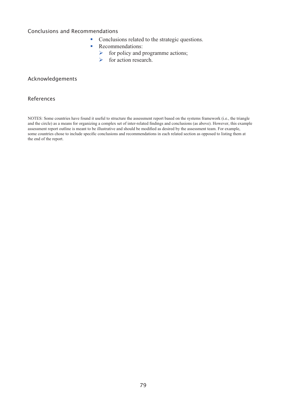## Conclusions and Recommendations

- mendations<br>■ Conclusions related to the strategic questions. dations<br>Conclusions related to t<br>Recommendations:<br> $\triangleright$  for policy and prog<br> $\triangleright$  for action research.
- mendations<br>• Conclusions related<br>• Recommendations:
	- Recommendations:<br> $\triangleright$  for policy and programme actions;
	-

## Acknowledgements

#### References  $\mathbf{S}$  $\alpha$  means for organizing a complex set of inter-relations and conclusions (as above). However, this example  $\alpha$

NOTES: Some countries have found it useful to structure the assessment report based on the systems framework (i.e., the triangle and the circle) as a means for organizing a complex set of inter-related findings and conclusions (as above). However, this example assessment report outline is meant to be illustrative and should be modified as desired by the assessment team. For example, some countries chose to include specific conclusions and recommendations in each related section as opposed to listing them at the end of the report.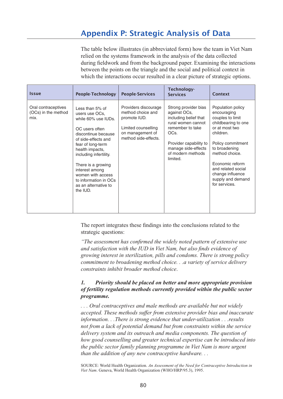## Appendix P: Strategic Analysis of Data  $\frac{1}{\sqrt{2}}$  the social and points on the social and political context in  $\frac{1}{\sqrt{2}}$

The table below illustrates (in abbreviated form) how the team in Viet Nam relied on the systems framework in the analysis of the data collected during fieldwork and from the background paper. Examining the interactions between the points on the triangle and the social and political context in which the interactions occur resulted in a clear picture of strategic options.

| <b>Issue</b>                                       | People-Technology                                                                                                                                                                                                                                                                                                    | <b>People-Services</b>                                                                                                       | Technology-<br><b>Services</b>                                                                                                                                                                    | Context                                                                                                                                                                                                                                                               |
|----------------------------------------------------|----------------------------------------------------------------------------------------------------------------------------------------------------------------------------------------------------------------------------------------------------------------------------------------------------------------------|------------------------------------------------------------------------------------------------------------------------------|---------------------------------------------------------------------------------------------------------------------------------------------------------------------------------------------------|-----------------------------------------------------------------------------------------------------------------------------------------------------------------------------------------------------------------------------------------------------------------------|
| Oral contraceptives<br>(OCs) in the method<br>mix. | Less than 5% of<br>users use OCs.<br>while 60% use IUDs.<br>OC users often<br>discontinue because<br>of side-effects and<br>fear of long-term<br>health impacts,<br>including infertility.<br>There is a growing<br>interest among<br>women with access<br>to information in OCs<br>as an alternative to<br>the IUD. | Providers discourage<br>method choice and<br>promote IUD.<br>Limited counselling<br>on management of<br>method side-effects. | Strong provider bias<br>against OCs,<br>including belief that<br>rural women cannot<br>remember to take<br>OCs.<br>Provider capability to<br>manage side-effects<br>of modern methods<br>limited. | Population policy<br>encouraging<br>couples to limit<br>childbearing to one<br>or at most two<br>children.<br>Policy commitment<br>to broadening<br>method choice.<br>Economic reform<br>and related social<br>change influence<br>supply and demand<br>for services. |

The report integrates these findings into the conclusions related to the strategic questions:

*"The assessment has confirmed the widely noted pattern of extensive use and satisfaction with the IUD in Viet Nam, but also finds evidence of growing interest in sterilization, pills and condoms. There is strong policy commitment to broadening method choice. . .a variety of service delivery confirmed the widely confirmed the widely* and satisfaction with the IUD in Viet Nam, growing interest in sterilization, pills and commitment to broadening method choice.<br>*constraints inhibit broadening method choice.* 

## *1. Priority should be placed on better and more appropriate provision of fertility regulation methods currently provided within the public sector programme.*

*. . . Oral contraceptives and male methods are available but not widely accepted. These methods suffer from extensive provider bias and inaccurate information. . .There is strong evidence that under-utilization . . .results not from a lack of potential demand but from constraints within the service delivery system and its outreach and media components. The question of*  how good counselling and greater technical expertise can be introduced into *how the public sector family planning programme in Viet Nam is more urgent than the addition of any new contraceptive hardware. . . the public sector family planning programme in Viet N*<br>*Vian the addition of any new contraceptive hardware.*<br>SOURCE: World Health Organization. An Assessment of the Need for C<br>*Viet Nam.* Geneva, World Health Organizatio

SOURCE: World Health Organization. An Assessment of the Need for Contraceptive Introduction in Viet Nam. Geneva, World Health Organization (WHO/HRP/95.3), 1995.